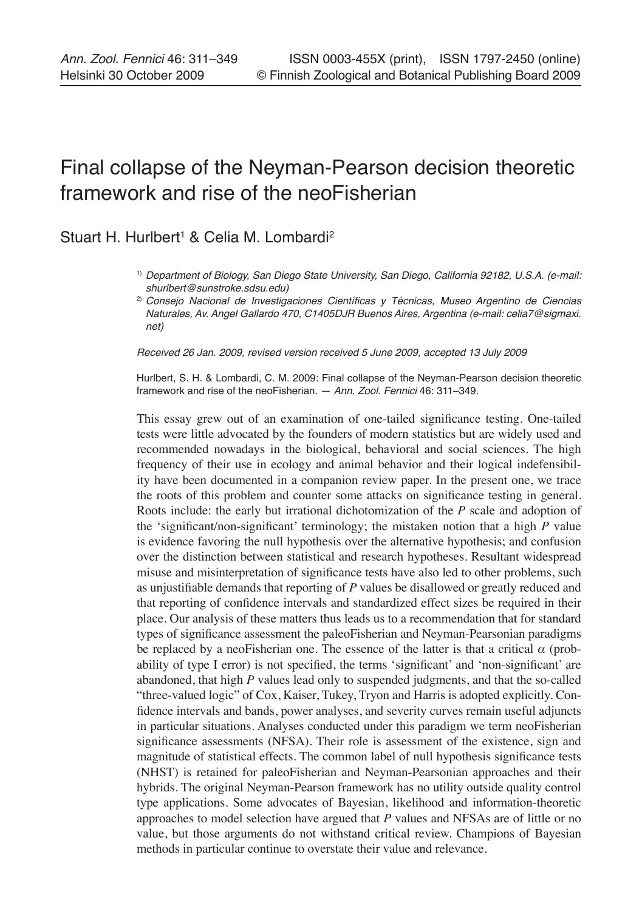# Final collapse of the Neyman-Pearson decision theoretic framework and rise of the neoFisherian

# Stuart H. Hurlbert<sup>1</sup> & Celia M. Lombardi<sup>2</sup>

- 1) Department of Biology, San Diego State University, San Diego, California 92182, U.S.A. (e-mail: shurlbert@sunstroke.sdsu.edu)
- 2) Consejo Nacional de Investigaciones Científicas y Técnicas, Museo Argentino de Ciencias Naturales, Av. Angel Gallardo 470, C1405DJR Buenos Aires, Argentina (e-mail: celia7@sigmaxi. net)

Received 26 Jan. 2009, revised version received 5 June 2009, accepted 13 July 2009

Hurlbert, S. H. & Lombardi, C. M. 2009: Final collapse of the Neyman-Pearson decision theoretic framework and rise of the neoFisherian. — Ann. Zool. Fennici 46: 311–349.

This essay grew out of an examination of one-tailed significance testing. One-tailed tests were little advocated by the founders of modern statistics but are widely used and recommended nowadays in the biological, behavioral and social sciences. The high frequency of their use in ecology and animal behavior and their logical indefensibility have been documented in a companion review paper. In the present one, we trace the roots of this problem and counter some attacks on significance testing in general. Roots include: the early but irrational dichotomization of the *P* scale and adoption of the 'significant/non-significant' terminology; the mistaken notion that a high *P* value is evidence favoring the null hypothesis over the alternative hypothesis; and confusion over the distinction between statistical and research hypotheses. Resultant widespread misuse and misinterpretation of significance tests have also led to other problems, such as unjustifiable demands that reporting of *P* values be disallowed or greatly reduced and that reporting of confidence intervals and standardized effect sizes be required in their place. Our analysis of these matters thus leads us to a recommendation that for standard types of significance assessment the paleoFisherian and Neyman-Pearsonian paradigms be replaced by a neoFisherian one. The essence of the latter is that a critical *α* (probability of type I error) is not specified, the terms 'significant' and 'non-significant' are abandoned, that high *P* values lead only to suspended judgments, and that the so-called "three-valued logic" of Cox, Kaiser, Tukey, Tryon and Harris is adopted explicitly. Confidence intervals and bands, power analyses, and severity curves remain useful adjuncts in particular situations. Analyses conducted under this paradigm we term neoFisherian significance assessments (NFSA). Their role is assessment of the existence, sign and magnitude of statistical effects. The common label of null hypothesis significance tests (NHST) is retained for paleoFisherian and Neyman-Pearsonian approaches and their hybrids. The original Neyman-Pearson framework has no utility outside quality control type applications. Some advocates of Bayesian, likelihood and information-theoretic approaches to model selection have argued that *P* values and NFSAs are of little or no value, but those arguments do not withstand critical review. Champions of Bayesian methods in particular continue to overstate their value and relevance.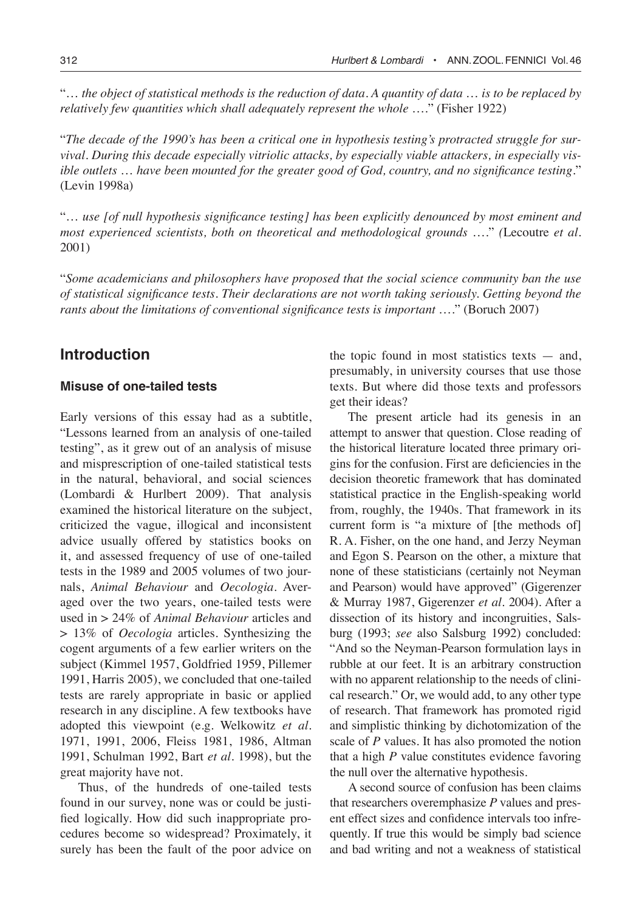"… *the object of statistical methods is the reduction of data. A quantity of data* … *is to be replaced by relatively few quantities which shall adequately represent the whole* …." (Fisher 1922)

"*The decade of the 1990's has been a critical one in hypothesis testing's protracted struggle for survival. During this decade especially vitriolic attacks, by especially viable attackers, in especially visible outlets* … *have been mounted for the greater good of God, country, and no significance testing.*" (Levin 1998a)

"… *use [of null hypothesis significance testing] has been explicitly denounced by most eminent and most experienced scientists, both on theoretical and methodological grounds* …." *(*Lecoutre *et al*. 2001)

"*Some academicians and philosophers have proposed that the social science community ban the use of statistical significance tests. Their declarations are not worth taking seriously. Getting beyond the rants about the limitations of conventional significance tests is important* …." (Boruch 2007)

# **Introduction**

## **Misuse of one-tailed tests**

Early versions of this essay had as a subtitle, "Lessons learned from an analysis of one-tailed testing", as it grew out of an analysis of misuse and misprescription of one-tailed statistical tests in the natural, behavioral, and social sciences (Lombardi & Hurlbert 2009). That analysis examined the historical literature on the subject, criticized the vague, illogical and inconsistent advice usually offered by statistics books on it, and assessed frequency of use of one-tailed tests in the 1989 and 2005 volumes of two journals, *Animal Behaviour* and *Oecologia*. Averaged over the two years, one-tailed tests were used in > 24% of *Animal Behaviour* articles and > 13% of *Oecologia* articles. Synthesizing the cogent arguments of a few earlier writers on the subject (Kimmel 1957, Goldfried 1959, Pillemer 1991, Harris 2005), we concluded that one-tailed tests are rarely appropriate in basic or applied research in any discipline. A few textbooks have adopted this viewpoint (e.g. Welkowitz *et al*. 1971, 1991, 2006, Fleiss 1981, 1986, Altman 1991, Schulman 1992, Bart *et al*. 1998), but the great majority have not.

Thus, of the hundreds of one-tailed tests found in our survey, none was or could be justified logically. How did such inappropriate procedures become so widespread? Proximately, it surely has been the fault of the poor advice on the topic found in most statistics texts  $-$  and, presumably, in university courses that use those texts. But where did those texts and professors get their ideas?

The present article had its genesis in an attempt to answer that question. Close reading of the historical literature located three primary origins for the confusion. First are deficiencies in the decision theoretic framework that has dominated statistical practice in the English-speaking world from, roughly, the 1940s. That framework in its current form is "a mixture of [the methods of] R. A. Fisher, on the one hand, and Jerzy Neyman and Egon S. Pearson on the other, a mixture that none of these statisticians (certainly not Neyman and Pearson) would have approved" (Gigerenzer & Murray 1987, Gigerenzer *et al.* 2004). After a dissection of its history and incongruities, Salsburg (1993; *see* also Salsburg 1992) concluded: "And so the Neyman-Pearson formulation lays in rubble at our feet. It is an arbitrary construction with no apparent relationship to the needs of clinical research." Or, we would add, to any other type of research. That framework has promoted rigid and simplistic thinking by dichotomization of the scale of *P* values. It has also promoted the notion that a high *P* value constitutes evidence favoring the null over the alternative hypothesis.

A second source of confusion has been claims that researchers overemphasize *P* values and present effect sizes and confidence intervals too infrequently. If true this would be simply bad science and bad writing and not a weakness of statistical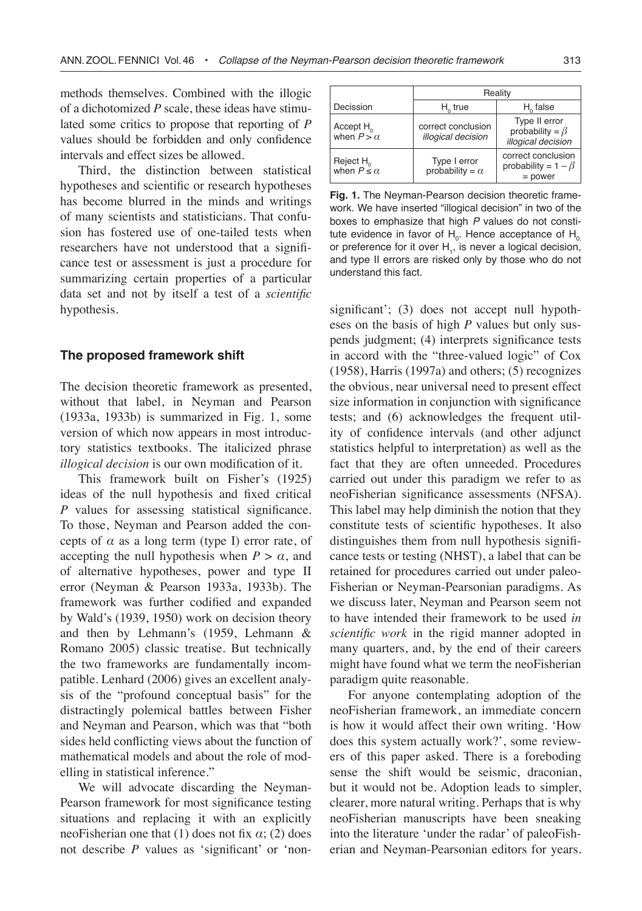methods themselves. Combined with the illogic of a dichotomized *P* scale, these ideas have stimulated some critics to propose that reporting of *P* values should be forbidden and only confidence intervals and effect sizes be allowed.

Third, the distinction between statistical hypotheses and scientific or research hypotheses has become blurred in the minds and writings of many scientists and statisticians. That confusion has fostered use of one-tailed tests when researchers have not understood that a significance test or assessment is just a procedure for summarizing certain properties of a particular data set and not by itself a test of a *scientific* hypothesis.

### **The proposed framework shift**

The decision theoretic framework as presented, without that label, in Neyman and Pearson (1933a, 1933b) is summarized in Fig. 1, some version of which now appears in most introductory statistics textbooks. The italicized phrase *illogical decision* is our own modification of it.

This framework built on Fisher's (1925) ideas of the null hypothesis and fixed critical *P* values for assessing statistical significance. To those, Neyman and Pearson added the concepts of  $\alpha$  as a long term (type I) error rate, of accepting the null hypothesis when  $P > \alpha$ , and of alternative hypotheses, power and type II error (Neyman & Pearson 1933a, 1933b). The framework was further codified and expanded by Wald's (1939, 1950) work on decision theory and then by Lehmann's (1959, Lehmann & Romano 2005) classic treatise. But technically the two frameworks are fundamentally incompatible. Lenhard (2006) gives an excellent analysis of the "profound conceptual basis" for the distractingly polemical battles between Fisher and Neyman and Pearson, which was that "both sides held conflicting views about the function of mathematical models and about the role of modelling in statistical inference."

We will advocate discarding the Neyman-Pearson framework for most significance testing situations and replacing it with an explicitly neoFisherian one that (1) does not fix  $\alpha$ ; (2) does not describe *P* values as 'significant' or 'non-

|                                               | Reality                                  |                                                              |  |
|-----------------------------------------------|------------------------------------------|--------------------------------------------------------------|--|
| Decission                                     | $H_0$ true                               | $H_0$ false                                                  |  |
| Accept H <sub>0</sub><br>when $P > \alpha$    | correct conclusion<br>illogical decision | Type II error<br>probability = $\beta$<br>illogical decision |  |
| Reject H <sub>0</sub><br>when $P \leq \alpha$ | Type I error<br>probability = $\alpha$   | correct conclusion<br>probability = $1 - \beta$<br>$=$ power |  |

**Fig. 1.** The Neyman-Pearson decision theoretic framework. We have inserted "illogical decision" in two of the boxes to emphasize that high P values do not constitute evidence in favor of  $H_{0}$ . Hence acceptance of  $H_{0}$ or preference for it over  $H$ <sub>1</sub>, is never a logical decision, and type II errors are risked only by those who do not understand this fact.

significant'; (3) does not accept null hypotheses on the basis of high *P* values but only suspends judgment; (4) interprets significance tests in accord with the "three-valued logic" of Cox (1958), Harris (1997a) and others; (5) recognizes the obvious, near universal need to present effect size information in conjunction with significance tests; and (6) acknowledges the frequent utility of confidence intervals (and other adjunct statistics helpful to interpretation) as well as the fact that they are often unneeded. Procedures carried out under this paradigm we refer to as neoFisherian significance assessments (NFSA). This label may help diminish the notion that they constitute tests of scientific hypotheses. It also distinguishes them from null hypothesis significance tests or testing (NHST), a label that can be retained for procedures carried out under paleo-Fisherian or Neyman-Pearsonian paradigms. As we discuss later, Neyman and Pearson seem not to have intended their framework to be used *in scientific work* in the rigid manner adopted in many quarters, and, by the end of their careers might have found what we term the neoFisherian paradigm quite reasonable.

For anyone contemplating adoption of the neoFisherian framework, an immediate concern is how it would affect their own writing. 'How does this system actually work?', some reviewers of this paper asked. There is a foreboding sense the shift would be seismic, draconian, but it would not be. Adoption leads to simpler, clearer, more natural writing. Perhaps that is why neoFisherian manuscripts have been sneaking into the literature 'under the radar' of paleoFisherian and Neyman-Pearsonian editors for years.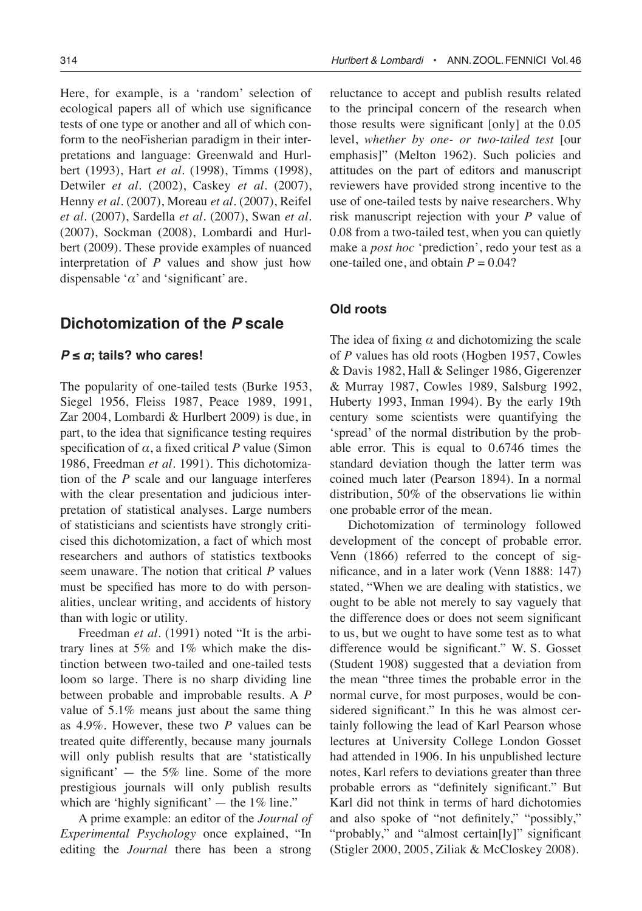Here, for example, is a 'random' selection of ecological papers all of which use significance tests of one type or another and all of which conform to the neoFisherian paradigm in their interpretations and language: Greenwald and Hurlbert (1993), Hart *et al.* (1998), Timms (1998), Detwiler *et al.* (2002), Caskey *et al.* (2007), Henny *et al.* (2007), Moreau *et al.* (2007), Reifel *et al.* (2007), Sardella *et al.* (2007), Swan *et al.* (2007), Sockman (2008), Lombardi and Hurlbert (2009). These provide examples of nuanced interpretation of *P* values and show just how dispensable '*α*' and 'significant' are.

# **Dichotomization of the P scale**

## $P \le a$ ; tails? who cares!

The popularity of one-tailed tests (Burke 1953, Siegel 1956, Fleiss 1987, Peace 1989, 1991, Zar 2004, Lombardi & Hurlbert 2009) is due, in part, to the idea that significance testing requires specification of  $\alpha$ , a fixed critical  $P$  value (Simon 1986, Freedman *et al*. 1991). This dichotomization of the *P* scale and our language interferes with the clear presentation and judicious interpretation of statistical analyses. Large numbers of statisticians and scientists have strongly criticised this dichotomization, a fact of which most researchers and authors of statistics textbooks seem unaware. The notion that critical *P* values must be specified has more to do with personalities, unclear writing, and accidents of history than with logic or utility.

Freedman *et al*. (1991) noted "It is the arbitrary lines at 5% and 1% which make the distinction between two-tailed and one-tailed tests loom so large. There is no sharp dividing line between probable and improbable results. A *P* value of 5.1% means just about the same thing as 4.9%. However, these two *P* values can be treated quite differently, because many journals will only publish results that are 'statistically significant'  $-$  the 5% line. Some of the more prestigious journals will only publish results which are 'highly significant'  $-$  the 1% line."

A prime example: an editor of the *Journal of Experimental Psychology* once explained, "In editing the *Journal* there has been a strong

reluctance to accept and publish results related to the principal concern of the research when those results were significant [only] at the 0.05 level, *whether by one- or two-tailed test* [our emphasis]" (Melton 1962). Such policies and attitudes on the part of editors and manuscript reviewers have provided strong incentive to the use of one-tailed tests by naive researchers. Why risk manuscript rejection with your *P* value of 0.08 from a two-tailed test, when you can quietly make a *post hoc* 'prediction', redo your test as a one-tailed one, and obtain  $P = 0.04$ ?

## **Old roots**

The idea of fixing  $\alpha$  and dichotomizing the scale of *P* values has old roots (Hogben 1957, Cowles & Davis 1982, Hall & Selinger 1986, Gigerenzer & Murray 1987, Cowles 1989, Salsburg 1992, Huberty 1993, Inman 1994). By the early 19th century some scientists were quantifying the 'spread' of the normal distribution by the probable error. This is equal to 0.6746 times the standard deviation though the latter term was coined much later (Pearson 1894). In a normal distribution, 50% of the observations lie within one probable error of the mean.

Dichotomization of terminology followed development of the concept of probable error. Venn (1866) referred to the concept of significance, and in a later work (Venn 1888: 147) stated, "When we are dealing with statistics, we ought to be able not merely to say vaguely that the difference does or does not seem significant to us, but we ought to have some test as to what difference would be significant." W. S. Gosset (Student 1908) suggested that a deviation from the mean "three times the probable error in the normal curve, for most purposes, would be considered significant." In this he was almost certainly following the lead of Karl Pearson whose lectures at University College London Gosset had attended in 1906. In his unpublished lecture notes, Karl refers to deviations greater than three probable errors as "definitely significant." But Karl did not think in terms of hard dichotomies and also spoke of "not definitely," "possibly," "probably," and "almost certain[ly]" significant (Stigler 2000, 2005, Ziliak & McCloskey 2008).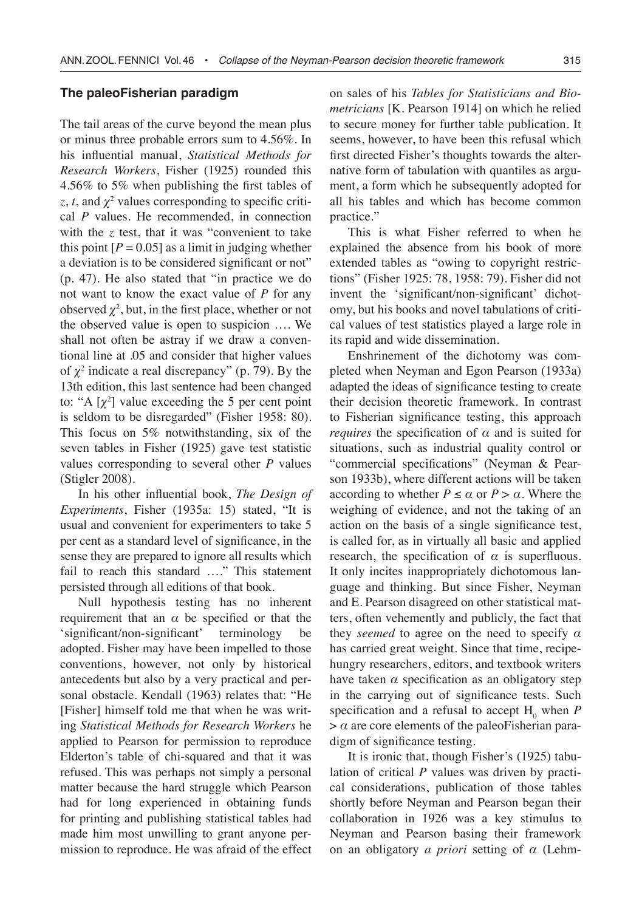#### **The paleoFisherian paradigm**

The tail areas of the curve beyond the mean plus or minus three probable errors sum to 4.56%. In his influential manual, *Statistical Methods for Research Workers*, Fisher (1925) rounded this 4.56% to 5% when publishing the first tables of  $z, t$ , and  $\chi^2$  values corresponding to specific critical *P* values. He recommended, in connection with the *z* test, that it was "convenient to take this point  $[P = 0.05]$  as a limit in judging whether a deviation is to be considered significant or not" (p. 47). He also stated that "in practice we do not want to know the exact value of *P* for any observed  $\chi^2$ , but, in the first place, whether or not the observed value is open to suspicion …. We shall not often be astray if we draw a conventional line at .05 and consider that higher values of  $\chi^2$  indicate a real discrepancy" (p. 79). By the 13th edition, this last sentence had been changed to: "A  $[\chi^2]$  value exceeding the 5 per cent point is seldom to be disregarded" (Fisher 1958: 80). This focus on 5% notwithstanding, six of the seven tables in Fisher (1925) gave test statistic values corresponding to several other *P* values (Stigler 2008).

In his other influential book, *The Design of Experiments*, Fisher (1935a: 15) stated, "It is usual and convenient for experimenters to take 5 per cent as a standard level of significance, in the sense they are prepared to ignore all results which fail to reach this standard …." This statement persisted through all editions of that book.

Null hypothesis testing has no inherent requirement that an  $\alpha$  be specified or that the 'significant/non-significant' terminology be adopted. Fisher may have been impelled to those conventions, however, not only by historical antecedents but also by a very practical and personal obstacle. Kendall (1963) relates that: "He [Fisher] himself told me that when he was writing *Statistical Methods for Research Workers* he applied to Pearson for permission to reproduce Elderton's table of chi-squared and that it was refused. This was perhaps not simply a personal matter because the hard struggle which Pearson had for long experienced in obtaining funds for printing and publishing statistical tables had made him most unwilling to grant anyone permission to reproduce. He was afraid of the effect

on sales of his *Tables for Statisticians and Biometricians* [K. Pearson 1914] on which he relied to secure money for further table publication. It seems, however, to have been this refusal which first directed Fisher's thoughts towards the alternative form of tabulation with quantiles as argument, a form which he subsequently adopted for all his tables and which has become common practice."

This is what Fisher referred to when he explained the absence from his book of more extended tables as "owing to copyright restrictions" (Fisher 1925: 78, 1958: 79). Fisher did not invent the 'significant/non-significant' dichotomy, but his books and novel tabulations of critical values of test statistics played a large role in its rapid and wide dissemination.

Enshrinement of the dichotomy was completed when Neyman and Egon Pearson (1933a) adapted the ideas of significance testing to create their decision theoretic framework. In contrast to Fisherian significance testing, this approach *requires* the specification of  $\alpha$  and is suited for situations, such as industrial quality control or "commercial specifications" (Neyman & Pearson 1933b), where different actions will be taken according to whether  $P \le \alpha$  or  $P > \alpha$ . Where the weighing of evidence, and not the taking of an action on the basis of a single significance test, is called for, as in virtually all basic and applied research, the specification of  $\alpha$  is superfluous. It only incites inappropriately dichotomous language and thinking. But since Fisher, Neyman and E. Pearson disagreed on other statistical matters, often vehemently and publicly, the fact that they *seemed* to agree on the need to specify *α* has carried great weight. Since that time, recipehungry researchers, editors, and textbook writers have taken  $\alpha$  specification as an obligatory step in the carrying out of significance tests. Such specification and a refusal to accept  $H_0$  when  $P$  $>$   $\alpha$  are core elements of the paleoFisherian paradigm of significance testing.

It is ironic that, though Fisher's (1925) tabulation of critical *P* values was driven by practical considerations, publication of those tables shortly before Neyman and Pearson began their collaboration in 1926 was a key stimulus to Neyman and Pearson basing their framework on an obligatory *a priori* setting of *α* (Lehm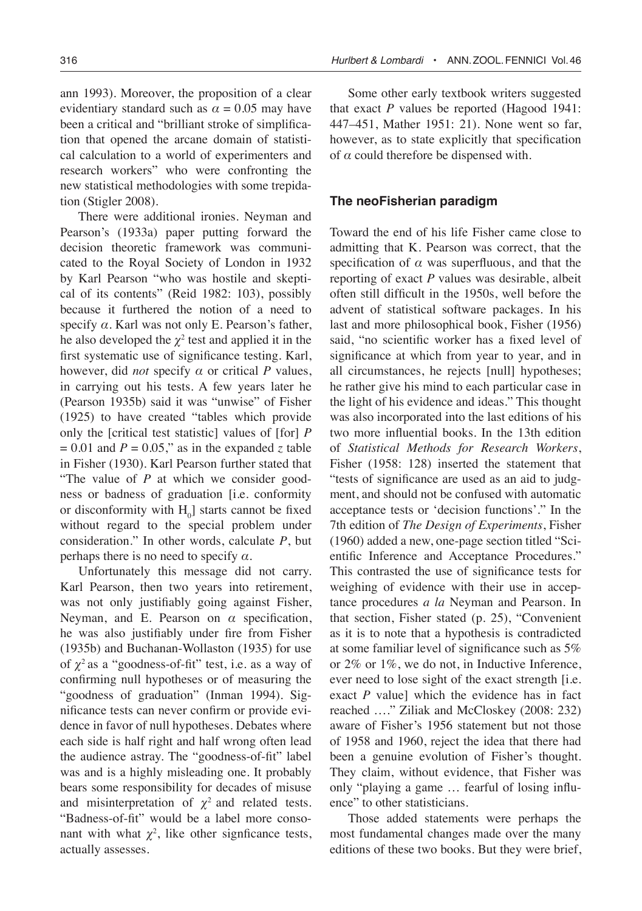ann 1993). Moreover, the proposition of a clear evidentiary standard such as  $\alpha = 0.05$  may have been a critical and "brilliant stroke of simplification that opened the arcane domain of statistical calculation to a world of experimenters and research workers" who were confronting the new statistical methodologies with some trepidation (Stigler 2008).

There were additional ironies. Neyman and Pearson's (1933a) paper putting forward the decision theoretic framework was communicated to the Royal Society of London in 1932 by Karl Pearson "who was hostile and skeptical of its contents" (Reid 1982: 103), possibly because it furthered the notion of a need to specify  $\alpha$ . Karl was not only E. Pearson's father, he also developed the  $\chi^2$  test and applied it in the first systematic use of significance testing. Karl, however, did *not* specify *α* or critical *P* values, in carrying out his tests. A few years later he (Pearson 1935b) said it was "unwise" of Fisher (1925) to have created "tables which provide only the [critical test statistic] values of [for] *P*  $= 0.01$  and  $P = 0.05$ ," as in the expanded *z* table in Fisher (1930). Karl Pearson further stated that "The value of *P* at which we consider goodness or badness of graduation [i.e. conformity or disconformity with  $H_0$ ] starts cannot be fixed without regard to the special problem under consideration." In other words, calculate *P*, but perhaps there is no need to specify *α*.

Unfortunately this message did not carry. Karl Pearson, then two years into retirement, was not only justifiably going against Fisher, Neyman, and E. Pearson on *α* specification, he was also justifiably under fire from Fisher (1935b) and Buchanan-Wollaston (1935) for use of  $\chi^2$  as a "goodness-of-fit" test, i.e. as a way of confirming null hypotheses or of measuring the "goodness of graduation" (Inman 1994). Significance tests can never confirm or provide evidence in favor of null hypotheses. Debates where each side is half right and half wrong often lead the audience astray. The "goodness-of-fit" label was and is a highly misleading one. It probably bears some responsibility for decades of misuse and misinterpretation of  $\chi^2$  and related tests. "Badness-of-fit" would be a label more consonant with what  $\chi^2$ , like other signficance tests, actually assesses.

Some other early textbook writers suggested that exact *P* values be reported (Hagood 1941: 447–451, Mather 1951: 21). None went so far, however, as to state explicitly that specification of *α* could therefore be dispensed with.

## **The neoFisherian paradigm**

Toward the end of his life Fisher came close to admitting that K. Pearson was correct, that the specification of *α* was superfluous, and that the reporting of exact *P* values was desirable, albeit often still difficult in the 1950s, well before the advent of statistical software packages. In his last and more philosophical book, Fisher (1956) said, "no scientific worker has a fixed level of significance at which from year to year, and in all circumstances, he rejects [null] hypotheses; he rather give his mind to each particular case in the light of his evidence and ideas." This thought was also incorporated into the last editions of his two more influential books. In the 13th edition of *Statistical Methods for Research Workers*, Fisher (1958: 128) inserted the statement that "tests of significance are used as an aid to judgment, and should not be confused with automatic acceptance tests or 'decision functions'." In the 7th edition of *The Design of Experiments*, Fisher (1960) added a new, one-page section titled "Scientific Inference and Acceptance Procedures." This contrasted the use of significance tests for weighing of evidence with their use in acceptance procedures *a la* Neyman and Pearson. In that section, Fisher stated (p. 25), "Convenient as it is to note that a hypothesis is contradicted at some familiar level of significance such as 5% or 2% or 1%, we do not, in Inductive Inference, ever need to lose sight of the exact strength [i.e. exact *P* value] which the evidence has in fact reached …." Ziliak and McCloskey (2008: 232) aware of Fisher's 1956 statement but not those of 1958 and 1960, reject the idea that there had been a genuine evolution of Fisher's thought. They claim, without evidence, that Fisher was only "playing a game … fearful of losing influence" to other statisticians.

Those added statements were perhaps the most fundamental changes made over the many editions of these two books. But they were brief,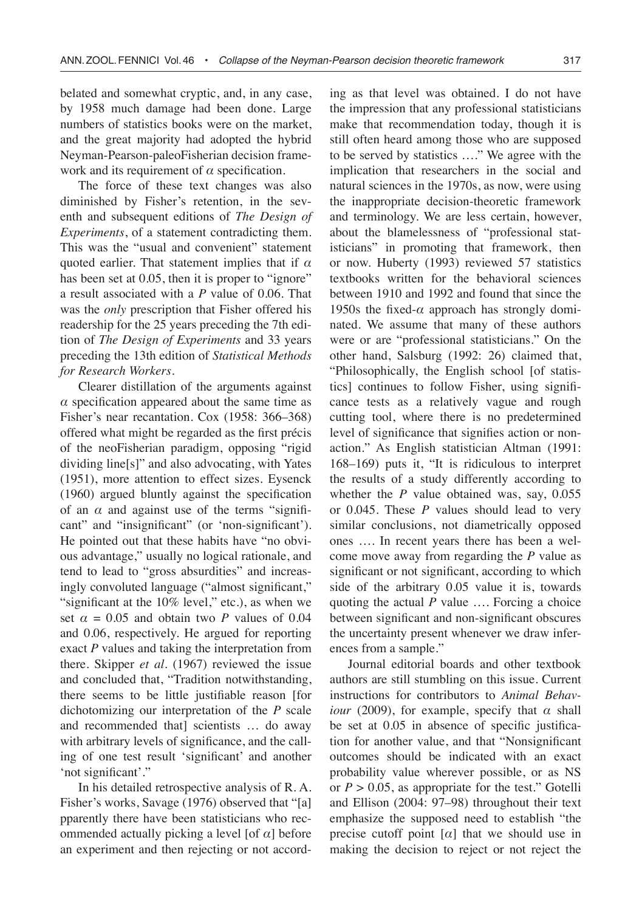belated and somewhat cryptic, and, in any case, by 1958 much damage had been done. Large numbers of statistics books were on the market, and the great majority had adopted the hybrid Neyman-Pearson-paleoFisherian decision framework and its requirement of *α* specification.

The force of these text changes was also diminished by Fisher's retention, in the seventh and subsequent editions of *The Design of Experiments*, of a statement contradicting them. This was the "usual and convenient" statement quoted earlier. That statement implies that if *α*  has been set at 0.05, then it is proper to "ignore" a result associated with a *P* value of 0.06. That was the *only* prescription that Fisher offered his readership for the 25 years preceding the 7th edition of *The Design of Experiments* and 33 years preceding the 13th edition of *Statistical Methods for Research Workers*.

Clearer distillation of the arguments against  $\alpha$  specification appeared about the same time as Fisher's near recantation. Cox (1958: 366–368) offered what might be regarded as the first précis of the neoFisherian paradigm, opposing "rigid dividing line[s]" and also advocating, with Yates (1951), more attention to effect sizes. Eysenck (1960) argued bluntly against the specification of an  $\alpha$  and against use of the terms "significant" and "insignificant" (or 'non-significant'). He pointed out that these habits have "no obvious advantage," usually no logical rationale, and tend to lead to "gross absurdities" and increasingly convoluted language ("almost significant," "significant at the 10% level," etc.), as when we set  $\alpha = 0.05$  and obtain two *P* values of 0.04 and 0.06, respectively. He argued for reporting exact *P* values and taking the interpretation from there. Skipper *et al*. (1967) reviewed the issue and concluded that, "Tradition notwithstanding, there seems to be little justifiable reason [for dichotomizing our interpretation of the *P* scale and recommended that] scientists … do away with arbitrary levels of significance, and the calling of one test result 'significant' and another 'not significant'."

In his detailed retrospective analysis of R. A. Fisher's works, Savage (1976) observed that "[a] pparently there have been statisticians who recommended actually picking a level [of *α*] before an experiment and then rejecting or not according as that level was obtained. I do not have the impression that any professional statisticians make that recommendation today, though it is still often heard among those who are supposed to be served by statistics …." We agree with the implication that researchers in the social and natural sciences in the 1970s, as now, were using the inappropriate decision-theoretic framework and terminology. We are less certain, however, about the blamelessness of "professional statisticians" in promoting that framework, then or now. Huberty (1993) reviewed 57 statistics textbooks written for the behavioral sciences between 1910 and 1992 and found that since the 1950s the fixed- $\alpha$  approach has strongly dominated. We assume that many of these authors were or are "professional statisticians." On the other hand, Salsburg (1992: 26) claimed that, "Philosophically, the English school [of statistics] continues to follow Fisher, using significance tests as a relatively vague and rough cutting tool, where there is no predetermined level of significance that signifies action or nonaction." As English statistician Altman (1991: 168–169) puts it, "It is ridiculous to interpret the results of a study differently according to whether the *P* value obtained was, say, 0.055 or 0.045. These *P* values should lead to very similar conclusions, not diametrically opposed ones …. In recent years there has been a welcome move away from regarding the *P* value as significant or not significant, according to which side of the arbitrary 0.05 value it is, towards quoting the actual *P* value …. Forcing a choice between significant and non-significant obscures the uncertainty present whenever we draw inferences from a sample."

Journal editorial boards and other textbook authors are still stumbling on this issue. Current instructions for contributors to *Animal Behaviour* (2009), for example, specify that *α* shall be set at 0.05 in absence of specific justification for another value, and that "Nonsignificant outcomes should be indicated with an exact probability value wherever possible, or as NS or  $P > 0.05$ , as appropriate for the test." Gotelli and Ellison (2004: 97–98) throughout their text emphasize the supposed need to establish "the precise cutoff point  $\lceil \alpha \rceil$  that we should use in making the decision to reject or not reject the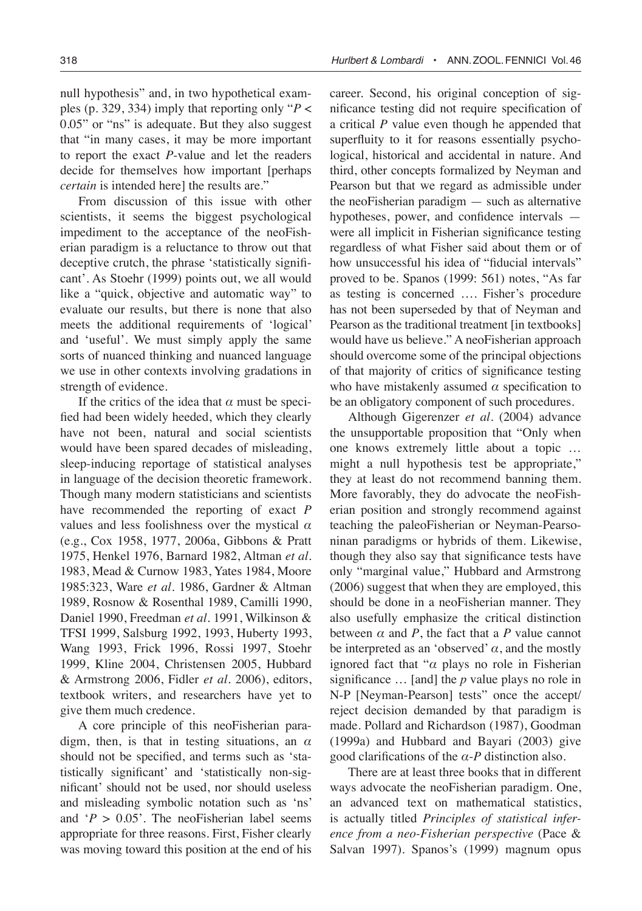null hypothesis" and, in two hypothetical examples (p. 329, 334) imply that reporting only "*P* < 0.05" or "ns" is adequate. But they also suggest that "in many cases, it may be more important to report the exact *P*-value and let the readers decide for themselves how important [perhaps *certain* is intended here] the results are."

From discussion of this issue with other scientists, it seems the biggest psychological impediment to the acceptance of the neoFisherian paradigm is a reluctance to throw out that deceptive crutch, the phrase 'statistically significant'. As Stoehr (1999) points out, we all would like a "quick, objective and automatic way" to evaluate our results, but there is none that also meets the additional requirements of 'logical' and 'useful'. We must simply apply the same sorts of nuanced thinking and nuanced language we use in other contexts involving gradations in strength of evidence.

If the critics of the idea that  $\alpha$  must be specified had been widely heeded, which they clearly have not been, natural and social scientists would have been spared decades of misleading, sleep-inducing reportage of statistical analyses in language of the decision theoretic framework. Though many modern statisticians and scientists have recommended the reporting of exact *P* values and less foolishness over the mystical *α*  (e.g., Cox 1958, 1977, 2006a, Gibbons & Pratt 1975, Henkel 1976, Barnard 1982, Altman *et al*. 1983, Mead & Curnow 1983, Yates 1984, Moore 1985:323, Ware *et al*. 1986, Gardner & Altman 1989, Rosnow & Rosenthal 1989, Camilli 1990, Daniel 1990, Freedman *et al*. 1991, Wilkinson & TFSI 1999, Salsburg 1992, 1993, Huberty 1993, Wang 1993, Frick 1996, Rossi 1997, Stoehr 1999, Kline 2004, Christensen 2005, Hubbard & Armstrong 2006, Fidler *et al*. 2006), editors, textbook writers, and researchers have yet to give them much credence.

A core principle of this neoFisherian paradigm, then, is that in testing situations, an *α*  should not be specified, and terms such as 'statistically significant' and 'statistically non-significant' should not be used, nor should useless and misleading symbolic notation such as 'ns' and  $P > 0.05$ . The neoFisherian label seems appropriate for three reasons. First, Fisher clearly was moving toward this position at the end of his career. Second, his original conception of significance testing did not require specification of a critical *P* value even though he appended that superfluity to it for reasons essentially psychological, historical and accidental in nature. And third, other concepts formalized by Neyman and Pearson but that we regard as admissible under the neoFisherian paradigm — such as alternative hypotheses, power, and confidence intervals were all implicit in Fisherian significance testing regardless of what Fisher said about them or of how unsuccessful his idea of "fiducial intervals" proved to be. Spanos (1999: 561) notes, "As far as testing is concerned …. Fisher's procedure has not been superseded by that of Neyman and Pearson as the traditional treatment [in textbooks] would have us believe." A neoFisherian approach should overcome some of the principal objections of that majority of critics of significance testing who have mistakenly assumed  $\alpha$  specification to be an obligatory component of such procedures.

Although Gigerenzer *et al*. (2004) advance the unsupportable proposition that "Only when one knows extremely little about a topic … might a null hypothesis test be appropriate," they at least do not recommend banning them. More favorably, they do advocate the neoFisherian position and strongly recommend against teaching the paleoFisherian or Neyman-Pearsoninan paradigms or hybrids of them. Likewise, though they also say that significance tests have only "marginal value," Hubbard and Armstrong (2006) suggest that when they are employed, this should be done in a neoFisherian manner. They also usefully emphasize the critical distinction between  $\alpha$  and  $P$ , the fact that a  $P$  value cannot be interpreted as an 'observed'  $\alpha$ , and the mostly ignored fact that "*α* plays no role in Fisherian significance … [and] the *p* value plays no role in N-P [Neyman-Pearson] tests" once the accept/ reject decision demanded by that paradigm is made. Pollard and Richardson (1987), Goodman (1999a) and Hubbard and Bayari (2003) give good clarifications of the *α*-*P* distinction also.

There are at least three books that in different ways advocate the neoFisherian paradigm. One, an advanced text on mathematical statistics, is actually titled *Principles of statistical inference from a neo-Fisherian perspective* (Pace & Salvan 1997). Spanos's (1999) magnum opus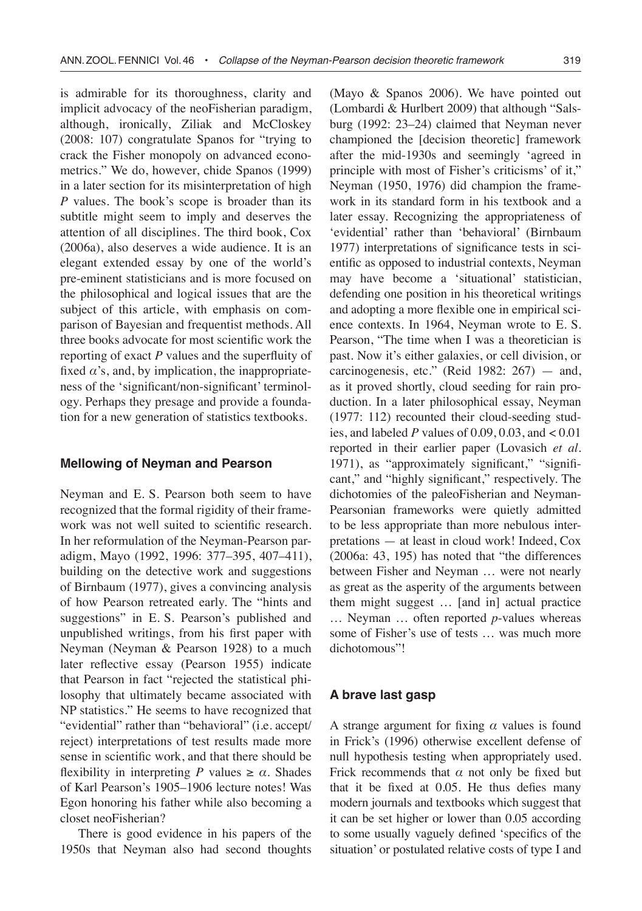is admirable for its thoroughness, clarity and implicit advocacy of the neoFisherian paradigm, although, ironically, Ziliak and McCloskey (2008: 107) congratulate Spanos for "trying to crack the Fisher monopoly on advanced econometrics." We do, however, chide Spanos (1999) in a later section for its misinterpretation of high *P* values. The book's scope is broader than its subtitle might seem to imply and deserves the attention of all disciplines. The third book, Cox (2006a), also deserves a wide audience. It is an elegant extended essay by one of the world's pre-eminent statisticians and is more focused on the philosophical and logical issues that are the subject of this article, with emphasis on comparison of Bayesian and frequentist methods. All three books advocate for most scientific work the reporting of exact *P* values and the superfluity of fixed  $\alpha$ 's, and, by implication, the inappropriateness of the 'significant/non-significant' terminology. Perhaps they presage and provide a foundation for a new generation of statistics textbooks.

## **Mellowing of Neyman and Pearson**

Neyman and E. S. Pearson both seem to have recognized that the formal rigidity of their framework was not well suited to scientific research. In her reformulation of the Neyman-Pearson paradigm, Mayo (1992, 1996: 377–395, 407–411), building on the detective work and suggestions of Birnbaum (1977), gives a convincing analysis of how Pearson retreated early. The "hints and suggestions" in E. S. Pearson's published and unpublished writings, from his first paper with Neyman (Neyman & Pearson 1928) to a much later reflective essay (Pearson 1955) indicate that Pearson in fact "rejected the statistical philosophy that ultimately became associated with NP statistics." He seems to have recognized that "evidential" rather than "behavioral" (i.e. accept/ reject) interpretations of test results made more sense in scientific work, and that there should be flexibility in interpreting *P* values  $\geq \alpha$ . Shades of Karl Pearson's 1905–1906 lecture notes! Was Egon honoring his father while also becoming a closet neoFisherian?

There is good evidence in his papers of the 1950s that Neyman also had second thoughts

(Mayo & Spanos 2006). We have pointed out (Lombardi & Hurlbert 2009) that although "Salsburg (1992: 23–24) claimed that Neyman never championed the [decision theoretic] framework after the mid-1930s and seemingly 'agreed in principle with most of Fisher's criticisms' of it," Neyman (1950, 1976) did champion the framework in its standard form in his textbook and a later essay. Recognizing the appropriateness of 'evidential' rather than 'behavioral' (Birnbaum 1977) interpretations of significance tests in scientific as opposed to industrial contexts, Neyman may have become a 'situational' statistician, defending one position in his theoretical writings and adopting a more flexible one in empirical science contexts. In 1964, Neyman wrote to E. S. Pearson, "The time when I was a theoretician is past. Now it's either galaxies, or cell division, or carcinogenesis, etc." (Reid 1982: 267) — and, as it proved shortly, cloud seeding for rain production. In a later philosophical essay, Neyman (1977: 112) recounted their cloud-seeding studies, and labeled  $P$  values of 0.09, 0.03, and  $< 0.01$ reported in their earlier paper (Lovasich *et al*. 1971), as "approximately significant," "significant," and "highly significant," respectively. The dichotomies of the paleoFisherian and Neyman-Pearsonian frameworks were quietly admitted to be less appropriate than more nebulous interpretations — at least in cloud work! Indeed, Cox (2006a: 43, 195) has noted that "the differences between Fisher and Neyman … were not nearly as great as the asperity of the arguments between them might suggest … [and in] actual practice … Neyman … often reported *p*-values whereas some of Fisher's use of tests … was much more dichotomous"!

### **A brave last gasp**

A strange argument for fixing *α* values is found in Frick's (1996) otherwise excellent defense of null hypothesis testing when appropriately used. Frick recommends that  $\alpha$  not only be fixed but that it be fixed at 0.05. He thus defies many modern journals and textbooks which suggest that it can be set higher or lower than 0.05 according to some usually vaguely defined 'specifics of the situation' or postulated relative costs of type I and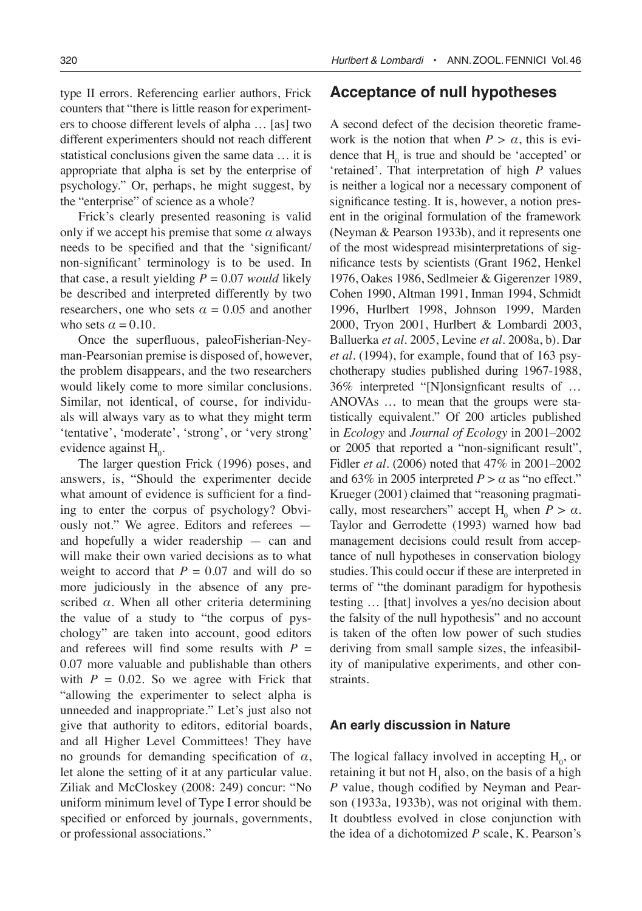type II errors. Referencing earlier authors, Frick counters that "there is little reason for experimenters to choose different levels of alpha … [as] two different experimenters should not reach different statistical conclusions given the same data … it is appropriate that alpha is set by the enterprise of psychology." Or, perhaps, he might suggest, by the "enterprise" of science as a whole?

Frick's clearly presented reasoning is valid only if we accept his premise that some  $\alpha$  always needs to be specified and that the 'significant/ non-significant' terminology is to be used. In that case, a result yielding  $P = 0.07$  *would* likely be described and interpreted differently by two researchers, one who sets  $\alpha = 0.05$  and another who sets  $\alpha = 0.10$ .

Once the superfluous, paleoFisherian-Neyman-Pearsonian premise is disposed of, however, the problem disappears, and the two researchers would likely come to more similar conclusions. Similar, not identical, of course, for individuals will always vary as to what they might term 'tentative', 'moderate', 'strong', or 'very strong' evidence against  $H_0$ .

The larger question Frick (1996) poses, and answers, is, "Should the experimenter decide what amount of evidence is sufficient for a finding to enter the corpus of psychology? Obviously not." We agree. Editors and referees and hopefully a wider readership — can and will make their own varied decisions as to what weight to accord that  $P = 0.07$  and will do so more judiciously in the absence of any prescribed  $\alpha$ . When all other criteria determining the value of a study to "the corpus of pyschology" are taken into account, good editors and referees will find some results with  $P =$ 0.07 more valuable and publishable than others with  $P = 0.02$ . So we agree with Frick that "allowing the experimenter to select alpha is unneeded and inappropriate." Let's just also not give that authority to editors, editorial boards, and all Higher Level Committees! They have no grounds for demanding specification of *α*, let alone the setting of it at any particular value. Ziliak and McCloskey (2008: 249) concur: "No uniform minimum level of Type I error should be specified or enforced by journals, governments, or professional associations."

# **Acceptance of null hypotheses**

A second defect of the decision theoretic framework is the notion that when  $P > \alpha$ , this is evidence that  $H_0$  is true and should be 'accepted' or 'retained'. That interpretation of high *P* values is neither a logical nor a necessary component of significance testing. It is, however, a notion present in the original formulation of the framework (Neyman & Pearson 1933b), and it represents one of the most widespread misinterpretations of significance tests by scientists (Grant 1962, Henkel 1976, Oakes 1986, Sedlmeier & Gigerenzer 1989, Cohen 1990, Altman 1991, Inman 1994, Schmidt 1996, Hurlbert 1998, Johnson 1999, Marden 2000, Tryon 2001, Hurlbert & Lombardi 2003, Balluerka *et al*. 2005, Levine *et al*. 2008a, b). Dar *et al*. (1994), for example, found that of 163 psychotherapy studies published during 1967-1988, 36% interpreted "[N]onsignficant results of … ANOVAs … to mean that the groups were statistically equivalent." Of 200 articles published in *Ecology* and *Journal of Ecology* in 2001–2002 or 2005 that reported a "non-significant result", Fidler *et al*. (2006) noted that 47% in 2001–2002 and 63% in 2005 interpreted  $P > \alpha$  as "no effect." Krueger (2001) claimed that "reasoning pragmatically, most researchers" accept  $H_0$  when  $P > \alpha$ . Taylor and Gerrodette (1993) warned how bad management decisions could result from acceptance of null hypotheses in conservation biology studies. This could occur if these are interpreted in terms of "the dominant paradigm for hypothesis testing … [that] involves a yes/no decision about the falsity of the null hypothesis" and no account is taken of the often low power of such studies deriving from small sample sizes, the infeasibility of manipulative experiments, and other constraints.

#### **An early discussion in Nature**

The logical fallacy involved in accepting  $H_0$ , or retaining it but not  $H_1$  also, on the basis of a high *P* value, though codified by Neyman and Pearson (1933a, 1933b), was not original with them. It doubtless evolved in close conjunction with the idea of a dichotomized *P* scale, K. Pearson's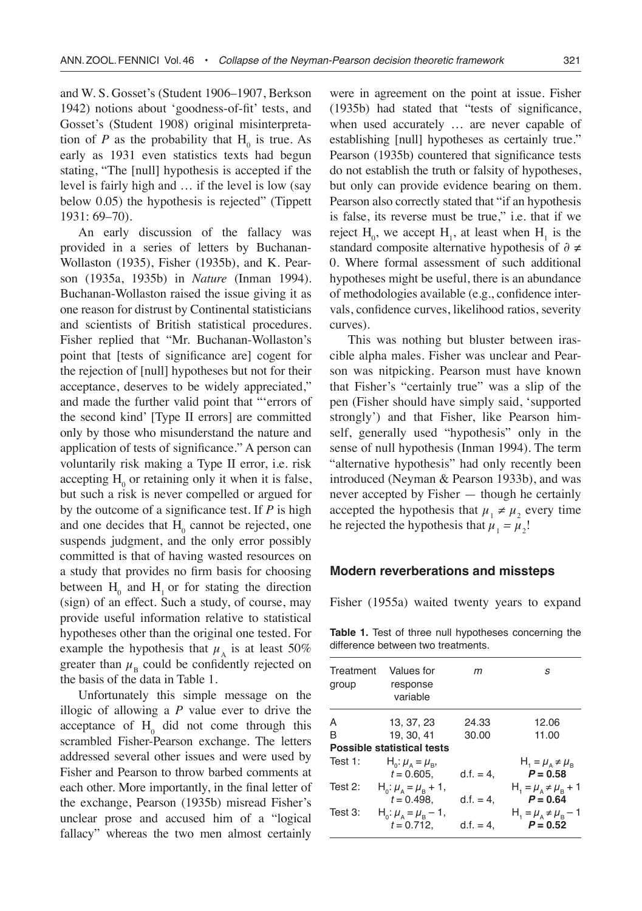and W. S. Gosset's (Student 1906–1907, Berkson 1942) notions about 'goodness-of-fit' tests, and Gosset's (Student 1908) original misinterpretation of *P* as the probability that  $H_0$  is true. As early as 1931 even statistics texts had begun stating, "The [null] hypothesis is accepted if the level is fairly high and … if the level is low (say below 0.05) the hypothesis is rejected" (Tippett 1931: 69–70).

An early discussion of the fallacy was provided in a series of letters by Buchanan-Wollaston (1935), Fisher (1935b), and K. Pearson (1935a, 1935b) in *Nature* (Inman 1994). Buchanan-Wollaston raised the issue giving it as one reason for distrust by Continental statisticians and scientists of British statistical procedures. Fisher replied that "Mr. Buchanan-Wollaston's point that [tests of significance are] cogent for the rejection of [null] hypotheses but not for their acceptance, deserves to be widely appreciated," and made the further valid point that "'errors of the second kind' [Type II errors] are committed only by those who misunderstand the nature and application of tests of significance." A person can voluntarily risk making a Type II error, i.e. risk accepting  $H_0$  or retaining only it when it is false, but such a risk is never compelled or argued for by the outcome of a significance test. If *P* is high and one decides that  $H_0$  cannot be rejected, one suspends judgment, and the only error possibly committed is that of having wasted resources on a study that provides no firm basis for choosing between  $H_0$  and  $H_1$  or for stating the direction (sign) of an effect. Such a study, of course, may provide useful information relative to statistical hypotheses other than the original one tested. For example the hypothesis that  $\mu_A$  is at least 50% greater than  $\mu_{\rm B}$  could be confidently rejected on the basis of the data in Table 1.

Unfortunately this simple message on the illogic of allowing a *P* value ever to drive the acceptance of  $H_0$  did not come through this scrambled Fisher-Pearson exchange. The letters addressed several other issues and were used by Fisher and Pearson to throw barbed comments at each other. More importantly, in the final letter of the exchange, Pearson (1935b) misread Fisher's unclear prose and accused him of a "logical fallacy" whereas the two men almost certainly

were in agreement on the point at issue. Fisher (1935b) had stated that "tests of significance, when used accurately … are never capable of establishing [null] hypotheses as certainly true." Pearson (1935b) countered that significance tests do not establish the truth or falsity of hypotheses, but only can provide evidence bearing on them. Pearson also correctly stated that "if an hypothesis is false, its reverse must be true," i.e. that if we reject  $H_0$ , we accept  $H_1$ , at least when  $H_1$  is the standard composite alternative hypothesis of ∂ ≠ 0. Where formal assessment of such additional hypotheses might be useful, there is an abundance of methodologies available (e.g., confidence intervals, confidence curves, likelihood ratios, severity curves).

This was nothing but bluster between irascible alpha males. Fisher was unclear and Pearson was nitpicking. Pearson must have known that Fisher's "certainly true" was a slip of the pen (Fisher should have simply said, 'supported strongly') and that Fisher, like Pearson himself, generally used "hypothesis" only in the sense of null hypothesis (Inman 1994). The term "alternative hypothesis" had only recently been introduced (Neyman & Pearson 1933b), and was never accepted by Fisher — though he certainly accepted the hypothesis that  $\mu_1 \neq \mu_2$  every time he rejected the hypothesis that  $\mu_1 = \mu_2!$ 

## **Modern reverberations and missteps**

Fisher (1955a) waited twenty years to expand

**Table 1.** Test of three null hypotheses concerning the difference between two treatments.

| Treatment<br>group | Values for<br>response<br>variable                        | m            | S                                                      |
|--------------------|-----------------------------------------------------------|--------------|--------------------------------------------------------|
| A                  | 13.37.23                                                  | 24.33        | 12.06                                                  |
| B                  | 19.30.41                                                  | 30.00        | 11.00                                                  |
|                    | Possible statistical tests                                |              |                                                        |
| Test $1$ :         | $H_{0}: \mu_{A} = \mu_{B}$<br>$t = 0.605$ .               | $d.f. = 4.$  | $H_i = \mu_A \neq \mu_B$<br>$P = 0.58$                 |
| Test $2$ :         | $H_0: \mu_{\alpha} = \mu_{\alpha} + 1$ ,<br>$t = 0.498$ . | $d.f. = 4$ , | $H_1 = \mu_{1} \neq \mu_{2} + 1$<br>$P = 0.64$         |
| Test $3$ :         | $H_0: \mu_{\alpha} = \mu_{\alpha} - 1$ ,<br>$t = 0.712$ . | $d.f. = 4.$  | $H_1 = \mu_{\rm A} \neq \mu_{\rm B} - 1$<br>$P = 0.52$ |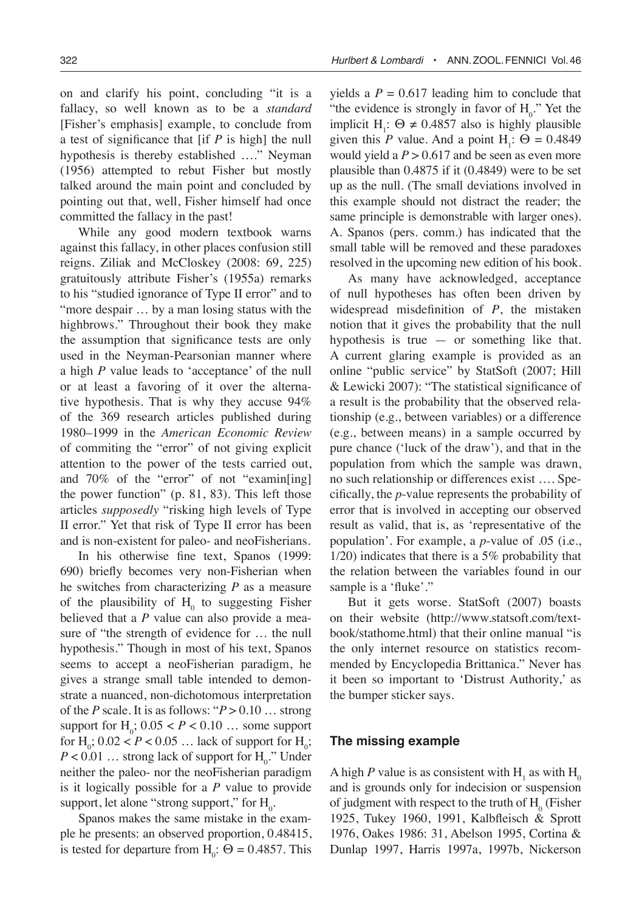on and clarify his point, concluding "it is a fallacy, so well known as to be a *standard* [Fisher's emphasis] example, to conclude from a test of significance that [if *P* is high] the null hypothesis is thereby established …." Neyman (1956) attempted to rebut Fisher but mostly talked around the main point and concluded by pointing out that, well, Fisher himself had once committed the fallacy in the past!

While any good modern textbook warns against this fallacy, in other places confusion still reigns. Ziliak and McCloskey (2008: 69, 225) gratuitously attribute Fisher's (1955a) remarks to his "studied ignorance of Type II error" and to "more despair ... by a man losing status with the highbrows." Throughout their book they make the assumption that significance tests are only used in the Neyman-Pearsonian manner where a high *P* value leads to 'acceptance' of the null or at least a favoring of it over the alternative hypothesis. That is why they accuse 94% of the 369 research articles published during 1980–1999 in the *American Economic Review* of commiting the "error" of not giving explicit attention to the power of the tests carried out, and 70% of the "error" of not "examin[ing] the power function" (p. 81, 83). This left those articles *supposedly* "risking high levels of Type II error." Yet that risk of Type II error has been and is non-existent for paleo- and neoFisherians.

In his otherwise fine text, Spanos (1999: 690) briefly becomes very non-Fisherian when he switches from characterizing *P* as a measure of the plausibility of  $H_0$  to suggesting Fisher believed that a *P* value can also provide a measure of "the strength of evidence for … the null hypothesis." Though in most of his text, Spanos seems to accept a neoFisherian paradigm, he gives a strange small table intended to demonstrate a nuanced, non-dichotomous interpretation of the *P* scale. It is as follows: " $P > 0.10$  ... strong support for  $H_0$ ;  $0.05 < P < 0.10$  ... some support for H<sub>0</sub>;  $0.02 < P < 0.05$  ... lack of support for H<sub>0</sub>;  $P < 0.01$  ... strong lack of support for  $H_0$ ." Under neither the paleo- nor the neoFisherian paradigm is it logically possible for a *P* value to provide support, let alone "strong support," for  $H_0$ .

Spanos makes the same mistake in the example he presents: an observed proportion, 0.48415, is tested for departure from  $H_0$ :  $\Theta = 0.4857$ . This yields a  $P = 0.617$  leading him to conclude that "the evidence is strongly in favor of  $H_0$ ." Yet the implicit H<sub>1</sub>:  $\Theta \neq 0.4857$  also is highly plausible given this *P* value. And a point  $H_1$ :  $\Theta = 0.4849$ would yield a  $P > 0.617$  and be seen as even more plausible than 0.4875 if it (0.4849) were to be set up as the null. (The small deviations involved in this example should not distract the reader; the same principle is demonstrable with larger ones). A. Spanos (pers. comm.) has indicated that the small table will be removed and these paradoxes resolved in the upcoming new edition of his book.

As many have acknowledged, acceptance of null hypotheses has often been driven by widespread misdefinition of *P*, the mistaken notion that it gives the probability that the null hypothesis is true  $-$  or something like that. A current glaring example is provided as an online "public service" by StatSoft (2007; Hill & Lewicki 2007): "The statistical significance of a result is the probability that the observed relationship (e.g., between variables) or a difference (e.g., between means) in a sample occurred by pure chance ('luck of the draw'), and that in the population from which the sample was drawn, no such relationship or differences exist …. Specifically, the *p*-value represents the probability of error that is involved in accepting our observed result as valid, that is, as 'representative of the population'. For example, a *p*-value of .05 (i.e., 1/20) indicates that there is a 5% probability that the relation between the variables found in our sample is a 'fluke'."

But it gets worse. StatSoft (2007) boasts on their website (http://www.statsoft.com/textbook/stathome.html) that their online manual "is the only internet resource on statistics recommended by Encyclopedia Brittanica." Never has it been so important to 'Distrust Authority,' as the bumper sticker says.

### **The missing example**

A high *P* value is as consistent with  $H_1$  as with  $H_0$ and is grounds only for indecision or suspension of judgment with respect to the truth of  $H_0$  (Fisher 1925, Tukey 1960, 1991, Kalbfleisch & Sprott 1976, Oakes 1986: 31, Abelson 1995, Cortina & Dunlap 1997, Harris 1997a, 1997b, Nickerson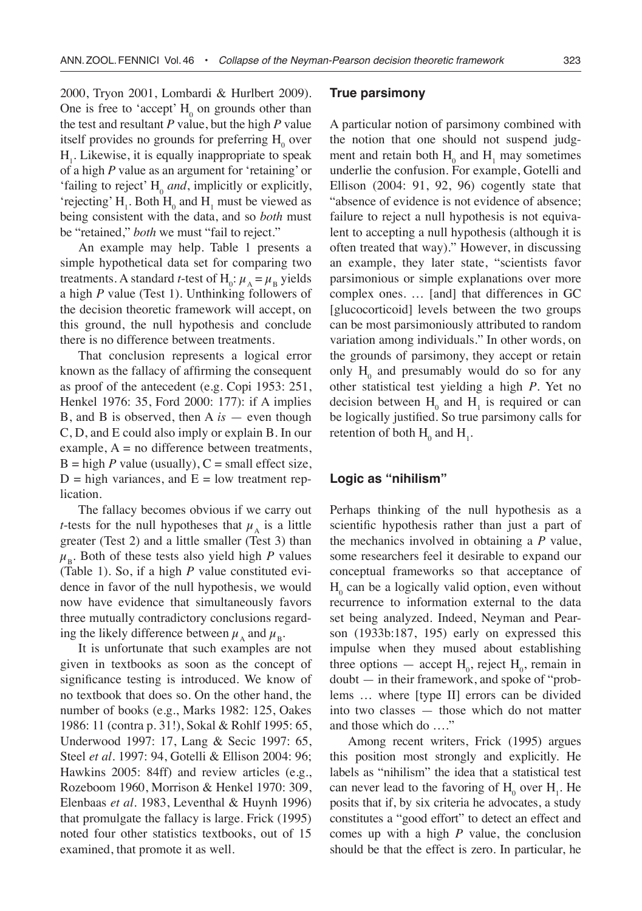2000, Tryon 2001, Lombardi & Hurlbert 2009). One is free to 'accept'  $H_0$  on grounds other than the test and resultant *P* value, but the high *P* value itself provides no grounds for preferring  $H_0$  over  $H<sub>1</sub>$ . Likewise, it is equally inappropriate to speak of a high *P* value as an argument for 'retaining' or 'failing to reject'  $H_0$  *and*, implicitly or explicitly, 'rejecting'  $H_1$ . Both  $H_0$  and  $H_1$  must be viewed as being consistent with the data, and so *both* must be "retained," *both* we must "fail to reject."

An example may help. Table 1 presents a simple hypothetical data set for comparing two treatments. A standard *t*-test of  $H_0: \mu_A = \mu_B$  yields a high *P* value (Test 1). Unthinking followers of the decision theoretic framework will accept, on this ground, the null hypothesis and conclude there is no difference between treatments.

That conclusion represents a logical error known as the fallacy of affirming the consequent as proof of the antecedent (e.g. Copi 1953: 251, Henkel 1976: 35, Ford 2000: 177): if A implies B, and B is observed, then A *is* — even though C, D, and E could also imply or explain B. In our example,  $A = no$  difference between treatments,  $B =$ high *P* value (usually),  $C =$  small effect size,  $D =$  high variances, and  $E =$  low treatment replication.

The fallacy becomes obvious if we carry out *t*-tests for the null hypotheses that  $\mu_{\lambda}$  is a little greater (Test 2) and a little smaller (Test 3) than  $\mu_{\rm B}$ . Both of these tests also yield high *P* values (Table 1). So, if a high *P* value constituted evidence in favor of the null hypothesis, we would now have evidence that simultaneously favors three mutually contradictory conclusions regarding the likely difference between  $\mu_A$  and  $\mu_B$ .

It is unfortunate that such examples are not given in textbooks as soon as the concept of significance testing is introduced. We know of no textbook that does so. On the other hand, the number of books (e.g., Marks 1982: 125, Oakes 1986: 11 (contra p. 31!), Sokal & Rohlf 1995: 65, Underwood 1997: 17, Lang & Secic 1997: 65, Steel *et al*. 1997: 94, Gotelli & Ellison 2004: 96; Hawkins 2005: 84ff) and review articles (e.g., Rozeboom 1960, Morrison & Henkel 1970: 309, Elenbaas *et al*. 1983, Leventhal & Huynh 1996) that promulgate the fallacy is large. Frick (1995) noted four other statistics textbooks, out of 15 examined, that promote it as well.

### **True parsimony**

A particular notion of parsimony combined with the notion that one should not suspend judgment and retain both  $H_0$  and  $H_1$  may sometimes underlie the confusion. For example, Gotelli and Ellison (2004: 91, 92, 96) cogently state that "absence of evidence is not evidence of absence; failure to reject a null hypothesis is not equivalent to accepting a null hypothesis (although it is often treated that way)." However, in discussing an example, they later state, "scientists favor parsimonious or simple explanations over more complex ones. … [and] that differences in GC [glucocorticoid] levels between the two groups can be most parsimoniously attributed to random variation among individuals." In other words, on the grounds of parsimony, they accept or retain only  $H_0$  and presumably would do so for any other statistical test yielding a high *P*. Yet no decision between  $H_0$  and  $H_1$  is required or can be logically justified. So true parsimony calls for retention of both  $H_0$  and  $H_1$ .

## **Logic as "nihilism"**

Perhaps thinking of the null hypothesis as a scientific hypothesis rather than just a part of the mechanics involved in obtaining a *P* value, some researchers feel it desirable to expand our conceptual frameworks so that acceptance of  $H_0$  can be a logically valid option, even without recurrence to information external to the data set being analyzed. Indeed, Neyman and Pearson (1933b:187, 195) early on expressed this impulse when they mused about establishing three options — accept  $H_0$ , reject  $H_0$ , remain in doubt — in their framework, and spoke of "problems … where [type II] errors can be divided into two classes — those which do not matter and those which do …."

Among recent writers, Frick (1995) argues this position most strongly and explicitly. He labels as "nihilism" the idea that a statistical test can never lead to the favoring of  $H_0$  over  $H_1$ . He posits that if, by six criteria he advocates, a study constitutes a "good effort" to detect an effect and comes up with a high *P* value, the conclusion should be that the effect is zero. In particular, he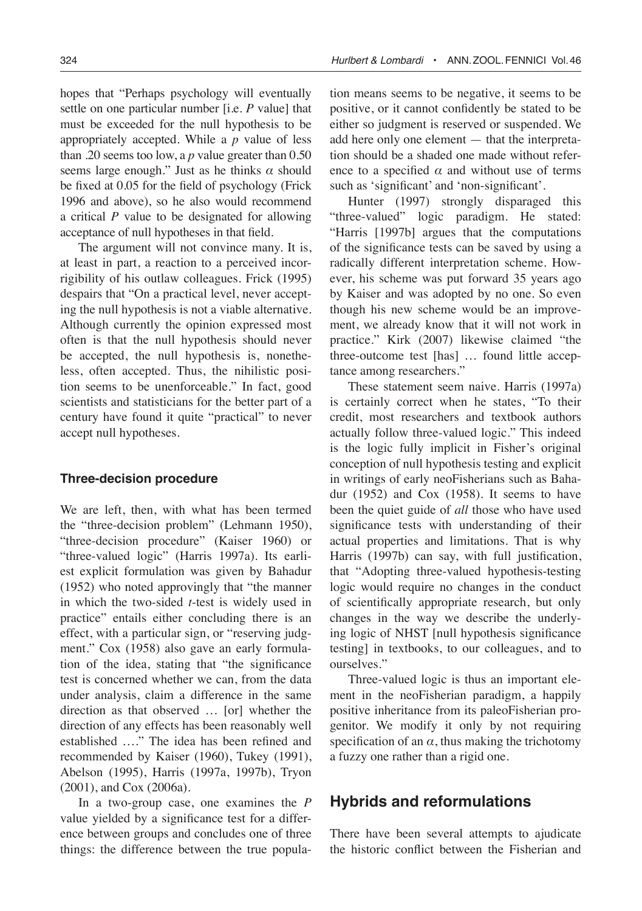hopes that "Perhaps psychology will eventually settle on one particular number [i.e. *P* value] that must be exceeded for the null hypothesis to be appropriately accepted. While a *p* value of less than .20 seems too low, a *p* value greater than 0.50 seems large enough." Just as he thinks *α* should be fixed at 0.05 for the field of psychology (Frick 1996 and above), so he also would recommend a critical *P* value to be designated for allowing acceptance of null hypotheses in that field.

The argument will not convince many. It is, at least in part, a reaction to a perceived incorrigibility of his outlaw colleagues. Frick (1995) despairs that "On a practical level, never accepting the null hypothesis is not a viable alternative. Although currently the opinion expressed most often is that the null hypothesis should never be accepted, the null hypothesis is, nonetheless, often accepted. Thus, the nihilistic position seems to be unenforceable." In fact, good scientists and statisticians for the better part of a century have found it quite "practical" to never accept null hypotheses.

#### **Three-decision procedure**

We are left, then, with what has been termed the "three-decision problem" (Lehmann 1950), "three-decision procedure" (Kaiser 1960) or "three-valued logic" (Harris 1997a). Its earliest explicit formulation was given by Bahadur (1952) who noted approvingly that "the manner in which the two-sided *t*-test is widely used in practice" entails either concluding there is an effect, with a particular sign, or "reserving judgment." Cox (1958) also gave an early formulation of the idea, stating that "the significance test is concerned whether we can, from the data under analysis, claim a difference in the same direction as that observed … [or] whether the direction of any effects has been reasonably well established …." The idea has been refined and recommended by Kaiser (1960), Tukey (1991), Abelson (1995), Harris (1997a, 1997b), Tryon (2001), and Cox (2006a).

In a two-group case, one examines the *P* value yielded by a significance test for a difference between groups and concludes one of three things: the difference between the true population means seems to be negative, it seems to be positive, or it cannot confidently be stated to be either so judgment is reserved or suspended. We add here only one element — that the interpretation should be a shaded one made without reference to a specified  $\alpha$  and without use of terms such as 'significant' and 'non-significant'.

Hunter (1997) strongly disparaged this "three-valued" logic paradigm. He stated: "Harris [1997b] argues that the computations of the significance tests can be saved by using a radically different interpretation scheme. However, his scheme was put forward 35 years ago by Kaiser and was adopted by no one. So even though his new scheme would be an improvement, we already know that it will not work in practice." Kirk (2007) likewise claimed "the three-outcome test [has] … found little acceptance among researchers."

These statement seem naive. Harris (1997a) is certainly correct when he states, "To their credit, most researchers and textbook authors actually follow three-valued logic." This indeed is the logic fully implicit in Fisher's original conception of null hypothesis testing and explicit in writings of early neoFisherians such as Bahadur (1952) and Cox (1958). It seems to have been the quiet guide of *all* those who have used significance tests with understanding of their actual properties and limitations. That is why Harris (1997b) can say, with full justification, that "Adopting three-valued hypothesis-testing logic would require no changes in the conduct of scientifically appropriate research, but only changes in the way we describe the underlying logic of NHST [null hypothesis significance testing] in textbooks, to our colleagues, and to ourselves."

Three-valued logic is thus an important element in the neoFisherian paradigm, a happily positive inheritance from its paleoFisherian progenitor. We modify it only by not requiring specification of an  $\alpha$ , thus making the trichotomy a fuzzy one rather than a rigid one.

# **Hybrids and reformulations**

There have been several attempts to ajudicate the historic conflict between the Fisherian and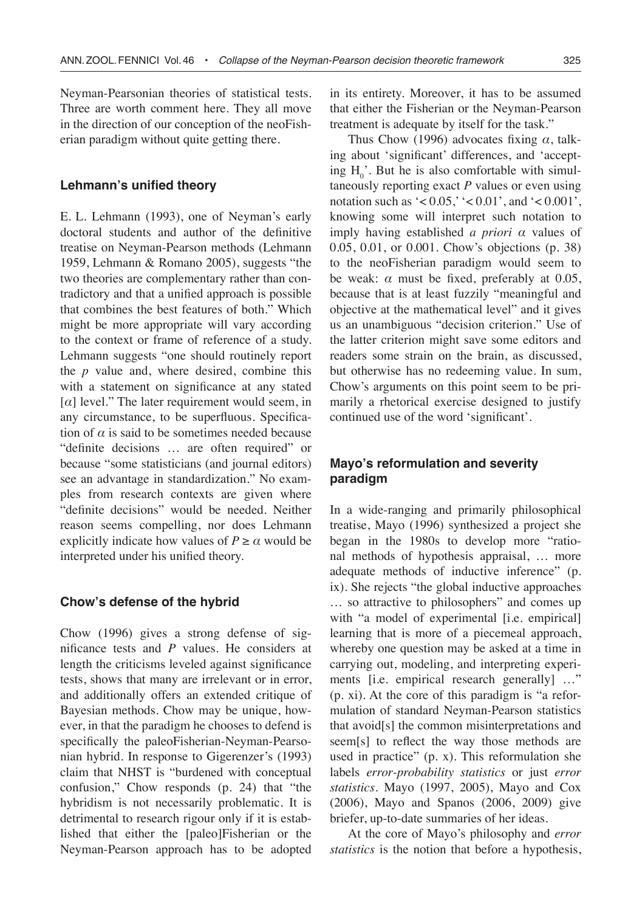Neyman-Pearsonian theories of statistical tests. Three are worth comment here. They all move in the direction of our conception of the neoFisherian paradigm without quite getting there.

#### **Lehmann's unified theory**

E. L. Lehmann (1993), one of Neyman's early doctoral students and author of the definitive treatise on Neyman-Pearson methods (Lehmann 1959, Lehmann & Romano 2005), suggests "the two theories are complementary rather than contradictory and that a unified approach is possible that combines the best features of both." Which might be more appropriate will vary according to the context or frame of reference of a study. Lehmann suggests "one should routinely report the *p* value and, where desired, combine this with a statement on significance at any stated [*α*] level." The later requirement would seem, in any circumstance, to be superfluous. Specification of  $\alpha$  is said to be sometimes needed because "definite decisions … are often required" or because "some statisticians (and journal editors) see an advantage in standardization." No examples from research contexts are given where "definite decisions" would be needed. Neither reason seems compelling, nor does Lehmann explicitly indicate how values of  $P \ge \alpha$  would be interpreted under his unified theory.

### **Chow's defense of the hybrid**

Chow (1996) gives a strong defense of significance tests and *P* values. He considers at length the criticisms leveled against significance tests, shows that many are irrelevant or in error, and additionally offers an extended critique of Bayesian methods. Chow may be unique, however, in that the paradigm he chooses to defend is specifically the paleoFisherian-Neyman-Pearsonian hybrid. In response to Gigerenzer's (1993) claim that NHST is "burdened with conceptual confusion," Chow responds (p. 24) that "the hybridism is not necessarily problematic. It is detrimental to research rigour only if it is established that either the [paleo]Fisherian or the Neyman-Pearson approach has to be adopted in its entirety. Moreover, it has to be assumed that either the Fisherian or the Neyman-Pearson treatment is adequate by itself for the task."

Thus Chow (1996) advocates fixing *α*, talking about 'significant' differences, and 'accepting  $H_0^{\dagger}$ . But he is also comfortable with simultaneously reporting exact *P* values or even using notation such as  $\leq 0.05$ ,  $\leq 0.01$ , and  $\leq 0.001$ , knowing some will interpret such notation to imply having established *a priori α* values of 0.05, 0.01, or 0.001. Chow's objections (p. 38) to the neoFisherian paradigm would seem to be weak:  $\alpha$  must be fixed, preferably at 0.05, because that is at least fuzzily "meaningful and objective at the mathematical level" and it gives us an unambiguous "decision criterion." Use of the latter criterion might save some editors and readers some strain on the brain, as discussed, but otherwise has no redeeming value. In sum, Chow's arguments on this point seem to be primarily a rhetorical exercise designed to justify continued use of the word 'significant'.

# **Mayo's reformulation and severity paradigm**

In a wide-ranging and primarily philosophical treatise, Mayo (1996) synthesized a project she began in the 1980s to develop more "rational methods of hypothesis appraisal, … more adequate methods of inductive inference" (p. ix). She rejects "the global inductive approaches … so attractive to philosophers" and comes up with "a model of experimental [i.e. empirical] learning that is more of a piecemeal approach, whereby one question may be asked at a time in carrying out, modeling, and interpreting experiments [i.e. empirical research generally] …" (p. xi). At the core of this paradigm is "a reformulation of standard Neyman-Pearson statistics that avoid[s] the common misinterpretations and seem[s] to reflect the way those methods are used in practice" (p. x). This reformulation she labels *error-probability statistics* or just *error statistics*. Mayo (1997, 2005), Mayo and Cox (2006), Mayo and Spanos (2006, 2009) give briefer, up-to-date summaries of her ideas.

At the core of Mayo's philosophy and *error statistics* is the notion that before a hypothesis,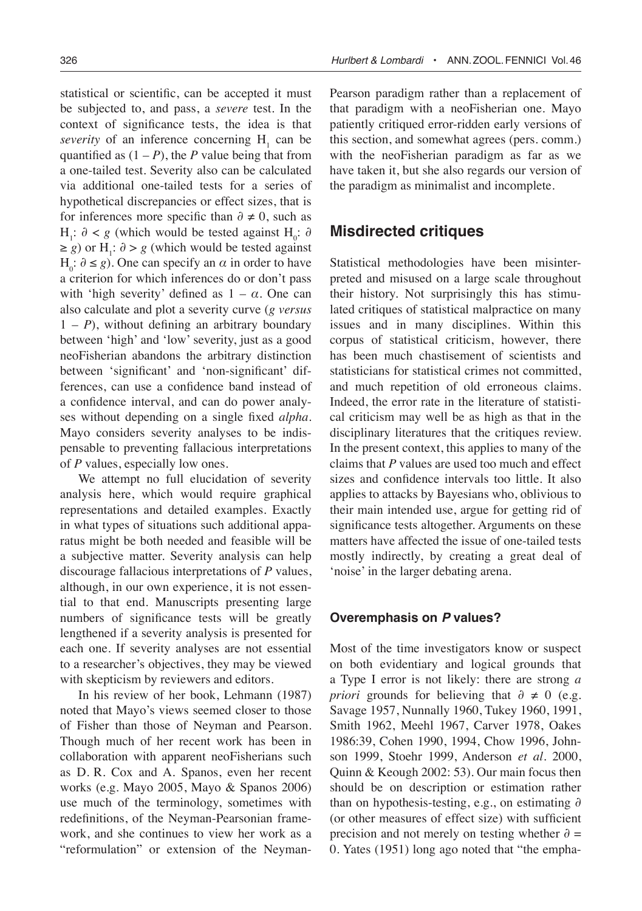statistical or scientific, can be accepted it must be subjected to, and pass, a *severe* test. In the context of significance tests, the idea is that Pearson paradigm rather than a replacement of that paradigm with a neoFisherian one. Mayo patiently critiqued error-ridden early versions of this section, and somewhat agrees (pers. comm.) with the neoFisherian paradigm as far as we have taken it, but she also regards our version of the paradigm as minimalist and incomplete.

# **Misdirected critiques**

Statistical methodologies have been misinterpreted and misused on a large scale throughout their history. Not surprisingly this has stimulated critiques of statistical malpractice on many issues and in many disciplines. Within this corpus of statistical criticism, however, there has been much chastisement of scientists and statisticians for statistical crimes not committed, and much repetition of old erroneous claims. Indeed, the error rate in the literature of statistical criticism may well be as high as that in the disciplinary literatures that the critiques review. In the present context, this applies to many of the claims that *P* values are used too much and effect sizes and confidence intervals too little. It also applies to attacks by Bayesians who, oblivious to their main intended use, argue for getting rid of significance tests altogether. Arguments on these matters have affected the issue of one-tailed tests mostly indirectly, by creating a great deal of 'noise' in the larger debating arena.

# **Overemphasis on P values?**

Most of the time investigators know or suspect on both evidentiary and logical grounds that a Type I error is not likely: there are strong *a priori* grounds for believing that  $\partial \neq 0$  (e.g. Savage 1957, Nunnally 1960, Tukey 1960, 1991, Smith 1962, Meehl 1967, Carver 1978, Oakes 1986:39, Cohen 1990, 1994, Chow 1996, Johnson 1999, Stoehr 1999, Anderson *et al*. 2000, Quinn & Keough 2002: 53). Our main focus then should be on description or estimation rather than on hypothesis-testing, e.g., on estimating *∂* (or other measures of effect size) with sufficient precision and not merely on testing whether *∂* = 0. Yates (1951) long ago noted that "the empha-

*severity* of an inference concerning  $H_1$  can be quantified as  $(1 - P)$ , the *P* value being that from a one-tailed test. Severity also can be calculated via additional one-tailed tests for a series of hypothetical discrepancies or effect sizes, that is for inferences more specific than  $\partial \neq 0$ , such as H<sub>1</sub>:  $\partial$  < *g* (which would be tested against H<sub>0</sub>:  $\partial$  $\ge$  *g*) or H<sub>1</sub>:  $\partial$  > *g* (which would be tested against  $H<sub>o</sub>: ∂ ≤ g$ ). One can specify an *α* in order to have a criterion for which inferences do or don't pass with 'high severity' defined as  $1 - \alpha$ . One can also calculate and plot a severity curve (*g versus*  $1 - P$ ), without defining an arbitrary boundary between 'high' and 'low' severity, just as a good neoFisherian abandons the arbitrary distinction between 'significant' and 'non-significant' differences, can use a confidence band instead of a confidence interval, and can do power analyses without depending on a single fixed *alpha*. Mayo considers severity analyses to be indispensable to preventing fallacious interpretations of *P* values, especially low ones.

We attempt no full elucidation of severity analysis here, which would require graphical representations and detailed examples. Exactly in what types of situations such additional apparatus might be both needed and feasible will be a subjective matter. Severity analysis can help discourage fallacious interpretations of *P* values, although, in our own experience, it is not essential to that end. Manuscripts presenting large numbers of significance tests will be greatly lengthened if a severity analysis is presented for each one. If severity analyses are not essential to a researcher's objectives, they may be viewed with skepticism by reviewers and editors.

In his review of her book, Lehmann (1987) noted that Mayo's views seemed closer to those of Fisher than those of Neyman and Pearson. Though much of her recent work has been in collaboration with apparent neoFisherians such as D. R. Cox and A. Spanos, even her recent works (e.g. Mayo 2005, Mayo & Spanos 2006) use much of the terminology, sometimes with redefinitions, of the Neyman-Pearsonian framework, and she continues to view her work as a "reformulation" or extension of the Neyman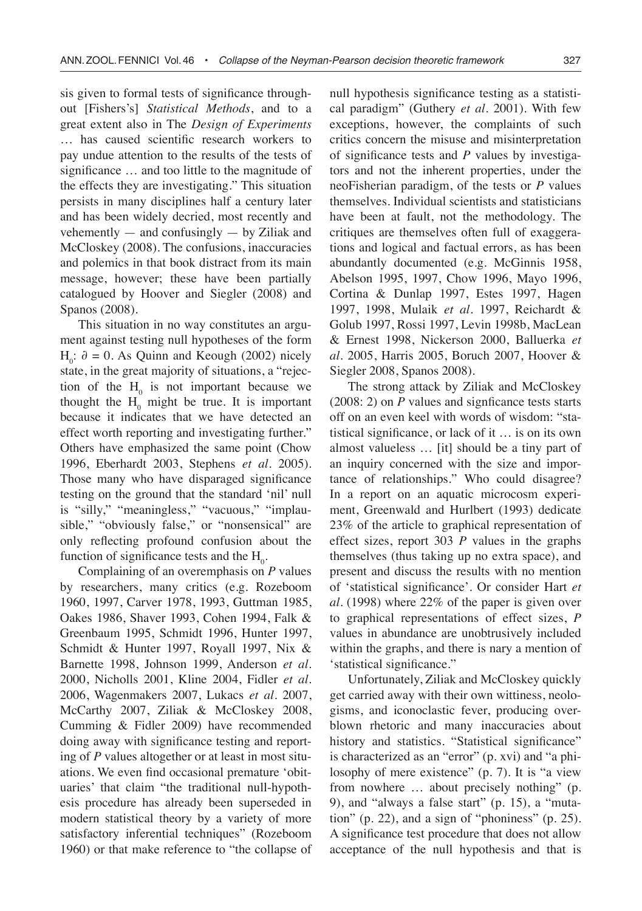sis given to formal tests of significance throughout [Fishers's] *Statistical Methods*, and to a great extent also in The *Design of Experiments* … has caused scientific research workers to pay undue attention to the results of the tests of significance … and too little to the magnitude of the effects they are investigating." This situation persists in many disciplines half a century later and has been widely decried, most recently and vehemently  $-$  and confusingly  $-$  by Ziliak and McCloskey (2008). The confusions, inaccuracies and polemics in that book distract from its main message, however; these have been partially catalogued by Hoover and Siegler (2008) and Spanos (2008).

This situation in no way constitutes an argument against testing null hypotheses of the form H<sub>0</sub>:  $\partial$  = 0. As Quinn and Keough (2002) nicely state, in the great majority of situations, a "rejection of the  $H_0$  is not important because we thought the  $H_0$  might be true. It is important because it indicates that we have detected an effect worth reporting and investigating further." Others have emphasized the same point (Chow 1996, Eberhardt 2003, Stephens *et al*. 2005). Those many who have disparaged significance testing on the ground that the standard 'nil' null is "silly," "meaningless," "vacuous," "implausible," "obviously false," or "nonsensical" are only reflecting profound confusion about the function of significance tests and the  $H_0$ .

Complaining of an overemphasis on *P* values by researchers, many critics (e.g. Rozeboom 1960, 1997, Carver 1978, 1993, Guttman 1985, Oakes 1986, Shaver 1993, Cohen 1994, Falk & Greenbaum 1995, Schmidt 1996, Hunter 1997, Schmidt & Hunter 1997, Royall 1997, Nix & Barnette 1998, Johnson 1999, Anderson *et al*. 2000, Nicholls 2001, Kline 2004, Fidler *et al*. 2006, Wagenmakers 2007, Lukacs *et al.* 2007, McCarthy 2007, Ziliak & McCloskey 2008, Cumming & Fidler 2009) have recommended doing away with significance testing and reporting of *P* values altogether or at least in most situations. We even find occasional premature 'obituaries' that claim "the traditional null-hypothesis procedure has already been superseded in modern statistical theory by a variety of more satisfactory inferential techniques" (Rozeboom 1960) or that make reference to "the collapse of null hypothesis significance testing as a statistical paradigm" (Guthery *et al.* 2001). With few exceptions, however, the complaints of such critics concern the misuse and misinterpretation of significance tests and *P* values by investigators and not the inherent properties, under the neoFisherian paradigm, of the tests or *P* values themselves. Individual scientists and statisticians have been at fault, not the methodology. The critiques are themselves often full of exaggerations and logical and factual errors, as has been abundantly documented (e.g. McGinnis 1958, Abelson 1995, 1997, Chow 1996, Mayo 1996, Cortina & Dunlap 1997, Estes 1997, Hagen 1997, 1998, Mulaik *et al*. 1997, Reichardt & Golub 1997, Rossi 1997, Levin 1998b, MacLean & Ernest 1998, Nickerson 2000, Balluerka *et al.* 2005, Harris 2005, Boruch 2007, Hoover & Siegler 2008, Spanos 2008).

The strong attack by Ziliak and McCloskey (2008: 2) on *P* values and signficance tests starts off on an even keel with words of wisdom: "statistical significance, or lack of it … is on its own almost valueless … [it] should be a tiny part of an inquiry concerned with the size and importance of relationships." Who could disagree? In a report on an aquatic microcosm experiment, Greenwald and Hurlbert (1993) dedicate 23% of the article to graphical representation of effect sizes, report 303 *P* values in the graphs themselves (thus taking up no extra space), and present and discuss the results with no mention of 'statistical significance'. Or consider Hart *et al.* (1998) where 22% of the paper is given over to graphical representations of effect sizes, *P* values in abundance are unobtrusively included within the graphs, and there is nary a mention of 'statistical significance."

Unfortunately, Ziliak and McCloskey quickly get carried away with their own wittiness, neologisms, and iconoclastic fever, producing overblown rhetoric and many inaccuracies about history and statistics. "Statistical significance" is characterized as an "error" (p. xvi) and "a philosophy of mere existence" (p. 7). It is "a view from nowhere … about precisely nothing" (p. 9), and "always a false start" (p. 15), a "mutation" (p. 22), and a sign of "phoniness" (p. 25). A significance test procedure that does not allow acceptance of the null hypothesis and that is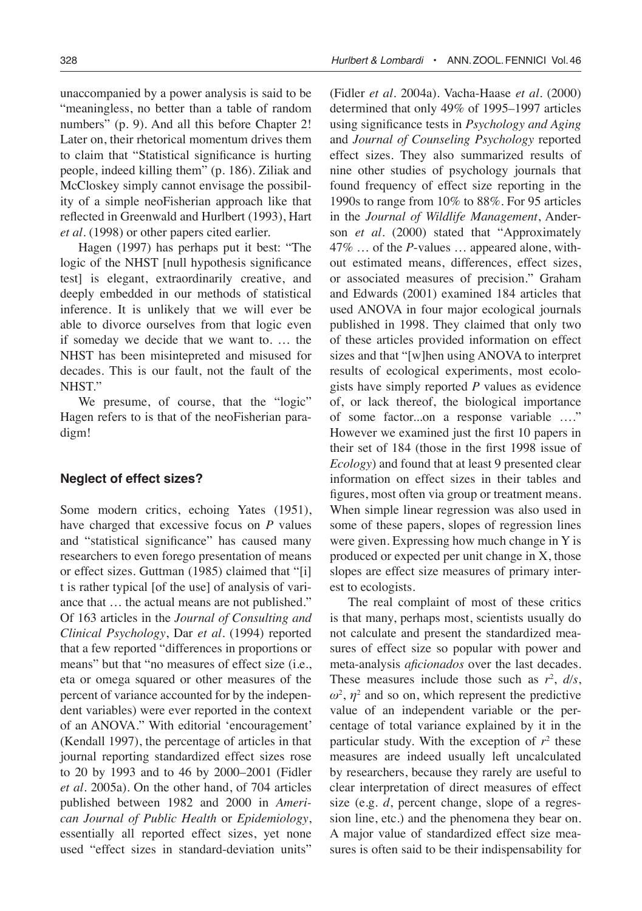unaccompanied by a power analysis is said to be "meaningless, no better than a table of random numbers" (p. 9). And all this before Chapter 2! Later on, their rhetorical momentum drives them to claim that "Statistical significance is hurting people, indeed killing them" (p. 186). Ziliak and McCloskey simply cannot envisage the possibility of a simple neoFisherian approach like that reflected in Greenwald and Hurlbert (1993), Hart *et al.* (1998) or other papers cited earlier.

Hagen (1997) has perhaps put it best: "The logic of the NHST [null hypothesis significance test] is elegant, extraordinarily creative, and deeply embedded in our methods of statistical inference. It is unlikely that we will ever be able to divorce ourselves from that logic even if someday we decide that we want to. … the NHST has been misintepreted and misused for decades. This is our fault, not the fault of the NHST."

We presume, of course, that the "logic" Hagen refers to is that of the neoFisherian paradigm!

#### **Neglect of effect sizes?**

Some modern critics, echoing Yates (1951), have charged that excessive focus on *P* values and "statistical significance" has caused many researchers to even forego presentation of means or effect sizes. Guttman (1985) claimed that "[i] t is rather typical [of the use] of analysis of variance that … the actual means are not published." Of 163 articles in the *Journal of Consulting and Clinical Psychology*, Dar *et al*. (1994) reported that a few reported "differences in proportions or means" but that "no measures of effect size (i.e., eta or omega squared or other measures of the percent of variance accounted for by the independent variables) were ever reported in the context of an ANOVA." With editorial 'encouragement' (Kendall 1997), the percentage of articles in that journal reporting standardized effect sizes rose to 20 by 1993 and to 46 by 2000–2001 (Fidler *et al*. 2005a). On the other hand, of 704 articles published between 1982 and 2000 in *American Journal of Public Health* or *Epidemiology*, essentially all reported effect sizes, yet none used "effect sizes in standard-deviation units"

(Fidler *et al*. 2004a). Vacha-Haase *et al*. (2000) determined that only 49% of 1995–1997 articles using significance tests in *Psychology and Aging*  and *Journal of Counseling Psychology* reported effect sizes. They also summarized results of nine other studies of psychology journals that found frequency of effect size reporting in the 1990s to range from 10% to 88%. For 95 articles in the *Journal of Wildlife Management*, Anderson *et al*. (2000) stated that "Approximately 47% … of the *P*-values … appeared alone, without estimated means, differences, effect sizes, or associated measures of precision." Graham and Edwards (2001) examined 184 articles that used ANOVA in four major ecological journals published in 1998. They claimed that only two of these articles provided information on effect sizes and that "[w]hen using ANOVA to interpret results of ecological experiments, most ecologists have simply reported *P* values as evidence of, or lack thereof, the biological importance of some factor...on a response variable …." However we examined just the first 10 papers in their set of 184 (those in the first 1998 issue of *Ecology*) and found that at least 9 presented clear information on effect sizes in their tables and figures, most often via group or treatment means. When simple linear regression was also used in some of these papers, slopes of regression lines were given. Expressing how much change in Y is produced or expected per unit change in X, those slopes are effect size measures of primary interest to ecologists.

The real complaint of most of these critics is that many, perhaps most, scientists usually do not calculate and present the standardized measures of effect size so popular with power and meta-analysis *aficionados* over the last decades. These measures include those such as  $r^2$ ,  $d/s$ ,  $\omega^2$ ,  $\eta^2$  and so on, which represent the predictive value of an independent variable or the percentage of total variance explained by it in the particular study. With the exception of  $r^2$  these measures are indeed usually left uncalculated by researchers, because they rarely are useful to clear interpretation of direct measures of effect size (e.g. *d*, percent change, slope of a regression line, etc.) and the phenomena they bear on. A major value of standardized effect size measures is often said to be their indispensability for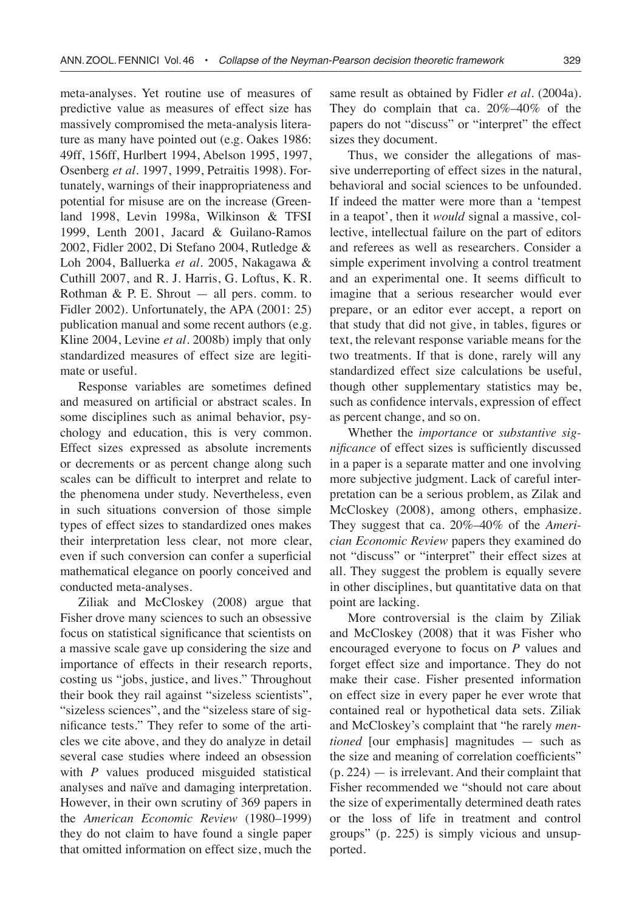meta-analyses. Yet routine use of measures of predictive value as measures of effect size has massively compromised the meta-analysis literature as many have pointed out (e.g. Oakes 1986: 49ff, 156ff, Hurlbert 1994, Abelson 1995, 1997, Osenberg *et al*. 1997, 1999, Petraitis 1998). Fortunately, warnings of their inappropriateness and potential for misuse are on the increase (Greenland 1998, Levin 1998a, Wilkinson & TFSI 1999, Lenth 2001, Jacard & Guilano-Ramos 2002, Fidler 2002, Di Stefano 2004, Rutledge & Loh 2004, Balluerka *et al.* 2005, Nakagawa & Cuthill 2007, and R. J. Harris, G. Loftus, K. R. Rothman  $\&$  P. E. Shrout  $-$  all pers. comm. to Fidler 2002). Unfortunately, the APA (2001: 25) publication manual and some recent authors (e.g. Kline 2004, Levine *et al*. 2008b) imply that only standardized measures of effect size are legitimate or useful.

Response variables are sometimes defined and measured on artificial or abstract scales. In some disciplines such as animal behavior, psychology and education, this is very common. Effect sizes expressed as absolute increments or decrements or as percent change along such scales can be difficult to interpret and relate to the phenomena under study. Nevertheless, even in such situations conversion of those simple types of effect sizes to standardized ones makes their interpretation less clear, not more clear, even if such conversion can confer a superficial mathematical elegance on poorly conceived and conducted meta-analyses.

Ziliak and McCloskey (2008) argue that Fisher drove many sciences to such an obsessive focus on statistical significance that scientists on a massive scale gave up considering the size and importance of effects in their research reports, costing us "jobs, justice, and lives." Throughout their book they rail against "sizeless scientists", "sizeless sciences", and the "sizeless stare of significance tests." They refer to some of the articles we cite above, and they do analyze in detail several case studies where indeed an obsession with *P* values produced misguided statistical analyses and naïve and damaging interpretation. However, in their own scrutiny of 369 papers in the *American Economic Review* (1980–1999) they do not claim to have found a single paper that omitted information on effect size, much the

same result as obtained by Fidler *et al*. (2004a). They do complain that ca. 20%–40% of the papers do not "discuss" or "interpret" the effect sizes they document.

Thus, we consider the allegations of massive underreporting of effect sizes in the natural, behavioral and social sciences to be unfounded. If indeed the matter were more than a 'tempest in a teapot', then it *would* signal a massive, collective, intellectual failure on the part of editors and referees as well as researchers. Consider a simple experiment involving a control treatment and an experimental one. It seems difficult to imagine that a serious researcher would ever prepare, or an editor ever accept, a report on that study that did not give, in tables, figures or text, the relevant response variable means for the two treatments. If that is done, rarely will any standardized effect size calculations be useful, though other supplementary statistics may be, such as confidence intervals, expression of effect as percent change, and so on.

Whether the *importance* or *substantive significance* of effect sizes is sufficiently discussed in a paper is a separate matter and one involving more subjective judgment. Lack of careful interpretation can be a serious problem, as Zilak and McCloskey (2008), among others, emphasize. They suggest that ca. 20%–40% of the *Americian Economic Review* papers they examined do not "discuss" or "interpret" their effect sizes at all. They suggest the problem is equally severe in other disciplines, but quantitative data on that point are lacking.

More controversial is the claim by Ziliak and McCloskey (2008) that it was Fisher who encouraged everyone to focus on *P* values and forget effect size and importance. They do not make their case. Fisher presented information on effect size in every paper he ever wrote that contained real or hypothetical data sets. Ziliak and McCloskey's complaint that "he rarely *mentioned* [our emphasis] magnitudes — such as the size and meaning of correlation coefficients"  $(p. 224)$  — is irrelevant. And their complaint that Fisher recommended we "should not care about the size of experimentally determined death rates or the loss of life in treatment and control groups" (p. 225) is simply vicious and unsupported.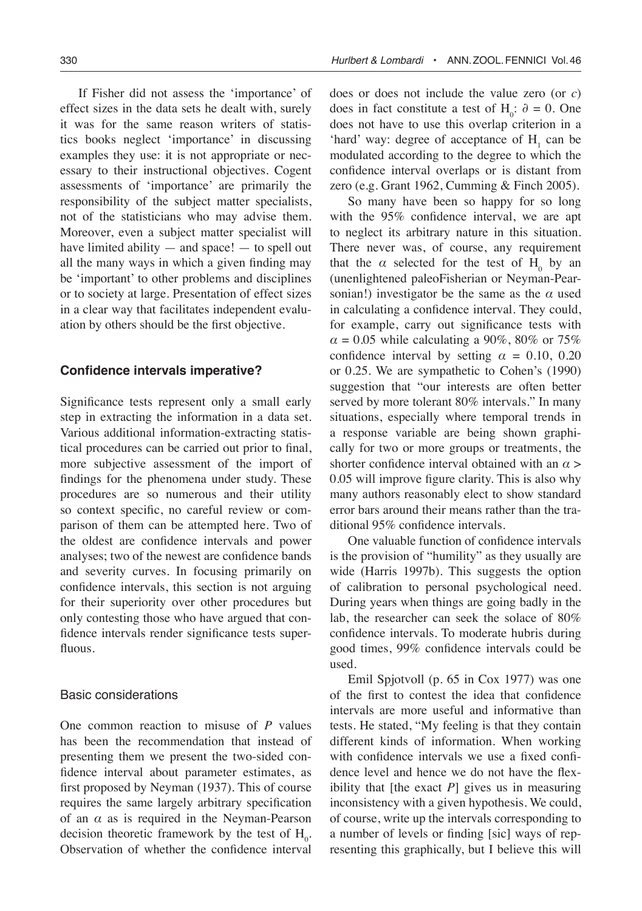If Fisher did not assess the 'importance' of effect sizes in the data sets he dealt with, surely it was for the same reason writers of statistics books neglect 'importance' in discussing examples they use: it is not appropriate or necessary to their instructional objectives. Cogent assessments of 'importance' are primarily the responsibility of the subject matter specialists, not of the statisticians who may advise them. Moreover, even a subject matter specialist will have limited ability  $-$  and space!  $-$  to spell out all the many ways in which a given finding may be 'important' to other problems and disciplines or to society at large. Presentation of effect sizes in a clear way that facilitates independent evaluation by others should be the first objective.

# **Confidence intervals imperative?**

Significance tests represent only a small early step in extracting the information in a data set. Various additional information-extracting statistical procedures can be carried out prior to final, more subjective assessment of the import of findings for the phenomena under study. These procedures are so numerous and their utility so context specific, no careful review or comparison of them can be attempted here. Two of the oldest are confidence intervals and power analyses; two of the newest are confidence bands and severity curves. In focusing primarily on confidence intervals, this section is not arguing for their superiority over other procedures but only contesting those who have argued that confidence intervals render significance tests superfluous.

# Basic considerations

One common reaction to misuse of *P* values has been the recommendation that instead of presenting them we present the two-sided confidence interval about parameter estimates, as first proposed by Neyman (1937). This of course requires the same largely arbitrary specification of an  $\alpha$  as is required in the Neyman-Pearson decision theoretic framework by the test of  $H_0$ . Observation of whether the confidence interval

does or does not include the value zero (or *c*) does in fact constitute a test of  $H_0$ :  $\partial = 0$ . One does not have to use this overlap criterion in a 'hard' way: degree of acceptance of  $H_1$  can be modulated according to the degree to which the confidence interval overlaps or is distant from zero (e.g. Grant 1962, Cumming & Finch 2005).

So many have been so happy for so long with the 95% confidence interval, we are apt to neglect its arbitrary nature in this situation. There never was, of course, any requirement that the  $\alpha$  selected for the test of  $H_0$  by an (unenlightened paleoFisherian or Neyman-Pearsonian!) investigator be the same as the  $\alpha$  used in calculating a confidence interval. They could, for example, carry out significance tests with  $\alpha$  = 0.05 while calculating a 90%, 80% or 75% confidence interval by setting  $\alpha = 0.10, 0.20$ or 0.25. We are sympathetic to Cohen's (1990) suggestion that "our interests are often better served by more tolerant 80% intervals." In many situations, especially where temporal trends in a response variable are being shown graphically for two or more groups or treatments, the shorter confidence interval obtained with an  $\alpha$ 0.05 will improve figure clarity. This is also why many authors reasonably elect to show standard error bars around their means rather than the traditional 95% confidence intervals.

One valuable function of confidence intervals is the provision of "humility" as they usually are wide (Harris 1997b). This suggests the option of calibration to personal psychological need. During years when things are going badly in the lab, the researcher can seek the solace of 80% confidence intervals. To moderate hubris during good times, 99% confidence intervals could be used.

Emil Spjotvoll (p. 65 in Cox 1977) was one of the first to contest the idea that confidence intervals are more useful and informative than tests. He stated, "My feeling is that they contain different kinds of information. When working with confidence intervals we use a fixed confidence level and hence we do not have the flexibility that [the exact *P*] gives us in measuring inconsistency with a given hypothesis. We could, of course, write up the intervals corresponding to a number of levels or finding [sic] ways of representing this graphically, but I believe this will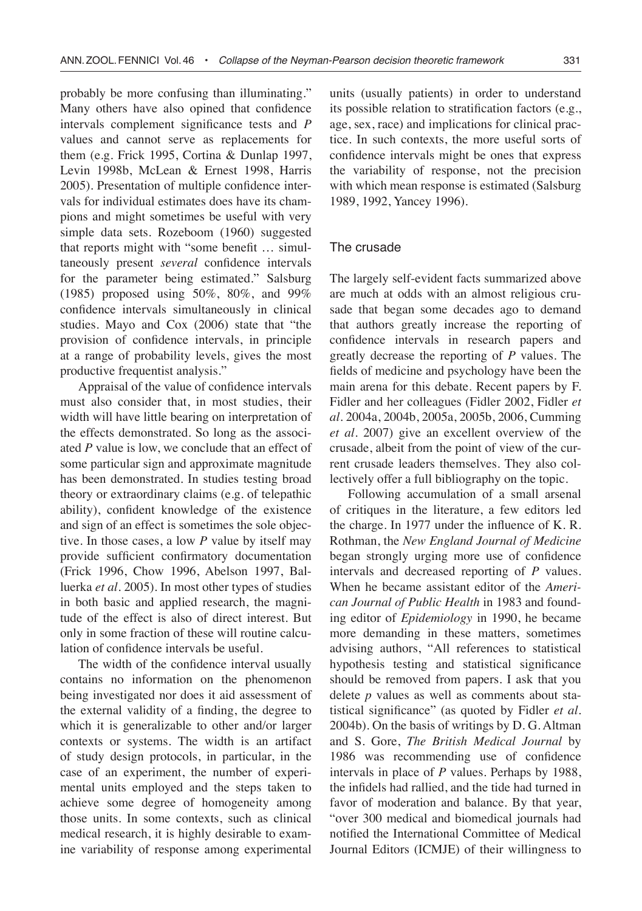probably be more confusing than illuminating." Many others have also opined that confidence intervals complement significance tests and *P* values and cannot serve as replacements for them (e.g. Frick 1995, Cortina & Dunlap 1997, Levin 1998b, McLean & Ernest 1998, Harris 2005). Presentation of multiple confidence intervals for individual estimates does have its champions and might sometimes be useful with very simple data sets. Rozeboom (1960) suggested that reports might with "some benefit … simultaneously present *several* confidence intervals for the parameter being estimated." Salsburg (1985) proposed using 50%, 80%, and 99% confidence intervals simultaneously in clinical studies. Mayo and Cox (2006) state that "the provision of confidence intervals, in principle at a range of probability levels, gives the most productive frequentist analysis."

Appraisal of the value of confidence intervals must also consider that, in most studies, their width will have little bearing on interpretation of the effects demonstrated. So long as the associated *P* value is low, we conclude that an effect of some particular sign and approximate magnitude has been demonstrated. In studies testing broad theory or extraordinary claims (e.g. of telepathic ability), confident knowledge of the existence and sign of an effect is sometimes the sole objective. In those cases, a low *P* value by itself may provide sufficient confirmatory documentation (Frick 1996, Chow 1996, Abelson 1997, Balluerka *et al.* 2005). In most other types of studies in both basic and applied research, the magnitude of the effect is also of direct interest. But only in some fraction of these will routine calculation of confidence intervals be useful.

The width of the confidence interval usually contains no information on the phenomenon being investigated nor does it aid assessment of the external validity of a finding, the degree to which it is generalizable to other and/or larger contexts or systems. The width is an artifact of study design protocols, in particular, in the case of an experiment, the number of experimental units employed and the steps taken to achieve some degree of homogeneity among those units. In some contexts, such as clinical medical research, it is highly desirable to examine variability of response among experimental units (usually patients) in order to understand its possible relation to stratification factors (e.g., age, sex, race) and implications for clinical practice. In such contexts, the more useful sorts of confidence intervals might be ones that express the variability of response, not the precision with which mean response is estimated (Salsburg 1989, 1992, Yancey 1996).

#### The crusade

The largely self-evident facts summarized above are much at odds with an almost religious crusade that began some decades ago to demand that authors greatly increase the reporting of confidence intervals in research papers and greatly decrease the reporting of *P* values. The fields of medicine and psychology have been the main arena for this debate. Recent papers by F. Fidler and her colleagues (Fidler 2002, Fidler *et al*. 2004a, 2004b, 2005a, 2005b, 2006, Cumming *et al*. 2007) give an excellent overview of the crusade, albeit from the point of view of the current crusade leaders themselves. They also collectively offer a full bibliography on the topic.

Following accumulation of a small arsenal of critiques in the literature, a few editors led the charge. In 1977 under the influence of K. R. Rothman, the *New England Journal of Medicine* began strongly urging more use of confidence intervals and decreased reporting of *P* values. When he became assistant editor of the *American Journal of Public Health* in 1983 and founding editor of *Epidemiology* in 1990, he became more demanding in these matters, sometimes advising authors, "All references to statistical hypothesis testing and statistical significance should be removed from papers. I ask that you delete *p* values as well as comments about statistical significance" (as quoted by Fidler *et al.* 2004b). On the basis of writings by D. G. Altman and S. Gore, *The British Medical Journal* by 1986 was recommending use of confidence intervals in place of *P* values. Perhaps by 1988, the infidels had rallied, and the tide had turned in favor of moderation and balance. By that year, "over 300 medical and biomedical journals had notified the International Committee of Medical Journal Editors (ICMJE) of their willingness to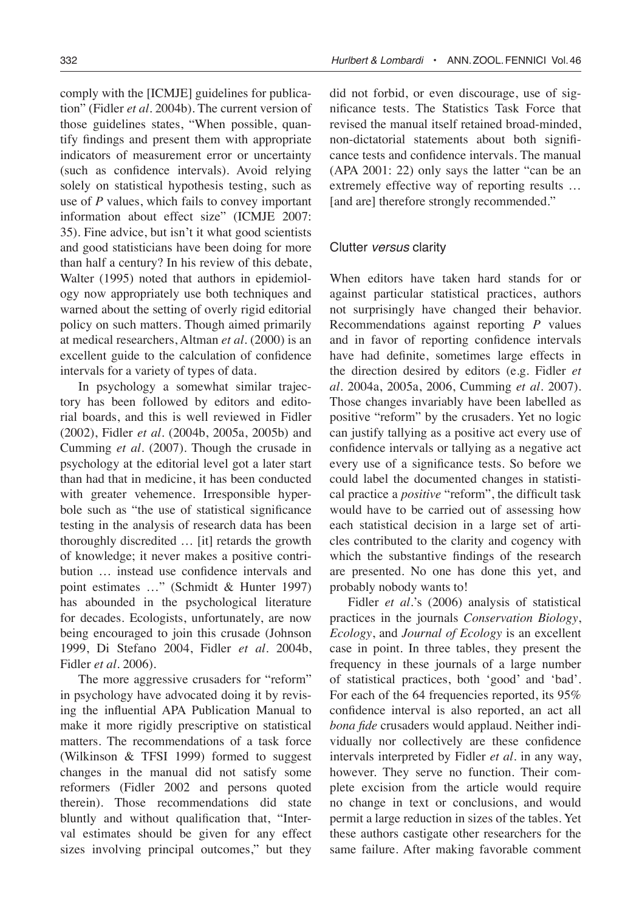comply with the [ICMJE] guidelines for publication" (Fidler *et al*. 2004b). The current version of those guidelines states, "When possible, quantify findings and present them with appropriate indicators of measurement error or uncertainty (such as confidence intervals). Avoid relying solely on statistical hypothesis testing, such as use of *P* values, which fails to convey important information about effect size" (ICMJE 2007: 35). Fine advice, but isn't it what good scientists and good statisticians have been doing for more than half a century? In his review of this debate, Walter (1995) noted that authors in epidemiology now appropriately use both techniques and warned about the setting of overly rigid editorial policy on such matters. Though aimed primarily at medical researchers, Altman *et al*. (2000) is an excellent guide to the calculation of confidence intervals for a variety of types of data.

In psychology a somewhat similar trajectory has been followed by editors and editorial boards, and this is well reviewed in Fidler (2002), Fidler *et al*. (2004b, 2005a, 2005b) and Cumming *et al*. (2007). Though the crusade in psychology at the editorial level got a later start than had that in medicine, it has been conducted with greater vehemence. Irresponsible hyperbole such as "the use of statistical significance testing in the analysis of research data has been thoroughly discredited … [it] retards the growth of knowledge; it never makes a positive contribution … instead use confidence intervals and point estimates …" (Schmidt & Hunter 1997) has abounded in the psychological literature for decades. Ecologists, unfortunately, are now being encouraged to join this crusade (Johnson 1999, Di Stefano 2004, Fidler *et al*. 2004b, Fidler *et al*. 2006).

The more aggressive crusaders for "reform" in psychology have advocated doing it by revising the influential APA Publication Manual to make it more rigidly prescriptive on statistical matters. The recommendations of a task force (Wilkinson & TFSI 1999) formed to suggest changes in the manual did not satisfy some reformers (Fidler 2002 and persons quoted therein). Those recommendations did state bluntly and without qualification that, "Interval estimates should be given for any effect sizes involving principal outcomes," but they did not forbid, or even discourage, use of significance tests. The Statistics Task Force that revised the manual itself retained broad-minded, non-dictatorial statements about both significance tests and confidence intervals. The manual (APA 2001: 22) only says the latter "can be an extremely effective way of reporting results … [and are] therefore strongly recommended."

#### Clutter versus clarity

When editors have taken hard stands for or against particular statistical practices, authors not surprisingly have changed their behavior. Recommendations against reporting *P* values and in favor of reporting confidence intervals have had definite, sometimes large effects in the direction desired by editors (e.g. Fidler *et al*. 2004a, 2005a, 2006, Cumming *et al*. 2007). Those changes invariably have been labelled as positive "reform" by the crusaders. Yet no logic can justify tallying as a positive act every use of confidence intervals or tallying as a negative act every use of a significance tests. So before we could label the documented changes in statistical practice a *positive* "reform", the difficult task would have to be carried out of assessing how each statistical decision in a large set of articles contributed to the clarity and cogency with which the substantive findings of the research are presented. No one has done this yet, and probably nobody wants to!

Fidler *et al*.'s (2006) analysis of statistical practices in the journals *Conservation Biology*, *Ecology*, and *Journal of Ecology* is an excellent case in point. In three tables, they present the frequency in these journals of a large number of statistical practices, both 'good' and 'bad'. For each of the 64 frequencies reported, its 95% confidence interval is also reported, an act all *bona fide* crusaders would applaud. Neither individually nor collectively are these confidence intervals interpreted by Fidler *et al*. in any way, however. They serve no function. Their complete excision from the article would require no change in text or conclusions, and would permit a large reduction in sizes of the tables. Yet these authors castigate other researchers for the same failure. After making favorable comment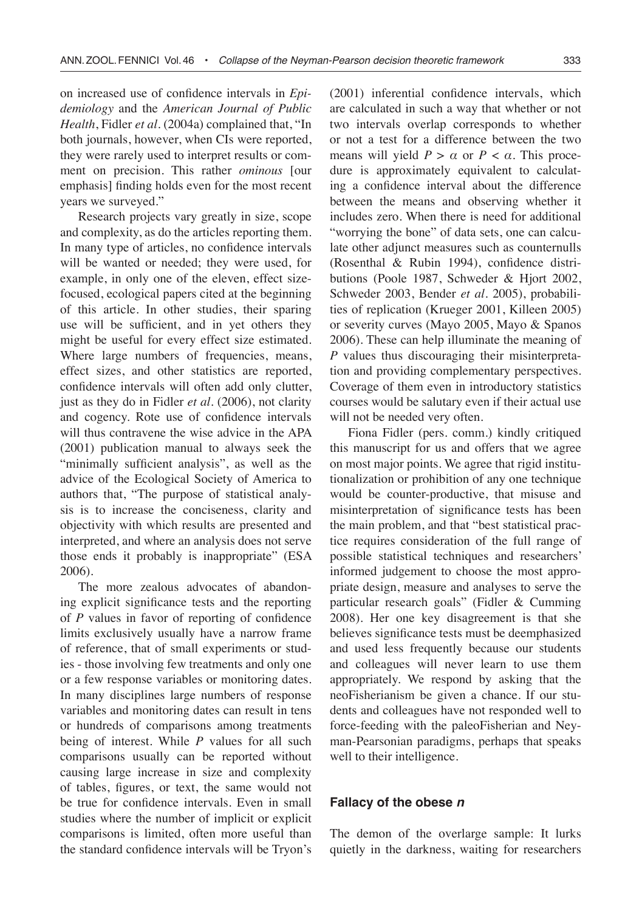on increased use of confidence intervals in *Epidemiology* and the *American Journal of Public Health*, Fidler *et al*. (2004a) complained that, "In both journals, however, when CIs were reported, they were rarely used to interpret results or comment on precision. This rather *ominous* [our emphasis] finding holds even for the most recent years we surveyed."

Research projects vary greatly in size, scope and complexity, as do the articles reporting them. In many type of articles, no confidence intervals will be wanted or needed; they were used, for example, in only one of the eleven, effect sizefocused, ecological papers cited at the beginning of this article. In other studies, their sparing use will be sufficient, and in yet others they might be useful for every effect size estimated. Where large numbers of frequencies, means, effect sizes, and other statistics are reported, confidence intervals will often add only clutter, just as they do in Fidler *et al*. (2006), not clarity and cogency. Rote use of confidence intervals will thus contravene the wise advice in the APA (2001) publication manual to always seek the "minimally sufficient analysis", as well as the advice of the Ecological Society of America to authors that, "The purpose of statistical analysis is to increase the conciseness, clarity and objectivity with which results are presented and interpreted, and where an analysis does not serve those ends it probably is inappropriate" (ESA 2006).

The more zealous advocates of abandoning explicit significance tests and the reporting of *P* values in favor of reporting of confidence limits exclusively usually have a narrow frame of reference, that of small experiments or studies - those involving few treatments and only one or a few response variables or monitoring dates. In many disciplines large numbers of response variables and monitoring dates can result in tens or hundreds of comparisons among treatments being of interest. While *P* values for all such comparisons usually can be reported without causing large increase in size and complexity of tables, figures, or text, the same would not be true for confidence intervals. Even in small studies where the number of implicit or explicit comparisons is limited, often more useful than the standard confidence intervals will be Tryon's (2001) inferential confidence intervals, which are calculated in such a way that whether or not two intervals overlap corresponds to whether or not a test for a difference between the two means will yield  $P > \alpha$  or  $P < \alpha$ . This procedure is approximately equivalent to calculating a confidence interval about the difference between the means and observing whether it includes zero. When there is need for additional "worrying the bone" of data sets, one can calculate other adjunct measures such as counternulls (Rosenthal & Rubin 1994), confidence distributions (Poole 1987, Schweder & Hjort 2002, Schweder 2003, Bender *et al.* 2005), probabilities of replication (Krueger 2001, Killeen 2005) or severity curves (Mayo 2005, Mayo & Spanos 2006). These can help illuminate the meaning of *P* values thus discouraging their misinterpretation and providing complementary perspectives. Coverage of them even in introductory statistics courses would be salutary even if their actual use will not be needed very often.

Fiona Fidler (pers. comm.) kindly critiqued this manuscript for us and offers that we agree on most major points. We agree that rigid institutionalization or prohibition of any one technique would be counter-productive, that misuse and misinterpretation of significance tests has been the main problem, and that "best statistical practice requires consideration of the full range of possible statistical techniques and researchers' informed judgement to choose the most appropriate design, measure and analyses to serve the particular research goals" (Fidler & Cumming 2008). Her one key disagreement is that she believes significance tests must be deemphasized and used less frequently because our students and colleagues will never learn to use them appropriately. We respond by asking that the neoFisherianism be given a chance. If our students and colleagues have not responded well to force-feeding with the paleoFisherian and Neyman-Pearsonian paradigms, perhaps that speaks well to their intelligence.

#### **Fallacy of the obese n**

The demon of the overlarge sample: It lurks quietly in the darkness, waiting for researchers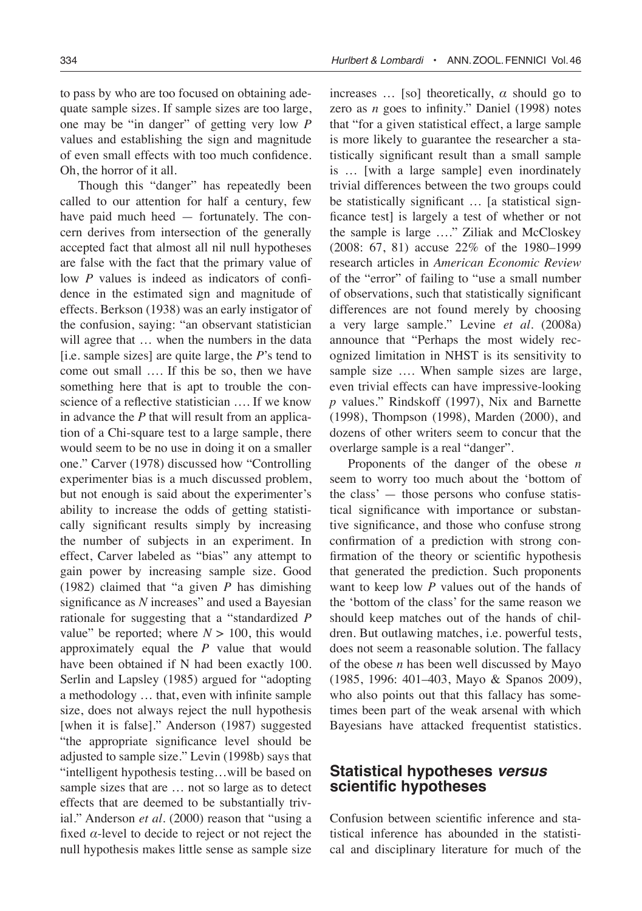to pass by who are too focused on obtaining adequate sample sizes. If sample sizes are too large, one may be "in danger" of getting very low *P* values and establishing the sign and magnitude of even small effects with too much confidence. Oh, the horror of it all.

Though this "danger" has repeatedly been called to our attention for half a century, few have paid much heed — fortunately. The concern derives from intersection of the generally accepted fact that almost all nil null hypotheses are false with the fact that the primary value of low *P* values is indeed as indicators of confidence in the estimated sign and magnitude of effects. Berkson (1938) was an early instigator of the confusion, saying: "an observant statistician will agree that … when the numbers in the data [i.e. sample sizes] are quite large, the *P*'s tend to come out small …. If this be so, then we have something here that is apt to trouble the conscience of a reflective statistician …. If we know in advance the *P* that will result from an application of a Chi-square test to a large sample, there would seem to be no use in doing it on a smaller one." Carver (1978) discussed how "Controlling experimenter bias is a much discussed problem, but not enough is said about the experimenter's ability to increase the odds of getting statistically significant results simply by increasing the number of subjects in an experiment. In effect, Carver labeled as "bias" any attempt to gain power by increasing sample size. Good (1982) claimed that "a given *P* has dimishing significance as *N* increases" and used a Bayesian rationale for suggesting that a "standardized *P* value" be reported; where  $N > 100$ , this would approximately equal the *P* value that would have been obtained if N had been exactly 100. Serlin and Lapsley (1985) argued for "adopting a methodology … that, even with infinite sample size, does not always reject the null hypothesis [when it is false]." Anderson (1987) suggested "the appropriate significance level should be adjusted to sample size." Levin (1998b) says that "intelligent hypothesis testing…will be based on sample sizes that are … not so large as to detect effects that are deemed to be substantially trivial." Anderson *et al*. (2000) reason that "using a fixed *α*-level to decide to reject or not reject the null hypothesis makes little sense as sample size

increases  $\ldots$  [so] theoretically,  $\alpha$  should go to zero as *n* goes to infinity." Daniel (1998) notes that "for a given statistical effect, a large sample is more likely to guarantee the researcher a statistically significant result than a small sample is … [with a large sample] even inordinately trivial differences between the two groups could be statistically significant … [a statistical signficance test] is largely a test of whether or not the sample is large …." Ziliak and McCloskey (2008: 67, 81) accuse 22% of the 1980–1999 research articles in *American Economic Review* of the "error" of failing to "use a small number of observations, such that statistically significant differences are not found merely by choosing a very large sample." Levine *et al*. (2008a) announce that "Perhaps the most widely recognized limitation in NHST is its sensitivity to sample size …. When sample sizes are large, even trivial effects can have impressive-looking *p* values." Rindskoff (1997), Nix and Barnette (1998), Thompson (1998), Marden (2000), and dozens of other writers seem to concur that the overlarge sample is a real "danger".

Proponents of the danger of the obese *n* seem to worry too much about the 'bottom of the class' — those persons who confuse statistical significance with importance or substantive significance, and those who confuse strong confirmation of a prediction with strong confirmation of the theory or scientific hypothesis that generated the prediction. Such proponents want to keep low *P* values out of the hands of the 'bottom of the class' for the same reason we should keep matches out of the hands of children. But outlawing matches, i.e. powerful tests, does not seem a reasonable solution. The fallacy of the obese *n* has been well discussed by Mayo (1985, 1996: 401–403, Mayo & Spanos 2009), who also points out that this fallacy has sometimes been part of the weak arsenal with which Bayesians have attacked frequentist statistics.

# **Statistical hypotheses versus scientific hypotheses**

Confusion between scientific inference and statistical inference has abounded in the statistical and disciplinary literature for much of the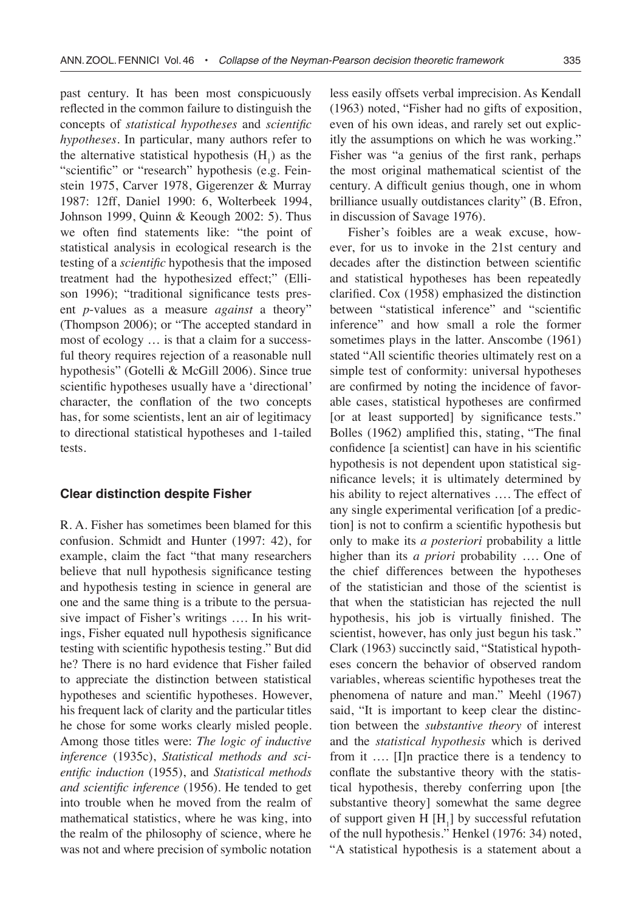past century. It has been most conspicuously reflected in the common failure to distinguish the concepts of *statistical hypotheses* and *scientific hypotheses*. In particular, many authors refer to the alternative statistical hypothesis  $(H<sub>1</sub>)$  as the "scientific" or "research" hypothesis (e.g. Feinstein 1975, Carver 1978, Gigerenzer & Murray 1987: 12ff, Daniel 1990: 6, Wolterbeek 1994, Johnson 1999, Quinn & Keough 2002: 5). Thus we often find statements like: "the point of statistical analysis in ecological research is the testing of a *scientific* hypothesis that the imposed treatment had the hypothesized effect;" (Ellison 1996); "traditional significance tests present *p*-values as a measure *against* a theory" (Thompson 2006); or "The accepted standard in most of ecology … is that a claim for a successful theory requires rejection of a reasonable null hypothesis" (Gotelli & McGill 2006). Since true scientific hypotheses usually have a 'directional' character, the conflation of the two concepts has, for some scientists, lent an air of legitimacy to directional statistical hypotheses and 1-tailed tests.

## **Clear distinction despite Fisher**

R. A. Fisher has sometimes been blamed for this confusion. Schmidt and Hunter (1997: 42), for example, claim the fact "that many researchers believe that null hypothesis significance testing and hypothesis testing in science in general are one and the same thing is a tribute to the persuasive impact of Fisher's writings …. In his writings, Fisher equated null hypothesis significance testing with scientific hypothesis testing." But did he? There is no hard evidence that Fisher failed to appreciate the distinction between statistical hypotheses and scientific hypotheses. However, his frequent lack of clarity and the particular titles he chose for some works clearly misled people. Among those titles were: *The logic of inductive inference* (1935c), *Statistical methods and scientific induction* (1955), and *Statistical methods and scientific inference* (1956). He tended to get into trouble when he moved from the realm of mathematical statistics, where he was king, into the realm of the philosophy of science, where he was not and where precision of symbolic notation

less easily offsets verbal imprecision. As Kendall (1963) noted, "Fisher had no gifts of exposition, even of his own ideas, and rarely set out explicitly the assumptions on which he was working." Fisher was "a genius of the first rank, perhaps the most original mathematical scientist of the century. A difficult genius though, one in whom brilliance usually outdistances clarity" (B. Efron, in discussion of Savage 1976).

Fisher's foibles are a weak excuse, however, for us to invoke in the 21st century and decades after the distinction between scientific and statistical hypotheses has been repeatedly clarified. Cox (1958) emphasized the distinction between "statistical inference" and "scientific inference" and how small a role the former sometimes plays in the latter. Anscombe (1961) stated "All scientific theories ultimately rest on a simple test of conformity: universal hypotheses are confirmed by noting the incidence of favorable cases, statistical hypotheses are confirmed [or at least supported] by significance tests." Bolles (1962) amplified this, stating, "The final confidence [a scientist] can have in his scientific hypothesis is not dependent upon statistical significance levels; it is ultimately determined by his ability to reject alternatives .... The effect of any single experimental verification [of a prediction] is not to confirm a scientific hypothesis but only to make its *a posteriori* probability a little higher than its *a priori* probability …. One of the chief differences between the hypotheses of the statistician and those of the scientist is that when the statistician has rejected the null hypothesis, his job is virtually finished. The scientist, however, has only just begun his task." Clark (1963) succinctly said, "Statistical hypotheses concern the behavior of observed random variables, whereas scientific hypotheses treat the phenomena of nature and man." Meehl (1967) said, "It is important to keep clear the distinction between the *substantive theory* of interest and the *statistical hypothesis* which is derived from it …. [I]n practice there is a tendency to conflate the substantive theory with the statistical hypothesis, thereby conferring upon [the substantive theory] somewhat the same degree of support given  $H[H_1]$  by successful refutation of the null hypothesis." Henkel (1976: 34) noted, "A statistical hypothesis is a statement about a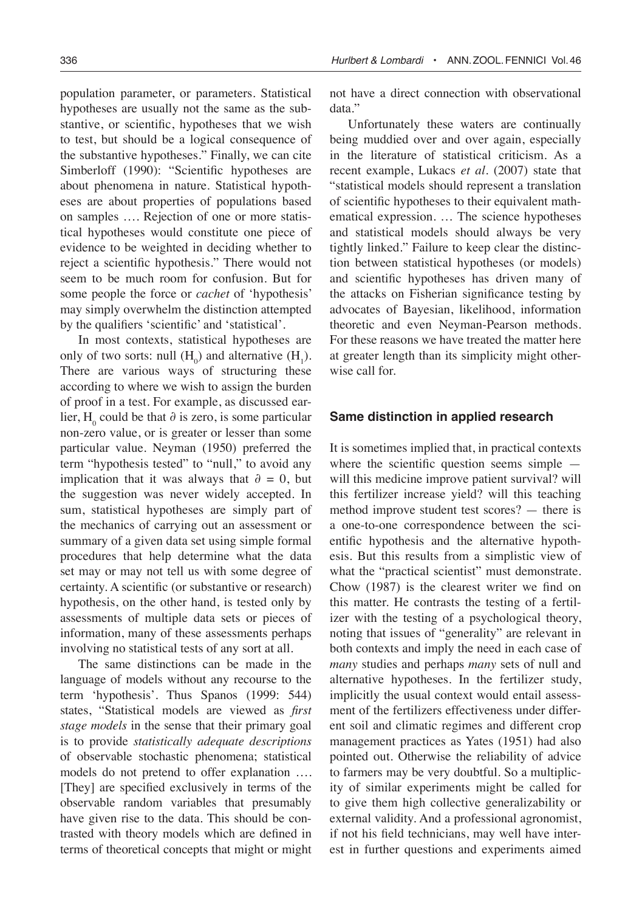population parameter, or parameters. Statistical hypotheses are usually not the same as the substantive, or scientific, hypotheses that we wish to test, but should be a logical consequence of the substantive hypotheses." Finally, we can cite Simberloff (1990): "Scientific hypotheses are about phenomena in nature. Statistical hypotheses are about properties of populations based on samples …. Rejection of one or more statistical hypotheses would constitute one piece of evidence to be weighted in deciding whether to reject a scientific hypothesis." There would not seem to be much room for confusion. But for some people the force or *cachet* of 'hypothesis' may simply overwhelm the distinction attempted by the qualifiers 'scientific' and 'statistical'.

In most contexts, statistical hypotheses are only of two sorts: null  $(H_0)$  and alternative  $(H_1)$ . There are various ways of structuring these according to where we wish to assign the burden of proof in a test. For example, as discussed earlier, H<sub>0</sub> could be that ∂ is zero, is some particular non-zero value, or is greater or lesser than some particular value. Neyman (1950) preferred the term "hypothesis tested" to "null," to avoid any implication that it was always that  $\partial = 0$ , but the suggestion was never widely accepted. In sum, statistical hypotheses are simply part of the mechanics of carrying out an assessment or summary of a given data set using simple formal procedures that help determine what the data set may or may not tell us with some degree of certainty. A scientific (or substantive or research) hypothesis, on the other hand, is tested only by assessments of multiple data sets or pieces of information, many of these assessments perhaps involving no statistical tests of any sort at all.

The same distinctions can be made in the language of models without any recourse to the term 'hypothesis'. Thus Spanos (1999: 544) states, "Statistical models are viewed as *first stage models* in the sense that their primary goal is to provide *statistically adequate descriptions* of observable stochastic phenomena; statistical models do not pretend to offer explanation …. [They] are specified exclusively in terms of the observable random variables that presumably have given rise to the data. This should be contrasted with theory models which are defined in terms of theoretical concepts that might or might

not have a direct connection with observational data."

Unfortunately these waters are continually being muddied over and over again, especially in the literature of statistical criticism. As a recent example, Lukacs *et al*. (2007) state that "statistical models should represent a translation of scientific hypotheses to their equivalent mathematical expression. … The science hypotheses and statistical models should always be very tightly linked." Failure to keep clear the distinction between statistical hypotheses (or models) and scientific hypotheses has driven many of the attacks on Fisherian significance testing by advocates of Bayesian, likelihood, information theoretic and even Neyman-Pearson methods. For these reasons we have treated the matter here at greater length than its simplicity might otherwise call for.

## **Same distinction in applied research**

It is sometimes implied that, in practical contexts where the scientific question seems simple will this medicine improve patient survival? will this fertilizer increase yield? will this teaching method improve student test scores? — there is a one-to-one correspondence between the scientific hypothesis and the alternative hypothesis. But this results from a simplistic view of what the "practical scientist" must demonstrate. Chow (1987) is the clearest writer we find on this matter. He contrasts the testing of a fertilizer with the testing of a psychological theory, noting that issues of "generality" are relevant in both contexts and imply the need in each case of *many* studies and perhaps *many* sets of null and alternative hypotheses. In the fertilizer study, implicitly the usual context would entail assessment of the fertilizers effectiveness under different soil and climatic regimes and different crop management practices as Yates (1951) had also pointed out. Otherwise the reliability of advice to farmers may be very doubtful. So a multiplicity of similar experiments might be called for to give them high collective generalizability or external validity. And a professional agronomist, if not his field technicians, may well have interest in further questions and experiments aimed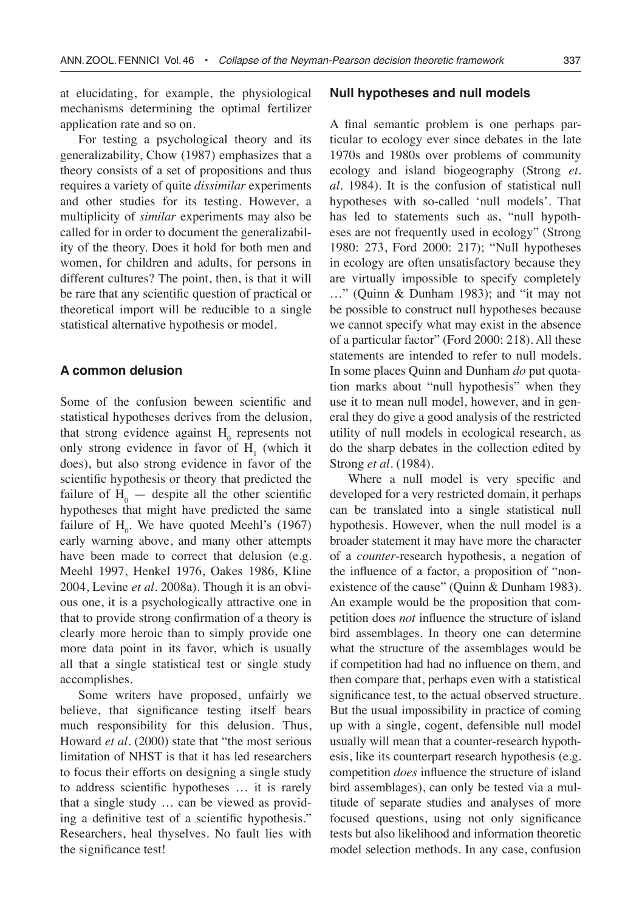at elucidating, for example, the physiological mechanisms determining the optimal fertilizer application rate and so on.

For testing a psychological theory and its generalizability, Chow (1987) emphasizes that a theory consists of a set of propositions and thus requires a variety of quite *dissimilar* experiments and other studies for its testing. However, a multiplicity of *similar* experiments may also be called for in order to document the generalizability of the theory. Does it hold for both men and women, for children and adults, for persons in different cultures? The point, then, is that it will be rare that any scientific question of practical or theoretical import will be reducible to a single statistical alternative hypothesis or model.

# **A common delusion**

Some of the confusion beween scientific and statistical hypotheses derives from the delusion, that strong evidence against  $H_0$  represents not only strong evidence in favor of  $H_1$  (which it does), but also strong evidence in favor of the scientific hypothesis or theory that predicted the failure of  $H_0$  — despite all the other scientific hypotheses that might have predicted the same failure of  $H_0$ . We have quoted Meehl's (1967) early warning above, and many other attempts have been made to correct that delusion (e.g. Meehl 1997, Henkel 1976, Oakes 1986, Kline 2004, Levine *et al*. 2008a). Though it is an obvious one, it is a psychologically attractive one in that to provide strong confirmation of a theory is clearly more heroic than to simply provide one more data point in its favor, which is usually all that a single statistical test or single study accomplishes.

Some writers have proposed, unfairly we believe, that significance testing itself bears much responsibility for this delusion. Thus, Howard *et al*. (2000) state that "the most serious limitation of NHST is that it has led researchers to focus their efforts on designing a single study to address scientific hypotheses … it is rarely that a single study … can be viewed as providing a definitive test of a scientific hypothesis." Researchers, heal thyselves. No fault lies with the significance test!

#### **Null hypotheses and null models**

A final semantic problem is one perhaps particular to ecology ever since debates in the late 1970s and 1980s over problems of community ecology and island biogeography (Strong *et. al*. 1984). It is the confusion of statistical null hypotheses with so-called 'null models'. That has led to statements such as, "null hypotheses are not frequently used in ecology" (Strong 1980: 273, Ford 2000: 217); "Null hypotheses in ecology are often unsatisfactory because they are virtually impossible to specify completely …" (Quinn & Dunham 1983); and "it may not be possible to construct null hypotheses because we cannot specify what may exist in the absence of a particular factor" (Ford 2000: 218). All these statements are intended to refer to null models. In some places Quinn and Dunham *do* put quotation marks about "null hypothesis" when they use it to mean null model, however, and in general they do give a good analysis of the restricted utility of null models in ecological research, as do the sharp debates in the collection edited by Strong *et al*. (1984).

Where a null model is very specific and developed for a very restricted domain, it perhaps can be translated into a single statistical null hypothesis. However, when the null model is a broader statement it may have more the character of a *counter*-research hypothesis, a negation of the influence of a factor, a proposition of "nonexistence of the cause" (Quinn & Dunham 1983). An example would be the proposition that competition does *not* influence the structure of island bird assemblages. In theory one can determine what the structure of the assemblages would be if competition had had no influence on them, and then compare that, perhaps even with a statistical significance test, to the actual observed structure. But the usual impossibility in practice of coming up with a single, cogent, defensible null model usually will mean that a counter-research hypothesis, like its counterpart research hypothesis (e.g. competition *does* influence the structure of island bird assemblages), can only be tested via a multitude of separate studies and analyses of more focused questions, using not only significance tests but also likelihood and information theoretic model selection methods. In any case, confusion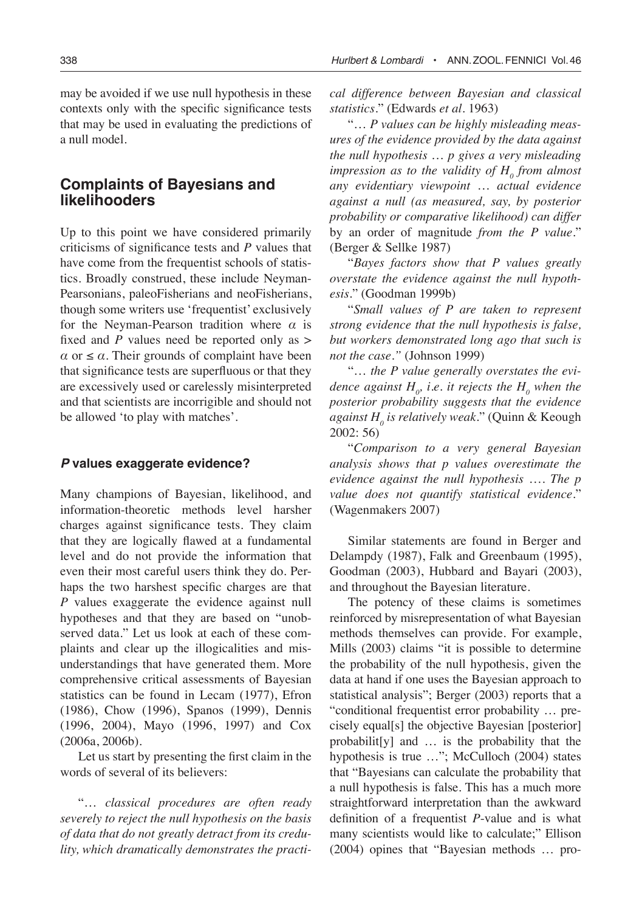may be avoided if we use null hypothesis in these contexts only with the specific significance tests that may be used in evaluating the predictions of a null model.

# **Complaints of Bayesians and likelihooders**

Up to this point we have considered primarily criticisms of significance tests and *P* values that have come from the frequentist schools of statistics. Broadly construed, these include Neyman-Pearsonians, paleoFisherians and neoFisherians, though some writers use 'frequentist' exclusively for the Neyman-Pearson tradition where *α* is fixed and *P* values need be reported only as >  $\alpha$  or  $\leq \alpha$ . Their grounds of complaint have been that significance tests are superfluous or that they are excessively used or carelessly misinterpreted and that scientists are incorrigible and should not be allowed 'to play with matches'.

## **P values exaggerate evidence?**

Many champions of Bayesian, likelihood, and information-theoretic methods level harsher charges against significance tests. They claim that they are logically flawed at a fundamental level and do not provide the information that even their most careful users think they do. Perhaps the two harshest specific charges are that *P* values exaggerate the evidence against null hypotheses and that they are based on "unobserved data." Let us look at each of these complaints and clear up the illogicalities and misunderstandings that have generated them. More comprehensive critical assessments of Bayesian statistics can be found in Lecam (1977), Efron (1986), Chow (1996), Spanos (1999), Dennis (1996, 2004), Mayo (1996, 1997) and Cox (2006a, 2006b).

Let us start by presenting the first claim in the words of several of its believers:

"… *classical procedures are often ready severely to reject the null hypothesis on the basis of data that do not greatly detract from its credulity, which dramatically demonstrates the practi-* *cal difference between Bayesian and classical statistics.*" (Edwards *et al*. 1963)

"… *P values can be highly misleading measures of the evidence provided by the data against the null hypothesis* … *p gives a very misleading impression as to the validity of*  $H_0$  *from almost any evidentiary viewpoint* … *actual evidence against a null (as measured, say, by posterior probability or comparative likelihood) can differ*  by an order of magnitude *from the P value.*" (Berger & Sellke 1987)

"*Bayes factors show that P values greatly overstate the evidence against the null hypothesis.*" (Goodman 1999b)

"*Small values of P are taken to represent strong evidence that the null hypothesis is false, but workers demonstrated long ago that such is not the case."* (Johnson 1999)

"… *the P value generally overstates the evi*dence against  $H$ <sub>0</sub>, i.e. it rejects the  $H$ <sub>0</sub> when the *posterior probability suggests that the evidence against H0 is relatively weak.*" (Quinn & Keough 2002: 56)

"*Comparison to a very general Bayesian analysis shows that p values overestimate the evidence against the null hypothesis* …. *The p value does not quantify statistical evidence.*" (Wagenmakers 2007)

Similar statements are found in Berger and Delampdy (1987), Falk and Greenbaum (1995), Goodman (2003), Hubbard and Bayari (2003), and throughout the Bayesian literature.

The potency of these claims is sometimes reinforced by misrepresentation of what Bayesian methods themselves can provide. For example, Mills (2003) claims "it is possible to determine the probability of the null hypothesis, given the data at hand if one uses the Bayesian approach to statistical analysis"; Berger (2003) reports that a "conditional frequentist error probability … precisely equal[s] the objective Bayesian [posterior] probabilit[y] and … is the probability that the hypothesis is true ..."; McCulloch (2004) states that "Bayesians can calculate the probability that a null hypothesis is false. This has a much more straightforward interpretation than the awkward definition of a frequentist *P*-value and is what many scientists would like to calculate;" Ellison (2004) opines that "Bayesian methods … pro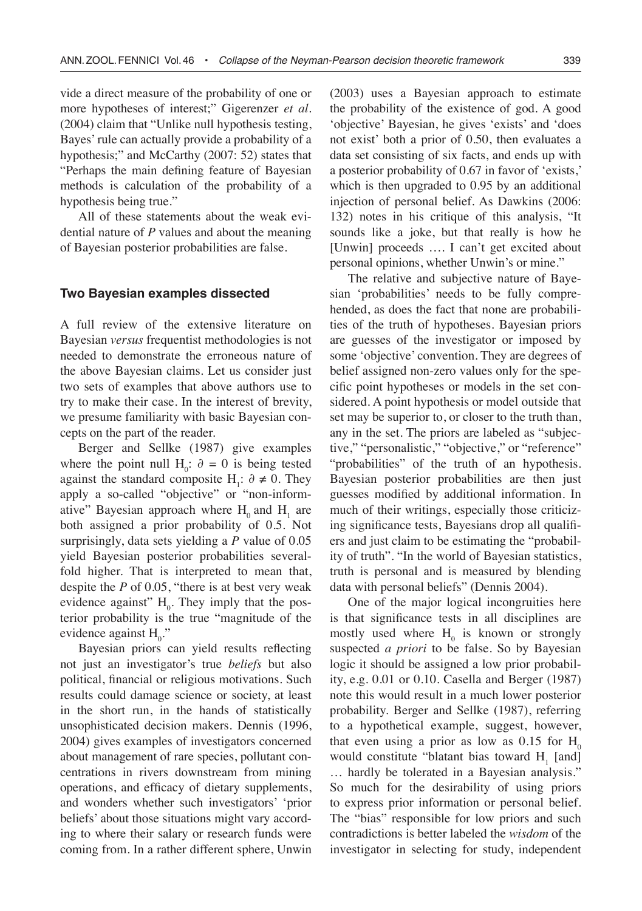vide a direct measure of the probability of one or more hypotheses of interest;" Gigerenzer *et al*. (2004) claim that "Unlike null hypothesis testing, Bayes' rule can actually provide a probability of a hypothesis;" and McCarthy (2007: 52) states that "Perhaps the main defining feature of Bayesian methods is calculation of the probability of a hypothesis being true."

All of these statements about the weak evidential nature of *P* values and about the meaning of Bayesian posterior probabilities are false.

#### **Two Bayesian examples dissected**

A full review of the extensive literature on Bayesian *versus* frequentist methodologies is not needed to demonstrate the erroneous nature of the above Bayesian claims. Let us consider just two sets of examples that above authors use to try to make their case. In the interest of brevity, we presume familiarity with basic Bayesian concepts on the part of the reader.

Berger and Sellke (1987) give examples where the point null  $H_0$ :  $\partial = 0$  is being tested against the standard composite H<sub>1</sub>:  $\partial \neq 0$ . They apply a so-called "objective" or "non-informative" Bayesian approach where  $H_0$  and  $H_1$  are both assigned a prior probability of 0.5. Not surprisingly, data sets yielding a *P* value of 0.05 yield Bayesian posterior probabilities severalfold higher. That is interpreted to mean that, despite the *P* of 0.05, "there is at best very weak evidence against"  $H_0$ . They imply that the posterior probability is the true "magnitude of the evidence against  $H_0$ ."

Bayesian priors can yield results reflecting not just an investigator's true *beliefs* but also political, financial or religious motivations. Such results could damage science or society, at least in the short run, in the hands of statistically unsophisticated decision makers. Dennis (1996, 2004) gives examples of investigators concerned about management of rare species, pollutant concentrations in rivers downstream from mining operations, and efficacy of dietary supplements, and wonders whether such investigators' 'prior beliefs' about those situations might vary according to where their salary or research funds were coming from. In a rather different sphere, Unwin

(2003) uses a Bayesian approach to estimate the probability of the existence of god. A good 'objective' Bayesian, he gives 'exists' and 'does not exist' both a prior of 0.50, then evaluates a data set consisting of six facts, and ends up with a posterior probability of 0.67 in favor of 'exists,' which is then upgraded to 0.95 by an additional injection of personal belief. As Dawkins (2006: 132) notes in his critique of this analysis, "It sounds like a joke, but that really is how he [Unwin] proceeds …. I can't get excited about personal opinions, whether Unwin's or mine."

The relative and subjective nature of Bayesian 'probabilities' needs to be fully comprehended, as does the fact that none are probabilities of the truth of hypotheses. Bayesian priors are guesses of the investigator or imposed by some 'objective' convention. They are degrees of belief assigned non-zero values only for the specific point hypotheses or models in the set considered. A point hypothesis or model outside that set may be superior to, or closer to the truth than, any in the set. The priors are labeled as "subjective," "personalistic," "objective," or "reference" "probabilities" of the truth of an hypothesis. Bayesian posterior probabilities are then just guesses modified by additional information. In much of their writings, especially those criticizing significance tests, Bayesians drop all qualifiers and just claim to be estimating the "probability of truth". "In the world of Bayesian statistics, truth is personal and is measured by blending data with personal beliefs" (Dennis 2004).

One of the major logical incongruities here is that significance tests in all disciplines are mostly used where  $H_0$  is known or strongly suspected *a priori* to be false. So by Bayesian logic it should be assigned a low prior probability, e.g. 0.01 or 0.10. Casella and Berger (1987) note this would result in a much lower posterior probability. Berger and Sellke (1987), referring to a hypothetical example, suggest, however, that even using a prior as low as  $0.15$  for  $H_0$ would constitute "blatant bias toward  $H_1$  [and] … hardly be tolerated in a Bayesian analysis." So much for the desirability of using priors to express prior information or personal belief. The "bias" responsible for low priors and such contradictions is better labeled the *wisdom* of the investigator in selecting for study, independent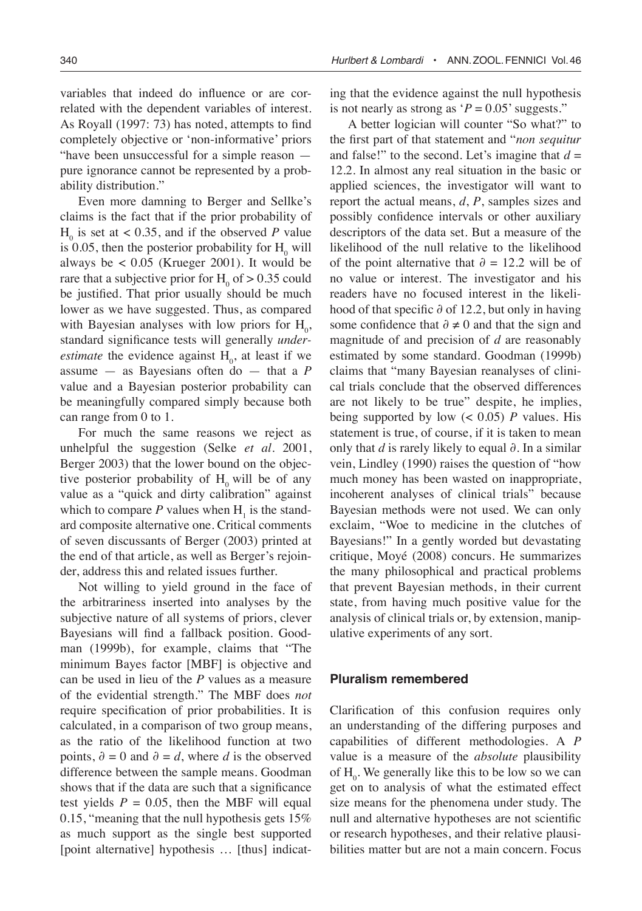variables that indeed do influence or are correlated with the dependent variables of interest. As Royall (1997: 73) has noted, attempts to find completely objective or 'non-informative' priors "have been unsuccessful for a simple reason pure ignorance cannot be represented by a probability distribution."

Even more damning to Berger and Sellke's claims is the fact that if the prior probability of  $H_0$  is set at < 0.35, and if the observed *P* value is 0.05, then the posterior probability for  $H_0$  will always be  $< 0.05$  (Krueger 2001). It would be rare that a subjective prior for  $H_0$  of  $> 0.35$  could be justified. That prior usually should be much lower as we have suggested. Thus, as compared with Bayesian analyses with low priors for  $H_0$ , standard significance tests will generally *underestimate* the evidence against  $H_0$ , at least if we assume — as Bayesians often do — that a *P* value and a Bayesian posterior probability can be meaningfully compared simply because both can range from 0 to 1.

For much the same reasons we reject as unhelpful the suggestion (Selke *et al*. 2001, Berger 2003) that the lower bound on the objective posterior probability of  $H_0$  will be of any value as a "quick and dirty calibration" against which to compare  $P$  values when  $H_1$  is the standard composite alternative one. Critical comments of seven discussants of Berger (2003) printed at the end of that article, as well as Berger's rejoinder, address this and related issues further.

Not willing to yield ground in the face of the arbitrariness inserted into analyses by the subjective nature of all systems of priors, clever Bayesians will find a fallback position. Goodman (1999b), for example, claims that "The minimum Bayes factor [MBF] is objective and can be used in lieu of the *P* values as a measure of the evidential strength." The MBF does *not* require specification of prior probabilities. It is calculated, in a comparison of two group means, as the ratio of the likelihood function at two points,  $\partial = 0$  and  $\partial = d$ , where *d* is the observed difference between the sample means. Goodman shows that if the data are such that a significance test yields  $P = 0.05$ , then the MBF will equal 0.15, "meaning that the null hypothesis gets 15% as much support as the single best supported [point alternative] hypothesis ... [thus] indicating that the evidence against the null hypothesis is not nearly as strong as  $P = 0.05$ ' suggests."

A better logician will counter "So what?" to the first part of that statement and "*non sequitur* and false!" to the second. Let's imagine that  $d =$ 12.2. In almost any real situation in the basic or applied sciences, the investigator will want to report the actual means, *d*, *P*, samples sizes and possibly confidence intervals or other auxiliary descriptors of the data set. But a measure of the likelihood of the null relative to the likelihood of the point alternative that *∂* = 12.2 will be of no value or interest. The investigator and his readers have no focused interest in the likelihood of that specific ∂ of 12.2, but only in having some confidence that  $\partial \neq 0$  and that the sign and magnitude of and precision of *d* are reasonably estimated by some standard. Goodman (1999b) claims that "many Bayesian reanalyses of clinical trials conclude that the observed differences are not likely to be true" despite, he implies, being supported by low  $(< 0.05)$  *P* values. His statement is true, of course, if it is taken to mean only that *d* is rarely likely to equal ∂. In a similar vein, Lindley (1990) raises the question of "how much money has been wasted on inappropriate, incoherent analyses of clinical trials" because Bayesian methods were not used. We can only exclaim, "Woe to medicine in the clutches of Bayesians!" In a gently worded but devastating critique, Moyé (2008) concurs. He summarizes the many philosophical and practical problems that prevent Bayesian methods, in their current state, from having much positive value for the analysis of clinical trials or, by extension, manipulative experiments of any sort.

#### **Pluralism remembered**

Clarification of this confusion requires only an understanding of the differing purposes and capabilities of different methodologies. A *P* value is a measure of the *absolute* plausibility of  $H_0$ . We generally like this to be low so we can get on to analysis of what the estimated effect size means for the phenomena under study. The null and alternative hypotheses are not scientific or research hypotheses, and their relative plausibilities matter but are not a main concern. Focus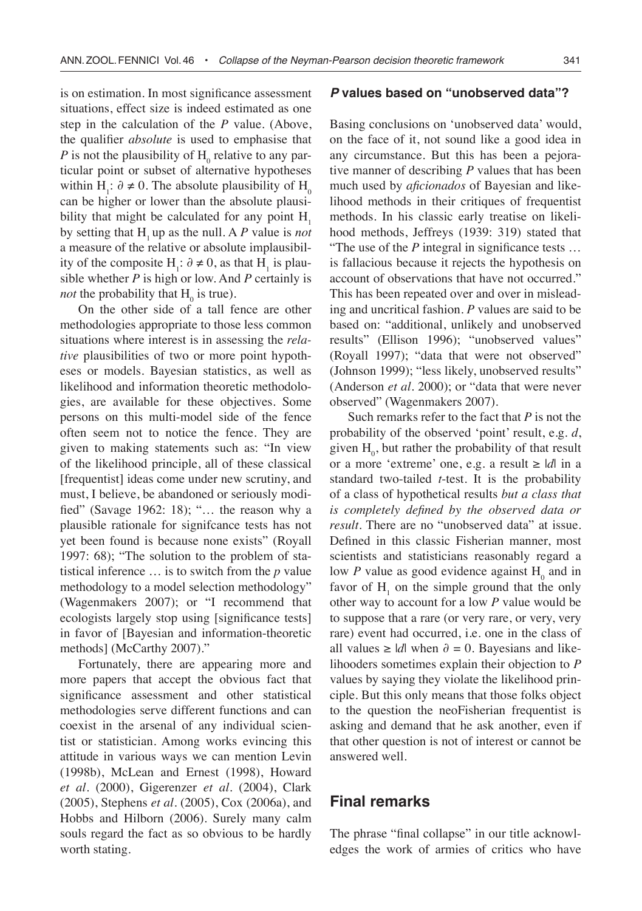is on estimation. In most significance assessment situations, effect size is indeed estimated as one step in the calculation of the *P* value. (Above, the qualifier *absolute* is used to emphasise that  $P$  is not the plausibility of  $H_0$  relative to any particular point or subset of alternative hypotheses within H<sub>1</sub>:  $\partial \neq 0$ . The absolute plausibility of H<sub>0</sub> can be higher or lower than the absolute plausibility that might be calculated for any point  $H<sub>1</sub>$ by setting that H<sub>1</sub> up as the null. A P value is *not* a measure of the relative or absolute implausibility of the composite  $H_1$ : ∂ ≠ 0, as that  $H_1$  is plausible whether *P* is high or low. And *P* certainly is *not* the probability that  $H_0$  is true).

On the other side of a tall fence are other methodologies appropriate to those less common situations where interest is in assessing the *relative* plausibilities of two or more point hypotheses or models. Bayesian statistics, as well as likelihood and information theoretic methodologies, are available for these objectives. Some persons on this multi-model side of the fence often seem not to notice the fence. They are given to making statements such as: "In view of the likelihood principle, all of these classical [frequentist] ideas come under new scrutiny, and must, I believe, be abandoned or seriously modified" (Savage 1962: 18); "… the reason why a plausible rationale for signifcance tests has not yet been found is because none exists" (Royall 1997: 68); "The solution to the problem of statistical inference … is to switch from the *p* value methodology to a model selection methodology" (Wagenmakers 2007); or "I recommend that ecologists largely stop using [significance tests] in favor of [Bayesian and information-theoretic methods] (McCarthy 2007)."

Fortunately, there are appearing more and more papers that accept the obvious fact that significance assessment and other statistical methodologies serve different functions and can coexist in the arsenal of any individual scientist or statistician. Among works evincing this attitude in various ways we can mention Levin (1998b), McLean and Ernest (1998), Howard *et al*. (2000), Gigerenzer *et al*. (2004), Clark (2005), Stephens *et al*. (2005), Cox (2006a), and Hobbs and Hilborn (2006). Surely many calm souls regard the fact as so obvious to be hardly worth stating.

## **P values based on "unobserved data"?**

Basing conclusions on 'unobserved data' would, on the face of it, not sound like a good idea in any circumstance. But this has been a pejorative manner of describing *P* values that has been much used by *aficionados* of Bayesian and likelihood methods in their critiques of frequentist methods. In his classic early treatise on likelihood methods, Jeffreys (1939: 319) stated that "The use of the *P* integral in significance tests … is fallacious because it rejects the hypothesis on account of observations that have not occurred." This has been repeated over and over in misleading and uncritical fashion. *P* values are said to be based on: "additional, unlikely and unobserved results" (Ellison 1996); "unobserved values" (Royall 1997); "data that were not observed" (Johnson 1999); "less likely, unobserved results" (Anderson *et al*. 2000); or "data that were never observed" (Wagenmakers 2007).

Such remarks refer to the fact that *P* is not the probability of the observed 'point' result, e.g. *d*, given  $H_0$ , but rather the probability of that result or a more 'extreme' one, e.g. a result ≥ |*d*| in a standard two-tailed *t*-test. It is the probability of a class of hypothetical results *but a class that is completely defined by the observed data or result*. There are no "unobserved data" at issue. Defined in this classic Fisherian manner, most scientists and statisticians reasonably regard a low  $P$  value as good evidence against  $H_0$  and in favor of  $H_1$  on the simple ground that the only other way to account for a low *P* value would be to suppose that a rare (or very rare, or very, very rare) event had occurred, i.e. one in the class of all values ≥ |*d*| when  $\partial = 0$ . Bayesians and likelihooders sometimes explain their objection to *P* values by saying they violate the likelihood principle. But this only means that those folks object to the question the neoFisherian frequentist is asking and demand that he ask another, even if that other question is not of interest or cannot be answered well.

# **Final remarks**

The phrase "final collapse" in our title acknowledges the work of armies of critics who have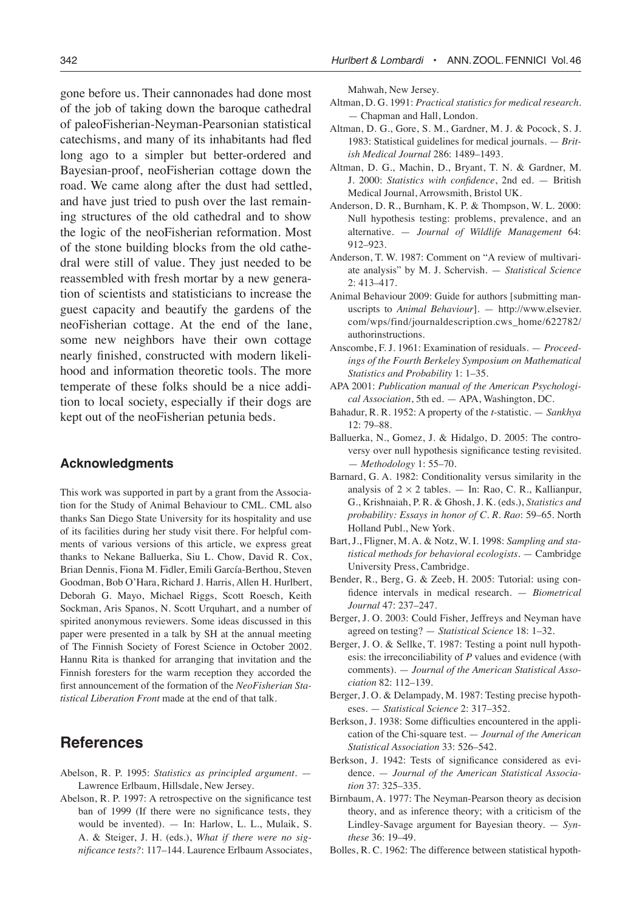gone before us. Their cannonades had done most of the job of taking down the baroque cathedral of paleoFisherian-Neyman-Pearsonian statistical catechisms, and many of its inhabitants had fled long ago to a simpler but better-ordered and Bayesian-proof, neoFisherian cottage down the road. We came along after the dust had settled, and have just tried to push over the last remaining structures of the old cathedral and to show the logic of the neoFisherian reformation. Most of the stone building blocks from the old cathedral were still of value. They just needed to be reassembled with fresh mortar by a new generation of scientists and statisticians to increase the guest capacity and beautify the gardens of the neoFisherian cottage. At the end of the lane, some new neighbors have their own cottage nearly finished, constructed with modern likelihood and information theoretic tools. The more temperate of these folks should be a nice addition to local society, especially if their dogs are kept out of the neoFisherian petunia beds.

# **Acknowledgments**

This work was supported in part by a grant from the Association for the Study of Animal Behaviour to CML. CML also thanks San Diego State University for its hospitality and use of its facilities during her study visit there. For helpful comments of various versions of this article, we express great thanks to Nekane Balluerka, Siu L. Chow, David R. Cox, Brian Dennis, Fiona M. Fidler, Emili García-Berthou, Steven Goodman, Bob O'Hara, Richard J. Harris, Allen H. Hurlbert, Deborah G. Mayo, Michael Riggs, Scott Roesch, Keith Sockman, Aris Spanos, N. Scott Urquhart, and a number of spirited anonymous reviewers. Some ideas discussed in this paper were presented in a talk by SH at the annual meeting of The Finnish Society of Forest Science in October 2002. Hannu Rita is thanked for arranging that invitation and the Finnish foresters for the warm reception they accorded the first announcement of the formation of the *NeoFisherian Statistical Liberation Front* made at the end of that talk.

# **References**

- Abelson, R. P. 1995: *Statistics as principled argument*. Lawrence Erlbaum, Hillsdale, New Jersey.
- Abelson, R. P. 1997: A retrospective on the significance test ban of 1999 (If there were no significance tests, they would be invented). — In: Harlow, L. L., Mulaik, S. A. & Steiger, J. H. (eds.), *What if there were no significance tests?*: 117–144. Laurence Erlbaum Associates,

Mahwah, New Jersey.

- Altman, D. G. 1991: *Practical statistics for medical research*. — Chapman and Hall, London.
- Altman, D. G., Gore, S. M., Gardner, M. J. & Pocock, S. J. 1983: Statistical guidelines for medical journals. — *British Medical Journal* 286: 1489–1493.
- Altman, D. G., Machin, D., Bryant, T. N. & Gardner, M. J. 2000: *Statistics with confidence*, 2nd ed. — British Medical Journal, Arrowsmith, Bristol UK.
- Anderson, D. R., Burnham, K. P. & Thompson, W. L. 2000: Null hypothesis testing: problems, prevalence, and an alternative. — *Journal of Wildlife Management* 64: 912–923.
- Anderson, T. W. 1987: Comment on "A review of multivariate analysis" by M. J. Schervish. — *Statistical Science* 2: 413–417.
- Animal Behaviour 2009: Guide for authors [submitting manuscripts to *Animal Behaviour*]. — http://www.elsevier. com/wps/find/journaldescription.cws\_home/622782/ authorinstructions.
- Anscombe, F. J. 1961: Examination of residuals. *Proceedings of the Fourth Berkeley Symposium on Mathematical Statistics and Probability* 1: 1–35.
- APA 2001: *Publication manual of the American Psychological Association*, 5th ed. — APA, Washington, DC.
- Bahadur, R. R. 1952: A property of the *t*-statistic. *Sankhya* 12: 79–88.
- Balluerka, N., Gomez, J. & Hidalgo, D. 2005: The controversy over null hypothesis significance testing revisited. — *Methodology* 1: 55–70.
- Barnard, G. A. 1982: Conditionality versus similarity in the analysis of  $2 \times 2$  tables. — In: Rao, C. R., Kallianpur, G., Krishnaiah, P. R. & Ghosh, J. K*.* (eds.), *Statistics and probability: Essays in honor of C. R. Rao*: 59–65. North Holland Publ., New York.
- Bart, J., Fligner, M. A. & Notz, W. I. 1998: *Sampling and statistical methods for behavioral ecologists*. — Cambridge University Press, Cambridge.
- Bender, R., Berg, G. & Zeeb, H. 2005: Tutorial: using confidence intervals in medical research. — *Biometrical Journal* 47: 237–247.
- Berger, J. O. 2003: Could Fisher, Jeffreys and Neyman have agreed on testing? — *Statistical Science* 18: 1–32.
- Berger, J. O. & Sellke, T. 1987: Testing a point null hypothesis: the irreconciliability of *P* values and evidence (with comments). — *Journal of the American Statistical Association* 82: 112–139.
- Berger, J. O. & Delampady, M. 1987: Testing precise hypotheses. — *Statistical Science* 2: 317–352.
- Berkson, J. 1938: Some difficulties encountered in the application of the Chi-square test. — *Journal of the American Statistical Association* 33: 526–542.
- Berkson, J. 1942: Tests of significance considered as evidence. — *Journal of the American Statistical Association* 37: 325–335.
- Birnbaum, A. 1977: The Neyman-Pearson theory as decision theory, and as inference theory; with a criticism of the Lindley-Savage argument for Bayesian theory. — *Synthese* 36: 19–49.
- Bolles, R. C. 1962: The difference between statistical hypoth-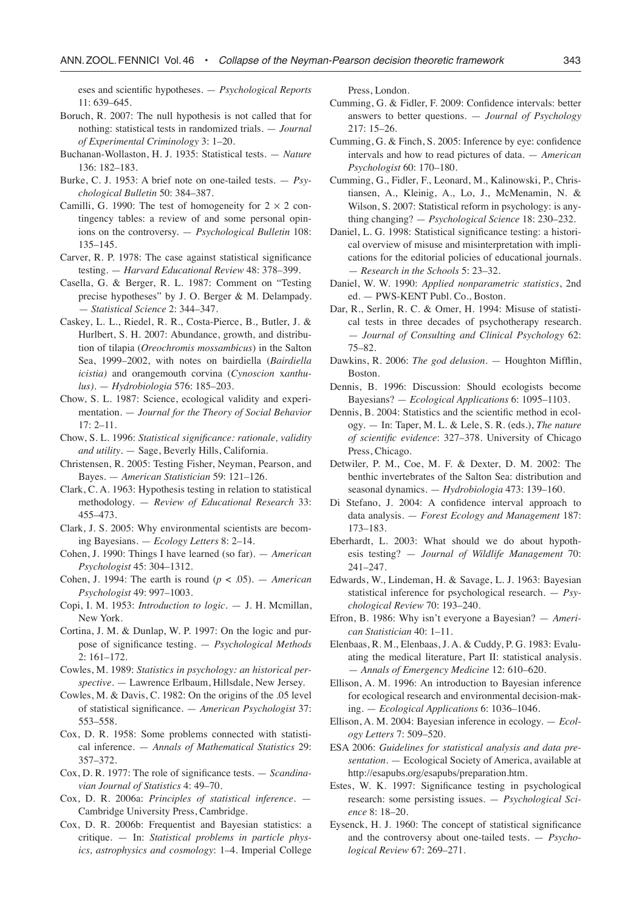eses and scientific hypotheses. — *Psychological Reports* 11: 639–645.

- Boruch, R. 2007: The null hypothesis is not called that for nothing: statistical tests in randomized trials. — *Journal of Experimental Criminology* 3: 1–20.
- Buchanan-Wollaston, H. J. 1935: Statistical tests. *Nature* 136: 182–183.
- Burke, C. J. 1953: A brief note on one-tailed tests. *Psychological Bulletin* 50: 384–387.
- Camilli, G. 1990: The test of homogeneity for  $2 \times 2$  contingency tables: a review of and some personal opinions on the controversy. — *Psychological Bulletin* 108: 135–145.
- Carver, R. P. 1978: The case against statistical significance testing. — *Harvard Educational Review* 48: 378–399.
- Casella, G. & Berger, R. L. 1987: Comment on "Testing precise hypotheses" by J. O. Berger & M. Delampady. — *Statistical Science* 2: 344–347.
- Caskey, L. L., Riedel, R. R., Costa-Pierce, B., Butler, J. & Hurlbert, S. H. 2007: Abundance, growth, and distribution of tilapia (*Oreochromis mossambicus*) in the Salton Sea, 1999–2002, with notes on bairdiella (*Bairdiella icistia)* and orangemouth corvina (*Cynoscion* x*anthulus)*. — *Hydrobiologia* 576: 185–203.
- Chow, S. L. 1987: Science, ecological validity and experimentation. — *Journal for the Theory of Social Behavior*   $17: 2 - 11$ .
- Chow, S. L. 1996: *Statistical significance: rationale, validity and utility*. — Sage, Beverly Hills, California.
- Christensen, R. 2005: Testing Fisher, Neyman, Pearson, and Bayes. — *American Statistician* 59: 121–126.
- Clark, C. A. 1963: Hypothesis testing in relation to statistical methodology. — *Review of Educational Research* 33: 455–473.
- Clark, J. S. 2005: Why environmental scientists are becoming Bayesians. — *Ecology Letters* 8: 2–14.
- Cohen, J. 1990: Things I have learned (so far). *American Psychologist* 45: 304–1312.
- Cohen, J. 1994: The earth is round  $(p < .05)$ . *American Psychologist* 49: 997–1003.
- Copi, I. M. 1953: *Introduction to logic*. J. H. Mcmillan, New York.
- Cortina, J. M. & Dunlap, W. P. 1997: On the logic and purpose of significance testing. — *Psychological Methods* 2: 161–172.
- Cowles, M. 1989: *Statistics in psychology: an historical perspective*. — Lawrence Erlbaum, Hillsdale, New Jersey.
- Cowles, M. & Davis, C. 1982: On the origins of the .05 level of statistical significance. — *American Psychologist* 37: 553–558.
- Cox, D. R. 1958: Some problems connected with statistical inference. — *Annals of Mathematical Statistics* 29: 357–372.
- Cox, D. R. 1977: The role of significance tests. *Scandinavian Journal of Statistics* 4: 49–70.
- Cox, D. R. 2006a: *Principles of statistical inference*. Cambridge University Press, Cambridge.
- Cox, D. R. 2006b: Frequentist and Bayesian statistics: a critique. — In: *Statistical problems in particle physics, astrophysics and cosmology*: 1–4. Imperial College

Press, London.

- Cumming, G. & Fidler, F. 2009: Confidence intervals: better answers to better questions. — *Journal of Psychology* 217: 15–26.
- Cumming, G. & Finch, S. 2005: Inference by eye: confidence intervals and how to read pictures of data. — *American Psychologist* 60: 170–180.
- Cumming, G., Fidler, F., Leonard, M., Kalinowski, P., Christiansen, A., Kleinig, A., Lo, J., McMenamin, N. & Wilson, S. 2007: Statistical reform in psychology: is anything changing? — *Psychological Science* 18: 230–232.
- Daniel, L. G. 1998: Statistical significance testing: a historical overview of misuse and misinterpretation with implications for the editorial policies of educational journals. — *Research in the Schools* 5: 23–32.
- Daniel, W. W. 1990: *Applied nonparametric statistics*, 2nd ed. — PWS-KENT Publ. Co., Boston.
- Dar, R., Serlin, R. C. & Omer, H. 1994: Misuse of statistical tests in three decades of psychotherapy research. — *Journal of Consulting and Clinical Psychology* 62: 75–82.
- Dawkins, R. 2006: *The god delusion*. Houghton Mifflin, Boston.
- Dennis, B. 1996: Discussion: Should ecologists become Bayesians? — *Ecological Applications* 6: 1095–1103.
- Dennis, B. 2004: Statistics and the scientific method in ecology. — In: Taper, M. L. & Lele, S. R. (eds.), *The nature of scientific evidence*: 327–378. University of Chicago Press, Chicago.
- Detwiler, P. M., Coe, M. F. & Dexter, D. M. 2002: The benthic invertebrates of the Salton Sea: distribution and seasonal dynamics. — *Hydrobiologia* 473: 139–160.
- Di Stefano, J. 2004: A confidence interval approach to data analysis. — *Forest Ecology and Management* 187: 173–183.
- Eberhardt, L. 2003: What should we do about hypothesis testing? — *Journal of Wildlife Management* 70: 241–247.
- Edwards, W., Lindeman, H. & Savage, L. J. 1963: Bayesian statistical inference for psychological research. — *Psychological Review* 70: 193–240.
- Efron, B. 1986: Why isn't everyone a Bayesian? *American Statistician* 40: 1–11.
- Elenbaas, R. M., Elenbaas, J. A. & Cuddy, P. G. 1983: Evaluating the medical literature, Part II: statistical analysis. — *Annals of Emergency Medicine* 12: 610–620.
- Ellison, A. M. 1996: An introduction to Bayesian inference for ecological research and environmental decision-making. — *Ecological Applications* 6: 1036–1046.
- Ellison, A. M. 2004: Bayesian inference in ecology. *Ecology Letters* 7: 509–520.
- ESA 2006: *Guidelines for statistical analysis and data presentation.* — Ecological Society of America, available at http://esapubs.org/esapubs/preparation.htm.
- Estes, W. K. 1997: Significance testing in psychological research: some persisting issues. — *Psychological Science* 8: 18–20.
- Eysenck, H. J. 1960: The concept of statistical significance and the controversy about one-tailed tests. — *Psychological Review* 67: 269–271.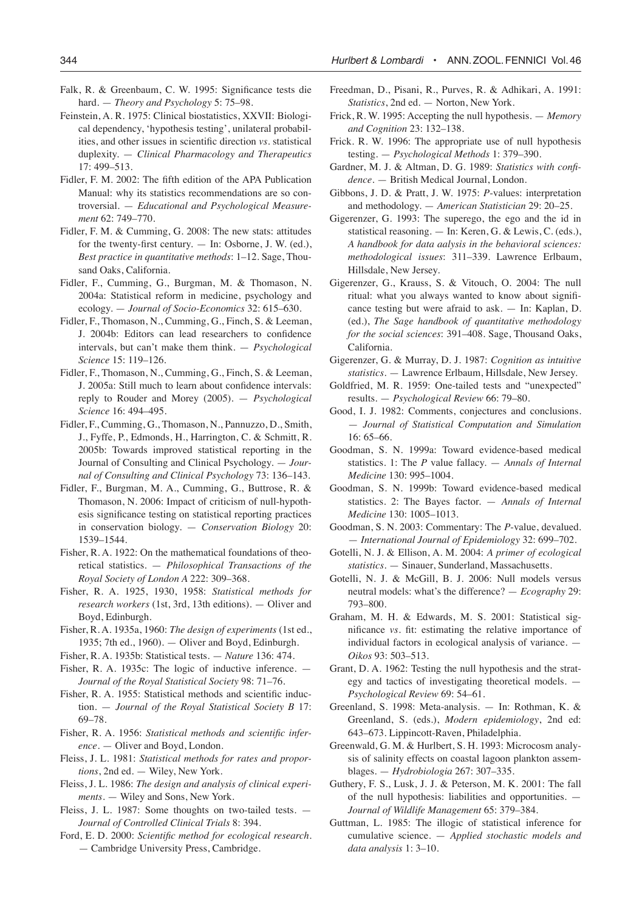- Falk, R. & Greenbaum, C. W. 1995: Significance tests die hard. — *Theory and Psychology* 5: 75–98.
- Feinstein, A. R. 1975: Clinical biostatistics, XXVII: Biological dependency, 'hypothesis testing', unilateral probabilities, and other issues in scientific direction *vs*. statistical duplexity. — *Clinical Pharmacology and Therapeutics*  17: 499–513.
- Fidler, F. M. 2002: The fifth edition of the APA Publication Manual: why its statistics recommendations are so controversial. — *Educational and Psychological Measurement* 62: 749–770.
- Fidler, F. M. & Cumming, G. 2008: The new stats: attitudes for the twenty-first century. — In: Osborne, J. W. (ed.), *Best practice in quantitative methods*: 1–12. Sage, Thousand Oaks, California.
- Fidler, F., Cumming, G., Burgman, M. & Thomason, N. 2004a: Statistical reform in medicine, psychology and ecology. — *Journal of Socio-Economics* 32: 615–630.
- Fidler, F., Thomason, N., Cumming, G., Finch, S. & Leeman, J. 2004b: Editors can lead researchers to confidence intervals, but can't make them think. — *Psychological Science* 15: 119–126.
- Fidler, F., Thomason, N., Cumming, G., Finch, S. & Leeman, J. 2005a: Still much to learn about confidence intervals: reply to Rouder and Morey (2005). — *Psychological Science* 16: 494–495.
- Fidler, F., Cumming, G., Thomason, N., Pannuzzo, D., Smith, J., Fyffe, P., Edmonds, H., Harrington, C. & Schmitt, R. 2005b: Towards improved statistical reporting in the Journal of Consulting and Clinical Psychology. — *Journal of Consulting and Clinical Psychology* 73: 136–143.
- Fidler, F., Burgman, M. A., Cumming, G., Buttrose, R. & Thomason, N. 2006: Impact of criticism of null-hypothesis significance testing on statistical reporting practices in conservation biology. — *Conservation Biology* 20: 1539–1544.
- Fisher, R. A. 1922: On the mathematical foundations of theoretical statistics. — *Philosophical Transactions of the Royal Society of London A* 222: 309–368.
- Fisher, R. A. 1925, 1930, 1958: *Statistical methods for research workers* (1st, 3rd, 13th editions). — Oliver and Boyd, Edinburgh.
- Fisher, R. A. 1935a, 1960: *The design of experiments* (1st ed., 1935; 7th ed., 1960). — Oliver and Boyd, Edinburgh.
- Fisher, R. A. 1935b: Statistical tests. *Nature* 136: 474.
- Fisher, R. A. 1935c: The logic of inductive inference. *Journal of the Royal Statistical Society* 98: 71–76.
- Fisher, R. A. 1955: Statistical methods and scientific induction. — *Journal of the Royal Statistical Society B* 17: 69–78.
- Fisher, R. A. 1956: *Statistical methods and scientific inference*. — Oliver and Boyd, London.
- Fleiss, J. L. 1981: *Statistical methods for rates and proportions*, 2nd ed. — Wiley, New York.
- Fleiss, J. L. 1986: *The design and analysis of clinical experiments*. — Wiley and Sons, New York.
- Fleiss, J. L. 1987: Some thoughts on two-tailed tests. *Journal of Controlled Clinical Trials* 8: 394.
- Ford, E. D. 2000: *Scientific method for ecological research*. — Cambridge University Press, Cambridge.
- Freedman, D., Pisani, R., Purves, R. & Adhikari, A. 1991: *Statistics*, 2nd ed. — Norton, New York.
- Frick, R. W. 1995: Accepting the null hypothesis. *Memory and Cognition* 23: 132–138.
- Frick. R. W. 1996: The appropriate use of null hypothesis testing. — *Psychological Methods* 1: 379–390.
- Gardner, M. J. & Altman, D. G. 1989: *Statistics with confidence.* — British Medical Journal, London.
- Gibbons, J. D. & Pratt, J. W. 1975: *P*-values: interpretation and methodology. — *American Statistician* 29: 20–25.
- Gigerenzer, G. 1993: The superego, the ego and the id in statistical reasoning. — In: Keren, G. & Lewis, C. (eds.), *A handbook for data aalysis in the behavioral sciences: methodological issues*: 311–339. Lawrence Erlbaum, Hillsdale, New Jersey.
- Gigerenzer, G., Krauss, S. & Vitouch, O. 2004: The null ritual: what you always wanted to know about significance testing but were afraid to ask. — In: Kaplan, D. (ed.), *The Sage handbook of quantitative methodology for the social sciences*: 391–408. Sage, Thousand Oaks, California.
- Gigerenzer, G. & Murray, D. J. 1987: *Cognition as intuitive statistics*. — Lawrence Erlbaum, Hillsdale, New Jersey.
- Goldfried, M. R. 1959: One-tailed tests and "unexpected" results. — *Psychological Review* 66: 79–80.
- Good, I. J. 1982: Comments, conjectures and conclusions. — *Journal of Statistical Computation and Simulation* 16: 65–66.
- Goodman, S. N. 1999a: Toward evidence-based medical statistics. 1: The *P* value fallacy. — *Annals of Internal Medicine* 130: 995–1004.
- Goodman, S. N. 1999b: Toward evidence-based medical statistics. 2: The Bayes factor. — *Annals of Internal Medicine* 130: 1005–1013.
- Goodman, S. N. 2003: Commentary: The *P*-value, devalued. — *International Journal of Epidemiology* 32: 699–702.
- Gotelli, N. J. & Ellison, A. M. 2004: *A primer of ecological statistics*. — Sinauer, Sunderland, Massachusetts.
- Gotelli, N. J. & McGill, B. J. 2006: Null models versus neutral models: what's the difference? — *Ecography* 29: 793–800.
- Graham, M. H. & Edwards, M. S. 2001: Statistical significance *vs*. fit: estimating the relative importance of individual factors in ecological analysis of variance. — *Oikos* 93: 503–513.
- Grant, D. A. 1962: Testing the null hypothesis and the strategy and tactics of investigating theoretical models. — *Psychological Review* 69: 54–61.
- Greenland, S. 1998: Meta-analysis. In: Rothman, K. & Greenland, S. (eds.), *Modern epidemiology*, 2nd ed: 643–673. Lippincott-Raven, Philadelphia.
- Greenwald, G. M. & Hurlbert, S. H. 1993: Microcosm analysis of salinity effects on coastal lagoon plankton assemblages. — *Hydrobiologia* 267: 307–335.
- Guthery, F. S., Lusk, J. J. & Peterson, M. K. 2001: The fall of the null hypothesis: liabilities and opportunities. — *Journal of Wildlife Management* 65: 379–384.
- Guttman, L. 1985: The illogic of statistical inference for cumulative science. — *Applied stochastic models and data analysis* 1: 3–10.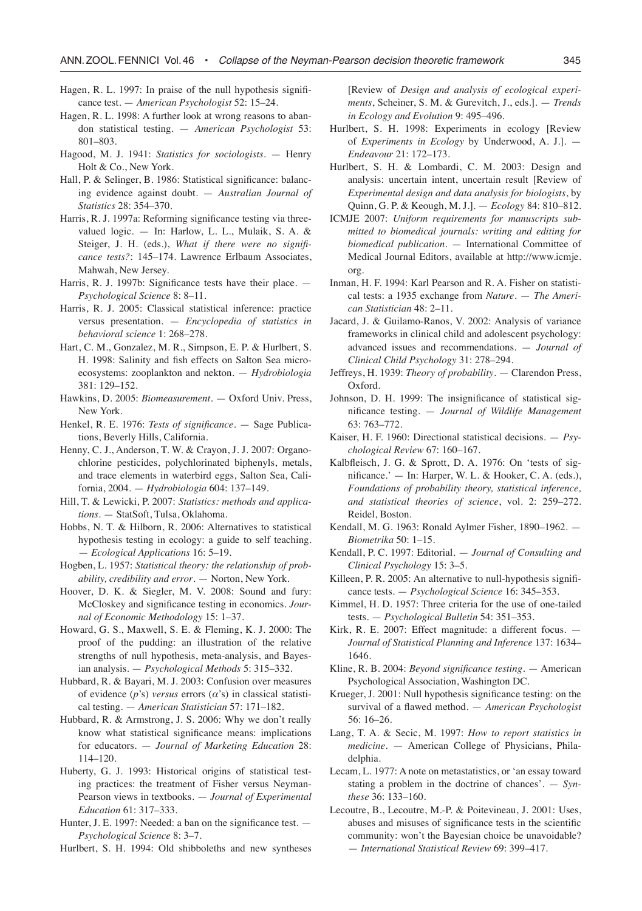- Hagen, R. L. 1997: In praise of the null hypothesis significance test. — *American Psychologist* 52: 15–24.
- Hagen, R. L. 1998: A further look at wrong reasons to abandon statistical testing. — *American Psychologist* 53: 801–803.
- Hagood, M. J. 1941: *Statistics for sociologists*. Henry Holt & Co., New York.
- Hall, P. & Selinger, B. 1986: Statistical significance: balancing evidence against doubt. — *Australian Journal of Statistics* 28: 354–370.
- Harris, R. J. 1997a: Reforming significance testing via threevalued logic. — In: Harlow, L. L., Mulaik, S. A. & Steiger, J. H. (eds.), *What if there were no significance tests?*: 145–174. Lawrence Erlbaum Associates, Mahwah, New Jersey.
- Harris, R. J. 1997b: Significance tests have their place. *Psychological Science* 8: 8–11.
- Harris, R. J. 2005: Classical statistical inference: practice versus presentation. — *Encyclopedia of statistics in behavioral science* 1: 268–278.
- Hart, C. M., Gonzalez, M. R., Simpson, E. P. & Hurlbert, S. H. 1998: Salinity and fish effects on Salton Sea microecosystems: zooplankton and nekton. — *Hydrobiologia* 381: 129–152.
- Hawkins, D. 2005: *Biomeasurement.* Oxford Univ. Press, New York.
- Henkel, R. E. 1976: *Tests of significance*. Sage Publications, Beverly Hills, California.
- Henny, C. J., Anderson, T. W. & Crayon, J. J. 2007: Organochlorine pesticides, polychlorinated biphenyls, metals, and trace elements in waterbird eggs, Salton Sea, California, 2004. — *Hydrobiologia* 604: 137–149.
- Hill, T. & Lewicki, P. 2007: *Statistics: methods and applications*. — StatSoft, Tulsa, Oklahoma.
- Hobbs, N. T. & Hilborn, R. 2006: Alternatives to statistical hypothesis testing in ecology: a guide to self teaching. — *Ecological Applications* 16: 5–19.
- Hogben, L. 1957: *Statistical theory: the relationship of probability, credibility and error*. — Norton, New York.
- Hoover, D. K. & Siegler, M. V. 2008: Sound and fury: McCloskey and significance testing in economics. *Journal of Economic Methodology* 15: 1–37.
- Howard, G. S., Maxwell, S. E. & Fleming, K. J. 2000: The proof of the pudding: an illustration of the relative strengths of null hypothesis, meta-analysis, and Bayesian analysis. — *Psychological Methods* 5: 315–332.
- Hubbard, R. & Bayari, M. J. 2003: Confusion over measures of evidence (*p*'s) *versus* errors (*α*'s) in classical statistical testing. — *American Statistician* 57: 171–182.
- Hubbard, R. & Armstrong, J. S. 2006: Why we don't really know what statistical significance means: implications for educators. — *Journal of Marketing Education* 28: 114–120.
- Huberty, G. J. 1993: Historical origins of statistical testing practices: the treatment of Fisher versus Neyman-Pearson views in textbooks. — *Journal of Experimental Education* 61: 317–333.
- Hunter, J. E. 1997: Needed: a ban on the significance test. *Psychological Science* 8: 3–7.

Hurlbert, S. H. 1994: Old shibboleths and new syntheses

[Review of *Design and analysis of ecological experiments*, Scheiner, S. M. & Gurevitch, J., eds.]. — *Trends in Ecology and Evolution* 9: 495–496.

- Hurlbert, S. H. 1998: Experiments in ecology [Review of *Experiments in Ecology* by Underwood, A. J.]. — *Endeavour* 21: 172–173.
- Hurlbert, S. H. & Lombardi, C. M. 2003: Design and analysis: uncertain intent, uncertain result [Review of *Experimental design and data analysis for biologists*, by Quinn, G. P. & Keough, M. J.]. — *Ecology* 84: 810–812.
- ICMJE 2007: *Uniform requirements for manuscripts submitted to biomedical journals: writing and editing for biomedical publication*. — International Committee of Medical Journal Editors, available at http://www.icmje. org.
- Inman, H. F. 1994: Karl Pearson and R. A. Fisher on statistical tests: a 1935 exchange from *Nature*. — *The American Statistician* 48: 2–11.
- Jacard, J. & Guilamo-Ranos, V. 2002: Analysis of variance frameworks in clinical child and adolescent psychology: advanced issues and recommendations. — *Journal of Clinical Child Psychology* 31: 278–294.
- Jeffreys, H. 1939: *Theory of probability*. Clarendon Press, Oxford.
- Johnson, D. H. 1999: The insignificance of statistical significance testing. — *Journal of Wildlife Management* 63: 763–772.
- Kaiser, H. F. 1960: Directional statistical decisions. *Psychological Review* 67: 160–167.
- Kalbfleisch, J. G. & Sprott, D. A. 1976: On 'tests of significance.' — In: Harper, W. L. & Hooker, C. A. (eds.), *Foundations of probability theory, statistical inference, and statistical theories of science*, vol. 2: 259–272. Reidel, Boston.
- Kendall, M. G. 1963: Ronald Aylmer Fisher, 1890–1962. *Biometrika* 50: 1–15.
- Kendall, P. C. 1997: Editorial. *Journal of Consulting and Clinical Psychology* 15: 3–5.
- Killeen, P. R. 2005: An alternative to null-hypothesis significance tests. — *Psychological Science* 16: 345–353.
- Kimmel, H. D. 1957: Three criteria for the use of one-tailed tests. — *Psychological Bulletin* 54: 351–353.
- Kirk, R. E. 2007: Effect magnitude: a different focus. *Journal of Statistical Planning and Inference* 137: 1634– 1646.
- Kline, R. B. 2004: *Beyond significance testing*. American Psychological Association, Washington DC.
- Krueger, J. 2001: Null hypothesis significance testing: on the survival of a flawed method. — *American Psychologist* 56: 16–26.
- Lang, T. A. & Secic, M. 1997: *How to report statistics in medicine*. — American College of Physicians, Philadelphia.
- Lecam, L. 1977: A note on metastatistics, or 'an essay toward stating a problem in the doctrine of chances'. — *Synthese* 36: 133–160.
- Lecoutre, B., Lecoutre, M.-P. & Poitevineau, J. 2001: Uses, abuses and misuses of significance tests in the scientific community: won't the Bayesian choice be unavoidable? — *International Statistical Review* 69: 399–417.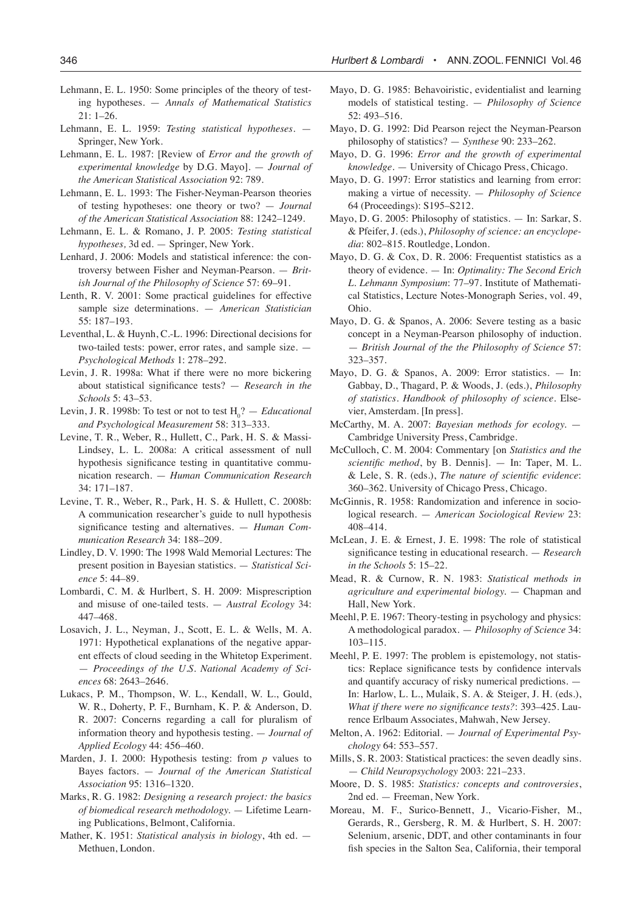- Lehmann, E. L. 1950: Some principles of the theory of testing hypotheses. — *Annals of Mathematical Statistics* 21: 1–26.
- Lehmann, E. L. 1959: *Testing statistical hypotheses*. Springer, New York.
- Lehmann, E. L. 1987: [Review of *Error and the growth of experimental knowledge* by D.G. Mayo]. — *Journal of the American Statistical Association* 92: 789.
- Lehmann, E. L. 1993: The Fisher-Neyman-Pearson theories of testing hypotheses: one theory or two? — *Journal of the American Statistical Association* 88: 1242–1249.
- Lehmann, E. L. & Romano, J. P. 2005: *Testing statistical hypotheses,* 3d ed. — Springer, New York.
- Lenhard, J. 2006: Models and statistical inference: the controversy between Fisher and Neyman-Pearson. — *British Journal of the Philosophy of Science* 57: 69–91.
- Lenth, R. V. 2001: Some practical guidelines for effective sample size determinations. — *American Statistician* 55: 187–193.
- Leventhal, L. & Huynh, C.-L. 1996: Directional decisions for two-tailed tests: power, error rates, and sample size. — *Psychological Methods* 1: 278–292.
- Levin, J. R. 1998a: What if there were no more bickering about statistical significance tests? — *Research in the Schools* 5: 43–53.
- Levin, J. R. 1998b: To test or not to test  $H_0$ ? *Educational and Psychological Measurement* 58: 313–333.
- Levine, T. R., Weber, R., Hullett, C., Park, H. S. & Massi-Lindsey, L. L. 2008a: A critical assessment of null hypothesis significance testing in quantitative communication research. — *Human Communication Research* 34: 171–187.
- Levine, T. R., Weber, R., Park, H. S. & Hullett, C. 2008b: A communication researcher's guide to null hypothesis significance testing and alternatives. — *Human Communication Research* 34: 188–209.
- Lindley, D. V. 1990: The 1998 Wald Memorial Lectures: The present position in Bayesian statistics. — *Statistical Science* 5: 44–89.
- Lombardi, C. M. & Hurlbert, S. H. 2009: Misprescription and misuse of one-tailed tests. — *Austral Ecology* 34: 447–468.
- Losavich, J. L., Neyman, J., Scott, E. L. & Wells, M. A. 1971: Hypothetical explanations of the negative apparent effects of cloud seeding in the Whitetop Experiment. — *Proceedings of the U.S. National Academy of Sciences* 68: 2643–2646.
- Lukacs, P. M., Thompson, W. L., Kendall, W. L., Gould, W. R., Doherty, P. F., Burnham, K. P. & Anderson, D. R. 2007: Concerns regarding a call for pluralism of information theory and hypothesis testing. — *Journal of Applied Ecology* 44: 456–460.
- Marden, J. I. 2000: Hypothesis testing: from *p* values to Bayes factors. — *Journal of the American Statistical Association* 95: 1316–1320.
- Marks, R. G. 1982: *Designing a research project: the basics of biomedical research methodology.* — Lifetime Learning Publications, Belmont, California.
- Mather, K. 1951: *Statistical analysis in biology*, 4th ed. Methuen, London.
- Mayo, D. G. 1985: Behavoiristic, evidentialist and learning models of statistical testing. — *Philosophy of Science* 52: 493–516.
- Mayo, D. G. 1992: Did Pearson reject the Neyman-Pearson philosophy of statistics? — *Synthese* 90: 233–262.
- Mayo, D. G. 1996: *Error and the growth of experimental knowledge.* — University of Chicago Press, Chicago.
- Mayo, D. G. 1997: Error statistics and learning from error: making a virtue of necessity. — *Philosophy of Science* 64 (Proceedings): S195–S212.
- Mayo, D. G. 2005: Philosophy of statistics. In: Sarkar, S. & Pfeifer, J. (eds.), *Philosophy of science: an encyclopedia*: 802–815. Routledge, London.
- Mayo, D. G. & Cox, D. R. 2006: Frequentist statistics as a theory of evidence. — In: *Optimality: The Second Erich L. Lehmann Symposium*: 77–97. Institute of Mathematical Statistics, Lecture Notes-Monograph Series, vol. 49, Ohio.
- Mayo, D. G. & Spanos, A. 2006: Severe testing as a basic concept in a Neyman-Pearson philosophy of induction. — *British Journal of the the Philosophy of Science* 57: 323–357.
- Mayo, D. G. & Spanos, A. 2009: Error statistics. In: Gabbay, D., Thagard, P. & Woods, J. (eds.), *Philosophy of statistics. Handbook of philosophy of science*. Elsevier, Amsterdam. [In press].
- McCarthy, M. A. 2007: *Bayesian methods for ecology.* Cambridge University Press, Cambridge.
- McCulloch, C. M. 2004: Commentary [on *Statistics and the scientific method*, by B. Dennis]. — In: Taper, M. L. & Lele, S. R. (eds.), *The nature of scientific evidence*: 360–362. University of Chicago Press, Chicago.
- McGinnis, R. 1958: Randomization and inference in sociological research. — *American Sociological Review* 23: 408–414.
- McLean, J. E. & Ernest, J. E. 1998: The role of statistical significance testing in educational research. — *Research in the Schools* 5: 15–22.
- Mead, R. & Curnow, R. N. 1983: *Statistical methods in agriculture and experimental biology.* — Chapman and Hall, New York.
- Meehl, P. E. 1967: Theory-testing in psychology and physics: A methodological paradox. — *Philosophy of Science* 34: 103–115.
- Meehl, P. E. 1997: The problem is epistemology, not statistics: Replace significance tests by confidence intervals and quantify accuracy of risky numerical predictions. — In: Harlow, L. L., Mulaik, S. A. & Steiger, J. H. (eds.), *What if there were no significance tests?*: 393–425. Laurence Erlbaum Associates, Mahwah, New Jersey.
- Melton, A. 1962: Editorial. *Journal of Experimental Psychology* 64: 553–557.
- Mills, S. R. 2003: Statistical practices: the seven deadly sins. — *Child Neuropsychology* 2003: 221–233.
- Moore, D. S. 1985: *Statistics: concepts and controversies*, 2nd ed. — Freeman, New York.
- Moreau, M. F., Surico-Bennett, J., Vicario-Fisher, M., Gerards, R., Gersberg, R. M. & Hurlbert, S. H. 2007: Selenium, arsenic, DDT, and other contaminants in four fish species in the Salton Sea, California, their temporal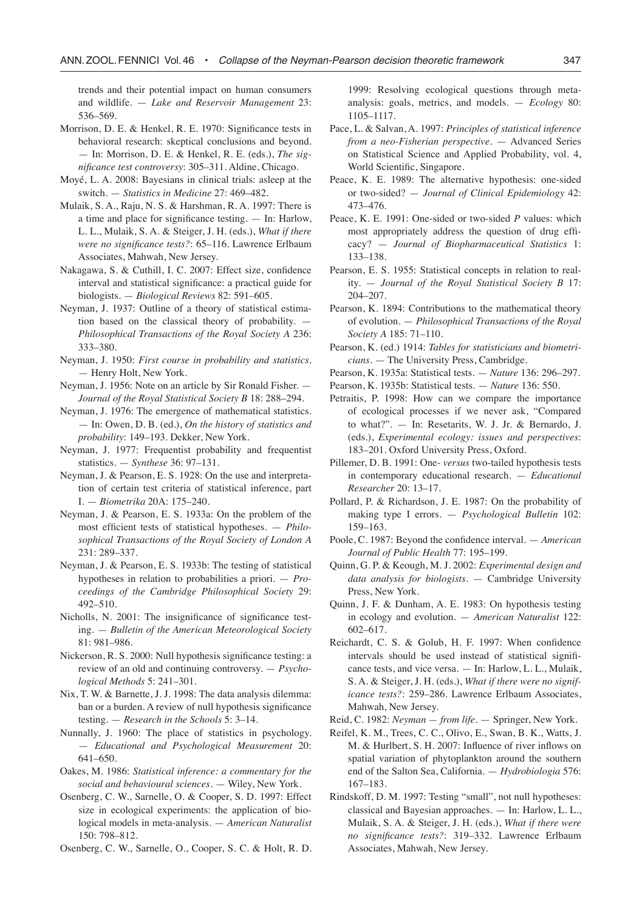trends and their potential impact on human consumers and wildlife. — *Lake and Reservoir Management* 23: 536–569.

- Morrison, D. E. & Henkel, R. E. 1970: Significance tests in behavioral research: skeptical conclusions and beyond. — In: Morrison, D. E. & Henkel, R. E. (eds.), *The significance test controversy*: 305–311. Aldine, Chicago.
- Moyé, L. A. 2008: Bayesians in clinical trials: asleep at the switch. — *Statistics in Medicine* 27: 469–482.
- Mulaik, S. A., Raju, N. S. & Harshman, R. A. 1997: There is a time and place for significance testing. — In: Harlow, L. L., Mulaik, S. A. & Steiger, J. H. (eds.), *What if there were no significance tests?*: 65–116. Lawrence Erlbaum Associates, Mahwah, New Jersey.
- Nakagawa, S. & Cuthill, I. C. 2007: Effect size, confidence interval and statistical significance: a practical guide for biologists. — *Biological Reviews* 82: 591–605.
- Neyman, J. 1937: Outline of a theory of statistical estimation based on the classical theory of probability. — *Philosophical Transactions of the Royal Society A* 236: 333–380.
- Neyman, J. 1950: *First course in probability and statistics.* — Henry Holt, New York.
- Neyman, J. 1956: Note on an article by Sir Ronald Fisher. *Journal of the Royal Statistical Society B* 18: 288–294.
- Neyman, J. 1976: The emergence of mathematical statistics. — In: Owen, D. B. (ed.), *On the history of statistics and probability*: 149–193. Dekker, New York.
- Neyman, J. 1977: Frequentist probability and frequentist statistics. — *Synthese* 36: 97–131.
- Neyman, J. & Pearson, E. S. 1928: On the use and interpretation of certain test criteria of statistical inference, part I. — *Biometrika* 20A: 175–240.
- Neyman, J. & Pearson, E. S. 1933a: On the problem of the most efficient tests of statistical hypotheses. — *Philosophical Transactions of the Royal Society of London A* 231: 289–337.
- Neyman, J. & Pearson, E. S. 1933b: The testing of statistical hypotheses in relation to probabilities a priori. — *Proceedings of the Cambridge Philosophical Society* 29: 492–510.
- Nicholls, N. 2001: The insignificance of significance testing. — *Bulletin of the American Meteorological Society* 81: 981–986.
- Nickerson, R. S. 2000: Null hypothesis significance testing: a review of an old and continuing controversy. — *Psychological Methods* 5: 241–301.
- Nix, T. W. & Barnette, J. J. 1998: The data analysis dilemma: ban or a burden. A review of null hypothesis significance testing. — *Research in the Schools* 5: 3–14.
- Nunnally, J. 1960: The place of statistics in psychology. — *Educational and Psychological Measurement* 20: 641–650.
- Oakes, M. 1986: *Statistical inference: a commentary for the social and behavioural sciences.* — Wiley, New York.
- Osenberg, C. W., Sarnelle, O. & Cooper, S. D. 1997: Effect size in ecological experiments: the application of biological models in meta-analysis. — *American Naturalist* 150: 798–812.

Osenberg, C. W., Sarnelle, O., Cooper, S. C. & Holt, R. D.

1999: Resolving ecological questions through metaanalysis: goals, metrics, and models. — *Ecology* 80: 1105–1117.

- Pace, L. & Salvan, A. 1997: *Principles of statistical inference from a neo-Fisherian perspective.* — Advanced Series on Statistical Science and Applied Probability, vol. 4, World Scientific, Singapore.
- Peace, K. E. 1989: The alternative hypothesis: one-sided or two-sided? — *Journal of Clinical Epidemiology* 42: 473–476.
- Peace, K. E. 1991: One-sided or two-sided *P* values: which most appropriately address the question of drug efficacy? — *Journal of Biopharmaceutical Statistics* 1: 133–138.
- Pearson, E. S. 1955: Statistical concepts in relation to reality. — *Journal of the Royal Statistical Society B* 17: 204–207.
- Pearson, K. 1894: Contributions to the mathematical theory of evolution. — *Philosophical Transactions of the Royal Society A* 185: 71–110.
- Pearson, K. (ed.) 1914: *Tables for statisticians and biometricians*. — The University Press, Cambridge.
- Pearson, K. 1935a: Statistical tests. *Nature* 136: 296–297.
- Pearson, K. 1935b: Statistical tests. *Nature* 136: 550.
- Petraitis, P. 1998: How can we compare the importance of ecological processes if we never ask, "Compared to what?". — In: Resetarits, W. J. Jr. & Bernardo, J. (eds.), *Experimental ecology: issues and perspectives*: 183–201. Oxford University Press, Oxford.
- Pillemer, D. B. 1991: One- *versus* two-tailed hypothesis tests in contemporary educational research. — *Educational Researcher* 20: 13–17.
- Pollard, P. & Richardson, J. E. 1987: On the probability of making type I errors. — *Psychological Bulletin* 102: 159–163.
- Poole, C. 1987: Beyond the confidence interval. *American Journal of Public Health* 77: 195–199.
- Quinn, G. P. & Keough, M. J. 2002: *Experimental design and data analysis for biologists*. — Cambridge University Press, New York.
- Quinn, J. F. & Dunham, A. E. 1983: On hypothesis testing in ecology and evolution. — *American Naturalist* 122: 602–617.
- Reichardt, C. S. & Golub, H. F. 1997: When confidence intervals should be used instead of statistical significance tests, and vice versa. — In: Harlow, L. L., Mulaik, S. A. & Steiger, J. H. (eds.), *What if there were no significance tests?*: 259–286. Lawrence Erlbaum Associates, Mahwah, New Jersey.
- Reid, C. 1982: *Neyman from life.* Springer, New York.
- Reifel, K. M., Trees, C. C., Olivo, E., Swan, B. K., Watts, J. M. & Hurlbert, S. H. 2007: Influence of river inflows on spatial variation of phytoplankton around the southern end of the Salton Sea, California. — *Hydrobiologia* 576: 167–183.
- Rindskoff, D. M. 1997: Testing "small", not null hypotheses: classical and Bayesian approaches. — In: Harlow, L. L., Mulaik, S. A. & Steiger, J. H. (eds.), *What if there were no significance tests?*: 319–332. Lawrence Erlbaum Associates, Mahwah, New Jersey.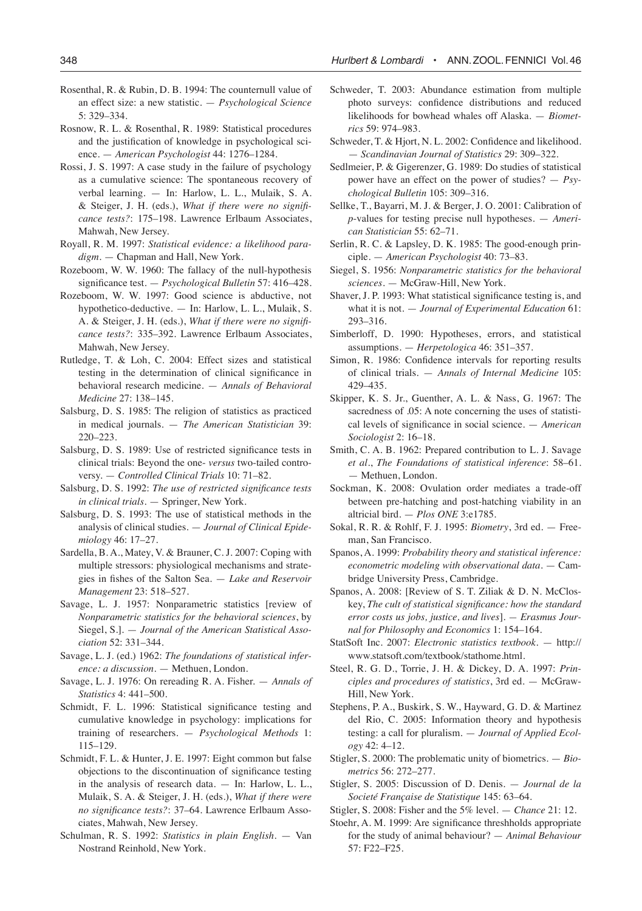- Rosenthal, R. & Rubin, D. B. 1994: The counternull value of an effect size: a new statistic. — *Psychological Science* 5: 329–334.
- Rosnow, R. L. & Rosenthal, R. 1989: Statistical procedures and the justification of knowledge in psychological science. — *American Psychologist* 44: 1276–1284.
- Rossi, J. S. 1997: A case study in the failure of psychology as a cumulative science: The spontaneous recovery of verbal learning. — In: Harlow, L. L., Mulaik, S. A. & Steiger, J. H. (eds.), *What if there were no significance tests?*: 175–198. Lawrence Erlbaum Associates, Mahwah, New Jersey.
- Royall, R. M. 1997: *Statistical evidence: a likelihood paradigm*. — Chapman and Hall, New York.
- Rozeboom, W. W. 1960: The fallacy of the null-hypothesis significance test. — *Psychological Bulletin* 57: 416–428.
- Rozeboom, W. W. 1997: Good science is abductive, not hypothetico-deductive. — In: Harlow, L. L., Mulaik, S. A. & Steiger, J. H. (eds.), *What if there were no significance tests?*: 335–392. Lawrence Erlbaum Associates, Mahwah, New Jersey.
- Rutledge, T. & Loh, C. 2004: Effect sizes and statistical testing in the determination of clinical significance in behavioral research medicine. — *Annals of Behavioral Medicine* 27: 138–145.
- Salsburg, D. S. 1985: The religion of statistics as practiced in medical journals. — *The American Statistician* 39: 220–223.
- Salsburg, D. S. 1989: Use of restricted significance tests in clinical trials: Beyond the one- *versus* two-tailed controversy. — *Controlled Clinical Trials* 10: 71–82.
- Salsburg, D. S. 1992: *The use of restricted significance tests in clinical trials*. — Springer, New York.
- Salsburg, D. S. 1993: The use of statistical methods in the analysis of clinical studies. — *Journal of Clinical Epidemiology* 46: 17–27.
- Sardella, B. A., Matey, V. & Brauner, C. J. 2007: Coping with multiple stressors: physiological mechanisms and strategies in fishes of the Salton Sea. — *Lake and Reservoir Management* 23: 518–527.
- Savage, L. J. 1957: Nonparametric statistics [review of *Nonparametric statistics for the behavioral sciences*, by Siegel, S.]. — *Journal of the American Statistical Association* 52: 331–344.
- Savage, L. J. (ed.) 1962: *The foundations of statistical inference: a discussion*. — Methuen, London.
- Savage, L. J. 1976: On rereading R. A. Fisher. *Annals of Statistics* 4: 441–500.
- Schmidt, F. L. 1996: Statistical significance testing and cumulative knowledge in psychology: implications for training of researchers. — *Psychological Methods* 1: 115–129.
- Schmidt, F. L. & Hunter, J. E. 1997: Eight common but false objections to the discontinuation of significance testing in the analysis of research data. — In: Harlow, L. L., Mulaik, S. A. & Steiger, J. H. (eds.), *What if there were no significance tests?*: 37–64. Lawrence Erlbaum Associates, Mahwah, New Jersey.
- Schulman, R. S. 1992: *Statistics in plain English*. Van Nostrand Reinhold, New York.
- Schweder, T. 2003: Abundance estimation from multiple photo surveys: confidence distributions and reduced likelihoods for bowhead whales off Alaska. — *Biometrics* 59: 974–983.
- Schweder, T. & Hjort, N. L. 2002: Confidence and likelihood. — *Scandinavian Journal of Statistics* 29: 309–322.
- Sedlmeier, P. & Gigerenzer, G. 1989: Do studies of statistical power have an effect on the power of studies? — *Psychological Bulletin* 105: 309–316.
- Sellke, T., Bayarri, M. J. & Berger, J. O. 2001: Calibration of *p*-values for testing precise null hypotheses. — *American Statistician* 55: 62–71.
- Serlin, R. C. & Lapsley, D. K. 1985: The good-enough principle. — *American Psychologist* 40: 73–83.
- Siegel, S. 1956: *Nonparametric statistics for the behavioral sciences*. — McGraw-Hill, New York.
- Shaver, J. P. 1993: What statistical significance testing is, and what it is not. — *Journal of Experimental Education* 61: 293–316.
- Simberloff, D. 1990: Hypotheses, errors, and statistical assumptions. — *Herpetologica* 46: 351–357.
- Simon, R. 1986: Confidence intervals for reporting results of clinical trials. — *Annals of Internal Medicine* 105: 429–435.
- Skipper, K. S. Jr., Guenther, A. L. & Nass, G. 1967: The sacredness of .05: A note concerning the uses of statistical levels of significance in social science. — *American Sociologist* 2: 16–18.
- Smith, C. A. B. 1962: Prepared contribution to L. J. Savage *et al.*, *The Foundations of statistical inference*: 58–61. — Methuen, London.
- Sockman, K. 2008: Ovulation order mediates a trade-off between pre-hatching and post-hatching viability in an altricial bird. — *Plos ONE* 3:e1785.
- Sokal, R. R. & Rohlf, F. J. 1995: *Biometry*, 3rd ed. Freeman, San Francisco.
- Spanos, A. 1999: *Probability theory and statistical inference: econometric modeling with observational data*. — Cambridge University Press, Cambridge.
- Spanos, A. 2008: [Review of S. T. Ziliak & D. N. McCloskey, *The cult of statistical significance: how the standard error costs us jobs, justice, and lives*]. *— Erasmus Journal for Philosophy and Economics* 1: 154–164.
- StatSoft Inc. 2007: *Electronic statistics textbook*. http:// www.statsoft.com/textbook/stathome.html.
- Steel, R. G. D., Torrie, J. H. & Dickey, D. A. 1997: *Principles and procedures of statistics*, 3rd ed. — McGraw-Hill, New York.
- Stephens, P. A., Buskirk, S. W., Hayward, G. D. & Martinez del Rio, C. 2005: Information theory and hypothesis testing: a call for pluralism. — *Journal of Applied Ecology* 42: 4–12.
- Stigler, S. 2000: The problematic unity of biometrics. *Biometrics* 56: 272–277.
- Stigler, S. 2005: Discussion of D. Denis. *Journal de la Societé Française de Statistique* 145: 63–64.
- Stigler, S. 2008: Fisher and the 5% level. *Chance* 21: 12.
- Stoehr, A. M. 1999: Are significance threshholds appropriate for the study of animal behaviour? — *Animal Behaviour* 57: F22–F25.